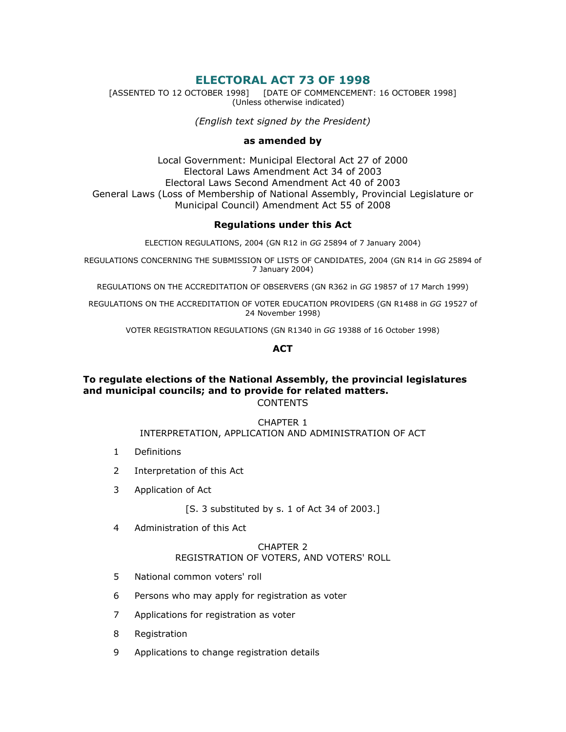# ELECTORAL ACT 73 OF 1998

[ASSENTED TO 12 OCTOBER 1998] [DATE OF COMMENCEMENT: 16 OCTOBER 1998] (Unless otherwise indicated)

(English text signed by the President)

### as amended by

Local Government: Municipal Electoral Act 27 of 2000 Electoral Laws Amendment Act 34 of 2003 Electoral Laws Second Amendment Act 40 of 2003 General Laws (Loss of Membership of National Assembly, Provincial Legislature or Municipal Council) Amendment Act 55 of 2008

## Regulations under this Act

ELECTION REGULATIONS, 2004 (GN R12 in GG 25894 of 7 January 2004)

REGULATIONS CONCERNING THE SUBMISSION OF LISTS OF CANDIDATES, 2004 (GN R14 in GG 25894 of 7 January 2004)

REGULATIONS ON THE ACCREDITATION OF OBSERVERS (GN R362 in GG 19857 of 17 March 1999)

REGULATIONS ON THE ACCREDITATION OF VOTER EDUCATION PROVIDERS (GN R1488 in GG 19527 of 24 November 1998)

VOTER REGISTRATION REGULATIONS (GN R1340 in GG 19388 of 16 October 1998)

## **ACT**

## To regulate elections of the National Assembly, the provincial legislatures and municipal councils; and to provide for related matters. CONTENTS

### CHAPTER 1 INTERPRETATION, APPLICATION AND ADMINISTRATION OF ACT

- 1 Definitions
- 2 Interpretation of this Act
- 3 Application of Act

[S. 3 substituted by s. 1 of Act 34 of 2003.]

4 Administration of this Act

### CHAPTER 2 REGISTRATION OF VOTERS, AND VOTERS' ROLL

- 5 National common voters' roll
- 6 Persons who may apply for registration as voter
- 7 Applications for registration as voter
- 8 Registration
- 9 Applications to change registration details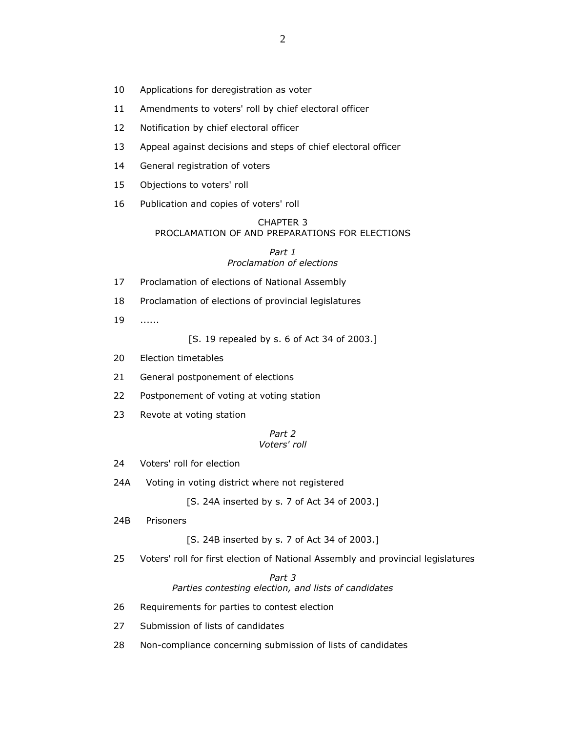- 10 Applications for deregistration as voter
- 11 Amendments to voters' roll by chief electoral officer
- 12 Notification by chief electoral officer
- 13 Appeal against decisions and steps of chief electoral officer
- 14 General registration of voters
- 15 Objections to voters' roll
- 16 Publication and copies of voters' roll

### CHAPTER 3 PROCLAMATION OF AND PREPARATIONS FOR ELECTIONS

#### Part 1 Proclamation of elections

- 17 Proclamation of elections of National Assembly
- 18 Proclamation of elections of provincial legislatures
- 19 ......

[S. 19 repealed by s. 6 of Act 34 of 2003.]

- 20 Election timetables
- 21 General postponement of elections
- 22 Postponement of voting at voting station
- 23 Revote at voting station

#### Part 2 Voters' roll

- 24 Voters' roll for election
- 24A Voting in voting district where not registered

[S. 24A inserted by s. 7 of Act 34 of 2003.]

24B Prisoners

[S. 24B inserted by s. 7 of Act 34 of 2003.]

25 Voters' roll for first election of National Assembly and provincial legislatures

Part 3 Parties contesting election, and lists of candidates

- 26 Requirements for parties to contest election
- 27 Submission of lists of candidates
- 28 Non-compliance concerning submission of lists of candidates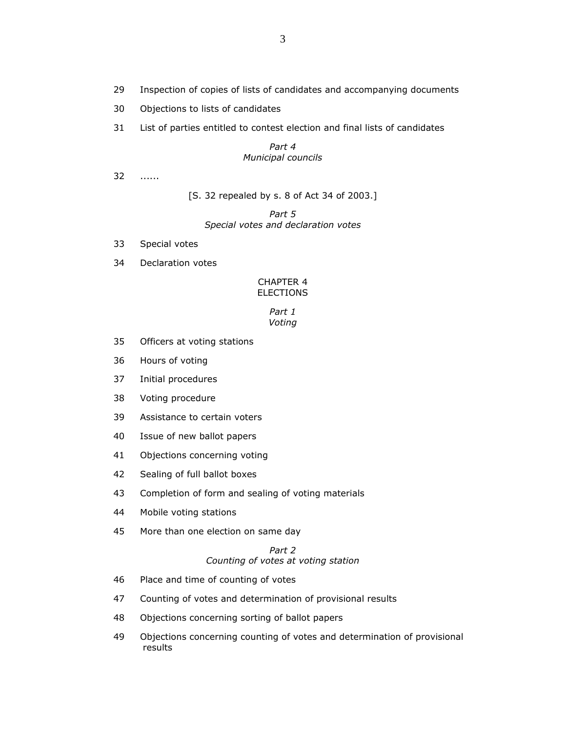- 29 Inspection of copies of lists of candidates and accompanying documents
- 30 Objections to lists of candidates
- 31 List of parties entitled to contest election and final lists of candidates

### Part 4 Municipal councils

32 ......

[S. 32 repealed by s. 8 of Act 34 of 2003.]

Part 5 Special votes and declaration votes

- 33 Special votes
- 34 Declaration votes

### CHAPTER 4 ELECTIONS

#### Part 1 Voting

- 35 Officers at voting stations
- 36 Hours of voting
- 37 Initial procedures
- 38 Voting procedure
- 39 Assistance to certain voters
- 40 Issue of new ballot papers
- 41 Objections concerning voting
- 42 Sealing of full ballot boxes
- 43 Completion of form and sealing of voting materials
- 44 Mobile voting stations
- 45 More than one election on same day

## Part 2 Counting of votes at voting station

- 46 Place and time of counting of votes
- 47 Counting of votes and determination of provisional results
- 48 Objections concerning sorting of ballot papers
- 49 Objections concerning counting of votes and determination of provisional results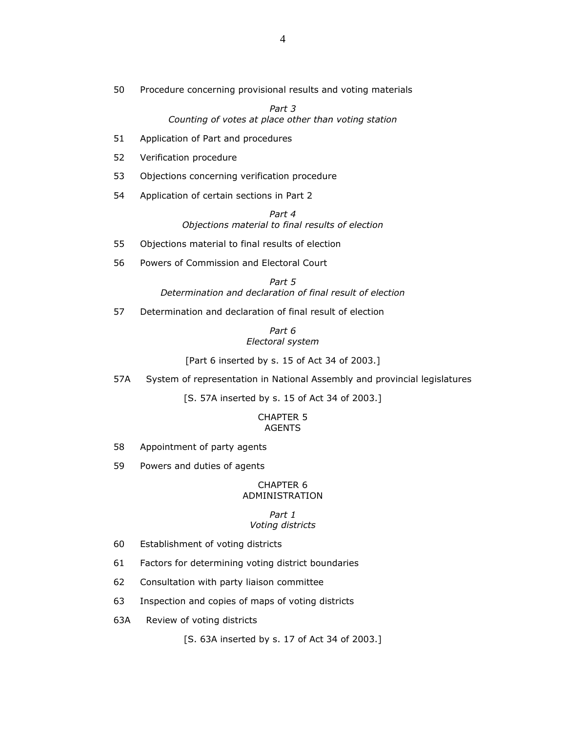50 Procedure concerning provisional results and voting materials

Part 3 Counting of votes at place other than voting station

- 51 Application of Part and procedures
- 52 Verification procedure
- 53 Objections concerning verification procedure
- 54 Application of certain sections in Part 2

Part 4 Objections material to final results of election

- 55 Objections material to final results of election
- 56 Powers of Commission and Electoral Court

### Part 5

Determination and declaration of final result of election

57 Determination and declaration of final result of election

### Part 6 Electoral system

[Part 6 inserted by s. 15 of Act 34 of 2003.]

57A System of representation in National Assembly and provincial legislatures

[S. 57A inserted by s. 15 of Act 34 of 2003.]

#### CHAPTER 5 AGENTS

- 58 Appointment of party agents
- 59 Powers and duties of agents

#### CHAPTER 6 ADMINISTRATION

#### Part 1 Voting districts

- 60 Establishment of voting districts
- 61 Factors for determining voting district boundaries
- 62 Consultation with party liaison committee
- 63 Inspection and copies of maps of voting districts
- 63A Review of voting districts

[S. 63A inserted by s. 17 of Act 34 of 2003.]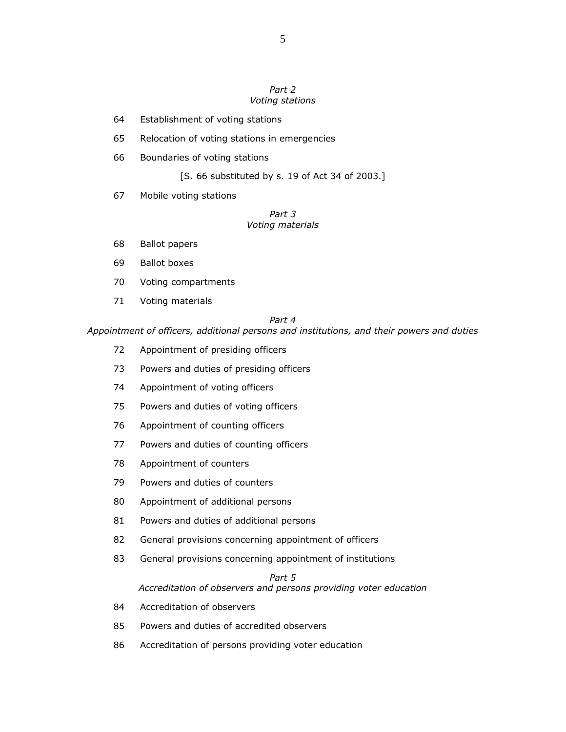#### Part 2 Voting stations

- 64 Establishment of voting stations
- 65 Relocation of voting stations in emergencies
- 66 Boundaries of voting stations

[S. 66 substituted by s. 19 of Act 34 of 2003.]

67 Mobile voting stations

### Part 3 Voting materials

- 68 Ballot papers
- 69 Ballot boxes
- 70 Voting compartments
- 71 Voting materials

### Part 4

Appointment of officers, additional persons and institutions, and their powers and duties

- 72 Appointment of presiding officers
- 73 Powers and duties of presiding officers
- 74 Appointment of voting officers
- 75 Powers and duties of voting officers
- 76 Appointment of counting officers
- 77 Powers and duties of counting officers
- 78 Appointment of counters
- 79 Powers and duties of counters
- 80 Appointment of additional persons
- 81 Powers and duties of additional persons
- 82 General provisions concerning appointment of officers
- 83 General provisions concerning appointment of institutions

## Part 5 Accreditation of observers and persons providing voter education

- 84 Accreditation of observers
- 85 Powers and duties of accredited observers
- 86 Accreditation of persons providing voter education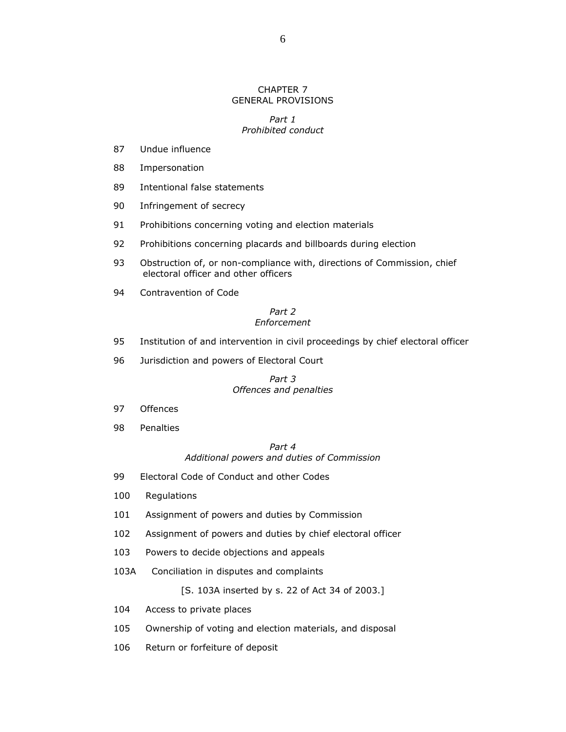### CHAPTER 7 GENERAL PROVISIONS

### Part 1 Prohibited conduct

- 87 Undue influence
- 88 Impersonation
- 89 Intentional false statements
- 90 Infringement of secrecy
- 91 Prohibitions concerning voting and election materials
- 92 Prohibitions concerning placards and billboards during election
- 93 Obstruction of, or non-compliance with, directions of Commission, chief electoral officer and other officers
- 94 Contravention of Code

### Part 2 Enforcement

- 95 Institution of and intervention in civil proceedings by chief electoral officer
- 96 Jurisdiction and powers of Electoral Court

### Part 3 Offences and penalties

- 97 Offences
- 98 Penalties

## Part 4 Additional powers and duties of Commission

- 99 Electoral Code of Conduct and other Codes
- 100 Regulations
- 101 Assignment of powers and duties by Commission
- 102 Assignment of powers and duties by chief electoral officer
- 103 Powers to decide objections and appeals
- 103A Conciliation in disputes and complaints

[S. 103A inserted by s. 22 of Act 34 of 2003.]

- 104 Access to private places
- 105 Ownership of voting and election materials, and disposal
- 106 Return or forfeiture of deposit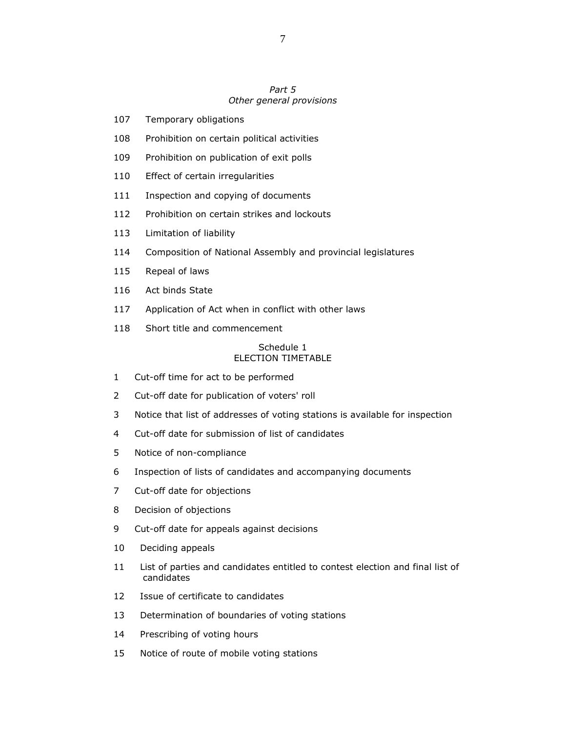### Part 5 Other general provisions

- 107 Temporary obligations
- 108 Prohibition on certain political activities
- 109 Prohibition on publication of exit polls
- 110 Effect of certain irregularities
- 111 Inspection and copying of documents
- 112 Prohibition on certain strikes and lockouts
- 113 Limitation of liability
- 114 Composition of National Assembly and provincial legislatures
- 115 Repeal of laws
- 116 Act binds State
- 117 Application of Act when in conflict with other laws
- 118 Short title and commencement

#### Schedule 1 ELECTION TIMETABLE

- 1 Cut-off time for act to be performed
- 2 Cut-off date for publication of voters' roll
- 3 Notice that list of addresses of voting stations is available for inspection
- 4 Cut-off date for submission of list of candidates
- 5 Notice of non-compliance
- 6 Inspection of lists of candidates and accompanying documents
- 7 Cut-off date for objections
- 8 Decision of objections
- 9 Cut-off date for appeals against decisions
- 10 Deciding appeals
- 11 List of parties and candidates entitled to contest election and final list of candidates
- 12 Issue of certificate to candidates
- 13 Determination of boundaries of voting stations
- 14 Prescribing of voting hours
- 15 Notice of route of mobile voting stations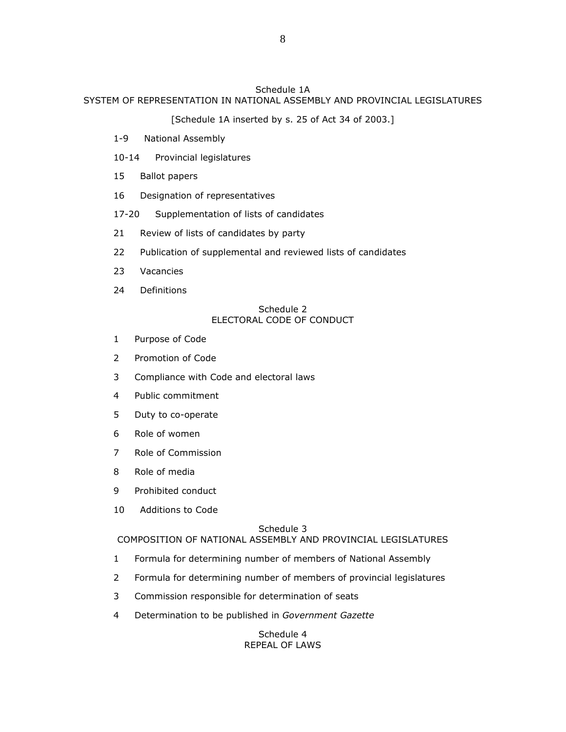## Schedule 1A SYSTEM OF REPRESENTATION IN NATIONAL ASSEMBLY AND PROVINCIAL LEGISLATURES

[Schedule 1A inserted by s. 25 of Act 34 of 2003.]

- 1-9 National Assembly
- 10-14 Provincial legislatures
- 15 Ballot papers
- 16 Designation of representatives

17-20 Supplementation of lists of candidates

- 21 Review of lists of candidates by party
- 22 Publication of supplemental and reviewed lists of candidates
- 23 Vacancies
- 24 Definitions

### Schedule 2 ELECTORAL CODE OF CONDUCT

- 1 Purpose of Code
- 2 Promotion of Code
- 3 Compliance with Code and electoral laws
- 4 Public commitment
- 5 Duty to co-operate
- 6 Role of women
- 7 Role of Commission
- 8 Role of media
- 9 Prohibited conduct
- 10 Additions to Code

## Schedule 3

COMPOSITION OF NATIONAL ASSEMBLY AND PROVINCIAL LEGISLATURES

- 1 Formula for determining number of members of National Assembly
- 2 Formula for determining number of members of provincial legislatures
- 3 Commission responsible for determination of seats
- 4 Determination to be published in Government Gazette

### Schedule 4 REPEAL OF LAWS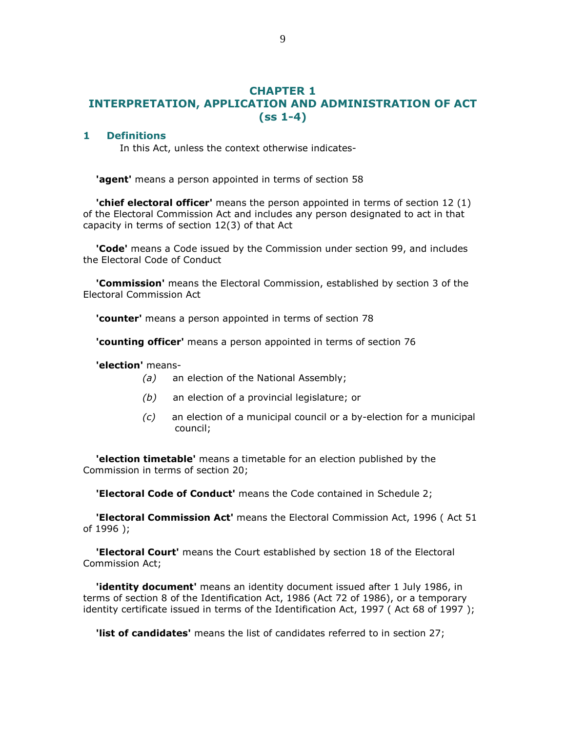# CHAPTER 1 INTERPRETATION, APPLICATION AND ADMINISTRATION OF ACT (ss 1-4)

### 1 Definitions

In this Act, unless the context otherwise indicates-

'agent' means a person appointed in terms of section 58

**'chief electoral officer'** means the person appointed in terms of section 12 (1) of the Electoral Commission Act and includes any person designated to act in that capacity in terms of section 12(3) of that Act

**'Code'** means a Code issued by the Commission under section 99, and includes the Electoral Code of Conduct

 'Commission' means the Electoral Commission, established by section 3 of the Electoral Commission Act

'counter' means a person appointed in terms of section 78

'counting officer' means a person appointed in terms of section 76

### 'election' means-

- (a) an election of the National Assembly;
- (b) an election of a provincial legislature; or
- (c) an election of a municipal council or a by-election for a municipal council;

 'election timetable' means a timetable for an election published by the Commission in terms of section 20;

'Electoral Code of Conduct' means the Code contained in Schedule 2;

'Electoral Commission Act' means the Electoral Commission Act, 1996 (Act 51 of 1996 );

**'Electoral Court'** means the Court established by section 18 of the Electoral Commission Act;

**'identity document'** means an identity document issued after 1 July 1986, in terms of section 8 of the Identification Act, 1986 (Act 72 of 1986), or a temporary identity certificate issued in terms of the Identification Act, 1997 (Act 68 of 1997);

'list of candidates' means the list of candidates referred to in section 27;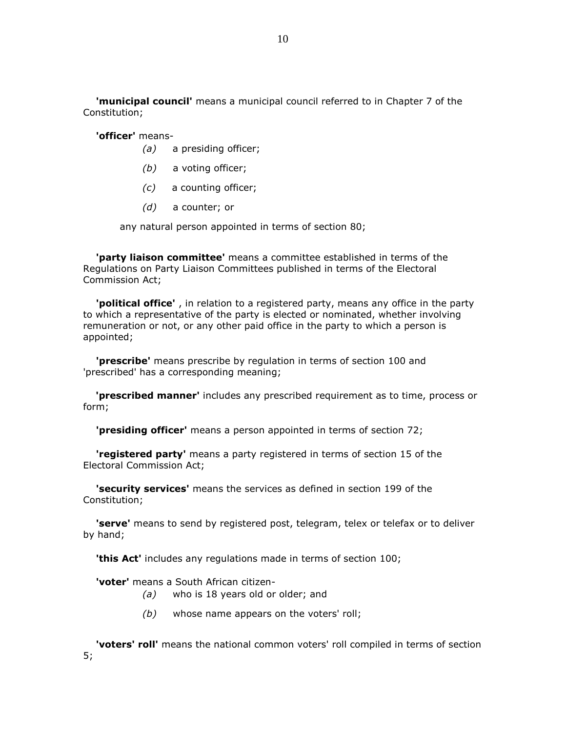'municipal council' means a municipal council referred to in Chapter 7 of the Constitution;

'officer' means-

- (a) a presiding officer;
- (b) a voting officer;
- (c) a counting officer;
- (d) a counter; or

any natural person appointed in terms of section 80;

'party liaison committee' means a committee established in terms of the Regulations on Party Liaison Committees published in terms of the Electoral Commission Act;

'political office', in relation to a registered party, means any office in the party to which a representative of the party is elected or nominated, whether involving remuneration or not, or any other paid office in the party to which a person is appointed;

**'prescribe'** means prescribe by regulation in terms of section 100 and 'prescribed' has a corresponding meaning;

'prescribed manner' includes any prescribed requirement as to time, process or form;

'**presiding officer'** means a person appointed in terms of section 72;

**'registered party'** means a party registered in terms of section 15 of the Electoral Commission Act;

'security services' means the services as defined in section 199 of the Constitution;

'serve' means to send by registered post, telegram, telex or telefax or to deliver by hand;

'this Act' includes any regulations made in terms of section 100;

'voter' means a South African citizen-

- (a) who is 18 years old or older; and
- $(b)$  whose name appears on the voters' roll;

'voters' roll' means the national common voters' roll compiled in terms of section 5;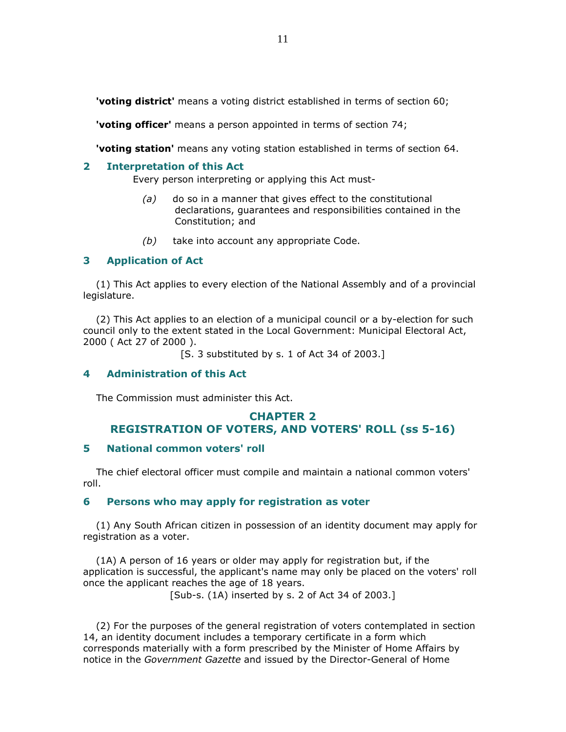'voting district' means a voting district established in terms of section 60;

'voting officer' means a person appointed in terms of section 74;

'voting station' means any voting station established in terms of section 64.

### 2 Interpretation of this Act

Every person interpreting or applying this Act must-

- $(a)$  do so in a manner that gives effect to the constitutional declarations, guarantees and responsibilities contained in the Constitution; and
- $(b)$  take into account any appropriate Code.

## 3 Application of Act

 (1) This Act applies to every election of the National Assembly and of a provincial legislature.

 (2) This Act applies to an election of a municipal council or a by-election for such council only to the extent stated in the Local Government: Municipal Electoral Act, 2000 ( Act 27 of 2000 ).

[S. 3 substituted by s. 1 of Act 34 of 2003.]

## 4 Administration of this Act

The Commission must administer this Act.

# CHAPTER 2 REGISTRATION OF VOTERS, AND VOTERS' ROLL (ss 5-16)

## 5 National common voters' roll

 The chief electoral officer must compile and maintain a national common voters' roll.

## 6 Persons who may apply for registration as voter

 (1) Any South African citizen in possession of an identity document may apply for registration as a voter.

 (1A) A person of 16 years or older may apply for registration but, if the application is successful, the applicant's name may only be placed on the voters' roll once the applicant reaches the age of 18 years.

[Sub-s. (1A) inserted by s. 2 of Act 34 of 2003.]

 (2) For the purposes of the general registration of voters contemplated in section 14, an identity document includes a temporary certificate in a form which corresponds materially with a form prescribed by the Minister of Home Affairs by notice in the Government Gazette and issued by the Director-General of Home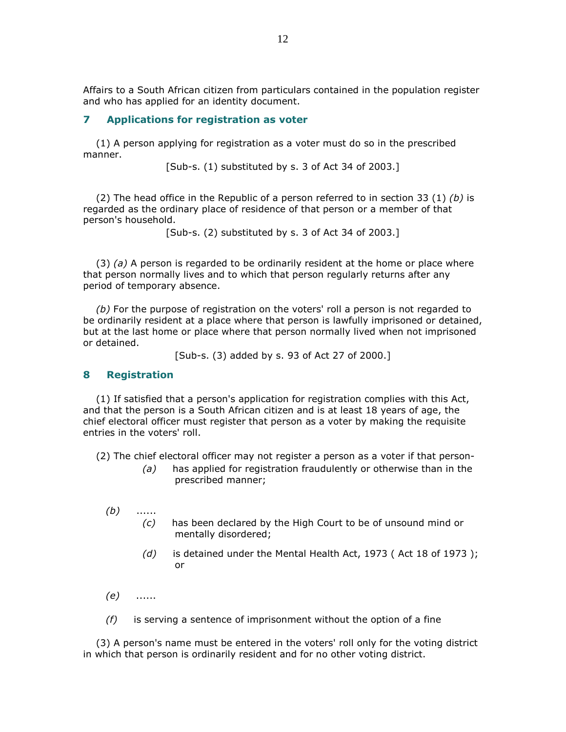Affairs to a South African citizen from particulars contained in the population register and who has applied for an identity document.

### 7 Applications for registration as voter

 (1) A person applying for registration as a voter must do so in the prescribed manner.

[Sub-s. (1) substituted by s. 3 of Act 34 of 2003.]

(2) The head office in the Republic of a person referred to in section 33 (1) (b) is regarded as the ordinary place of residence of that person or a member of that person's household.

[Sub-s. (2) substituted by s. 3 of Act 34 of 2003.]

 $(3)$  (a) A person is regarded to be ordinarily resident at the home or place where that person normally lives and to which that person regularly returns after any period of temporary absence.

 (b) For the purpose of registration on the voters' roll a person is not regarded to be ordinarily resident at a place where that person is lawfully imprisoned or detained, but at the last home or place where that person normally lived when not imprisoned or detained.

[Sub-s. (3) added by s. 93 of Act 27 of 2000.]

### 8 Registration

 (1) If satisfied that a person's application for registration complies with this Act, and that the person is a South African citizen and is at least 18 years of age, the chief electoral officer must register that person as a voter by making the requisite entries in the voters' roll.

(2) The chief electoral officer may not register a person as a voter if that person-

- $(a)$  has applied for registration fraudulently or otherwise than in the prescribed manner;
- $(b)$  ...... (c) has been declared by the High Court to be of unsound mind or mentally disordered;
	- $(d)$  is detained under the Mental Health Act, 1973 (Act 18 of 1973); or
- (e) ......
- $(f)$  is serving a sentence of imprisonment without the option of a fine

 (3) A person's name must be entered in the voters' roll only for the voting district in which that person is ordinarily resident and for no other voting district.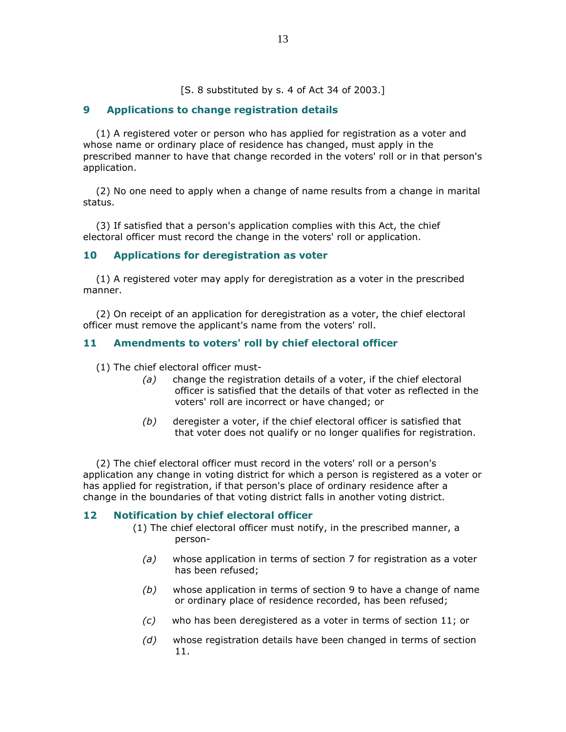[S. 8 substituted by s. 4 of Act 34 of 2003.]

## 9 Applications to change registration details

 (1) A registered voter or person who has applied for registration as a voter and whose name or ordinary place of residence has changed, must apply in the prescribed manner to have that change recorded in the voters' roll or in that person's application.

 (2) No one need to apply when a change of name results from a change in marital status.

 (3) If satisfied that a person's application complies with this Act, the chief electoral officer must record the change in the voters' roll or application.

## 10 Applications for deregistration as voter

 (1) A registered voter may apply for deregistration as a voter in the prescribed manner.

 (2) On receipt of an application for deregistration as a voter, the chief electoral officer must remove the applicant's name from the voters' roll.

## 11 Amendments to voters' roll by chief electoral officer

(1) The chief electoral officer must-

- (a) change the registration details of a voter, if the chief electoral officer is satisfied that the details of that voter as reflected in the voters' roll are incorrect or have changed; or
- (b) deregister a voter, if the chief electoral officer is satisfied that that voter does not qualify or no longer qualifies for registration.

 (2) The chief electoral officer must record in the voters' roll or a person's application any change in voting district for which a person is registered as a voter or has applied for registration, if that person's place of ordinary residence after a change in the boundaries of that voting district falls in another voting district.

## 12 Notification by chief electoral officer

- (1) The chief electoral officer must notify, in the prescribed manner, a person-
	- (a) whose application in terms of section 7 for registration as a voter has been refused;
	- $(b)$  whose application in terms of section 9 to have a change of name or ordinary place of residence recorded, has been refused;
	- (c) who has been deregistered as a voter in terms of section 11; or
	- (d) whose registration details have been changed in terms of section 11.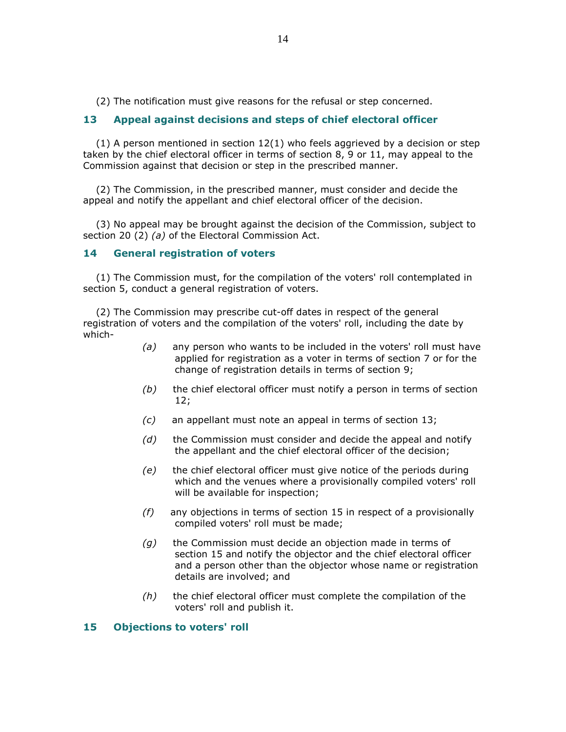(2) The notification must give reasons for the refusal or step concerned.

## 13 Appeal against decisions and steps of chief electoral officer

 $(1)$  A person mentioned in section  $12(1)$  who feels aggrieved by a decision or step taken by the chief electoral officer in terms of section 8, 9 or 11, may appeal to the Commission against that decision or step in the prescribed manner.

 (2) The Commission, in the prescribed manner, must consider and decide the appeal and notify the appellant and chief electoral officer of the decision.

 (3) No appeal may be brought against the decision of the Commission, subject to section 20 (2) (a) of the Electoral Commission Act.

### 14 General registration of voters

 (1) The Commission must, for the compilation of the voters' roll contemplated in section 5, conduct a general registration of voters.

 (2) The Commission may prescribe cut-off dates in respect of the general registration of voters and the compilation of the voters' roll, including the date by which-

- $(a)$  any person who wants to be included in the voters' roll must have applied for registration as a voter in terms of section 7 or for the change of registration details in terms of section 9;
- $(b)$  the chief electoral officer must notify a person in terms of section 12;
- (c) an appellant must note an appeal in terms of section 13;
- $(d)$  the Commission must consider and decide the appeal and notify the appellant and the chief electoral officer of the decision;
- (e) the chief electoral officer must give notice of the periods during which and the venues where a provisionally compiled voters' roll will be available for inspection;
- $(f)$  any objections in terms of section 15 in respect of a provisionally compiled voters' roll must be made;
- $(q)$  the Commission must decide an objection made in terms of section 15 and notify the objector and the chief electoral officer and a person other than the objector whose name or registration details are involved; and
- $(h)$  the chief electoral officer must complete the compilation of the voters' roll and publish it.

### 15 Objections to voters' roll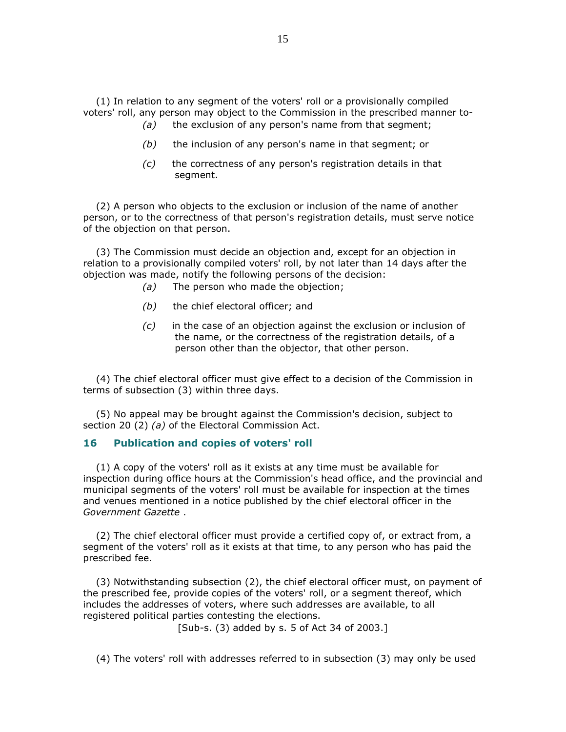(1) In relation to any segment of the voters' roll or a provisionally compiled voters' roll, any person may object to the Commission in the prescribed manner to-

- $(a)$  the exclusion of any person's name from that segment;
- $(b)$  the inclusion of any person's name in that segment; or
- (c) the correctness of any person's registration details in that segment.

 (2) A person who objects to the exclusion or inclusion of the name of another person, or to the correctness of that person's registration details, must serve notice of the objection on that person.

 (3) The Commission must decide an objection and, except for an objection in relation to a provisionally compiled voters' roll, by not later than 14 days after the objection was made, notify the following persons of the decision:

- (a) The person who made the objection;
- $(b)$  the chief electoral officer; and
- $(c)$  in the case of an objection against the exclusion or inclusion of the name, or the correctness of the registration details, of a person other than the objector, that other person.

 (4) The chief electoral officer must give effect to a decision of the Commission in terms of subsection (3) within three days.

 (5) No appeal may be brought against the Commission's decision, subject to section 20 (2) (a) of the Electoral Commission Act.

### 16 Publication and copies of voters' roll

 (1) A copy of the voters' roll as it exists at any time must be available for inspection during office hours at the Commission's head office, and the provincial and municipal segments of the voters' roll must be available for inspection at the times and venues mentioned in a notice published by the chief electoral officer in the Government Gazette .

 (2) The chief electoral officer must provide a certified copy of, or extract from, a segment of the voters' roll as it exists at that time, to any person who has paid the prescribed fee.

 (3) Notwithstanding subsection (2), the chief electoral officer must, on payment of the prescribed fee, provide copies of the voters' roll, or a segment thereof, which includes the addresses of voters, where such addresses are available, to all registered political parties contesting the elections.

[Sub-s. (3) added by s. 5 of Act 34 of 2003.]

(4) The voters' roll with addresses referred to in subsection (3) may only be used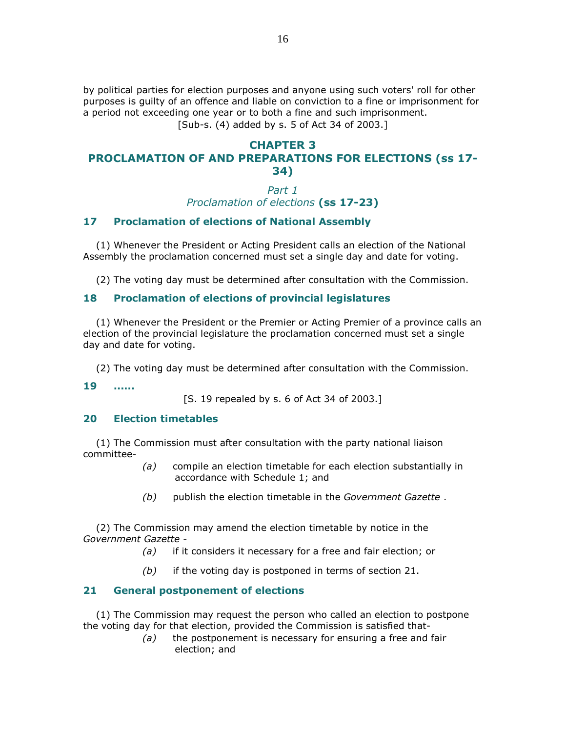by political parties for election purposes and anyone using such voters' roll for other purposes is guilty of an offence and liable on conviction to a fine or imprisonment for a period not exceeding one year or to both a fine and such imprisonment. [Sub-s. (4) added by s. 5 of Act 34 of 2003.]

## CHAPTER 3 PROCLAMATION OF AND PREPARATIONS FOR ELECTIONS (ss 17- 34)

Part 1

Proclamation of elections (ss 17-23)

## 17 Proclamation of elections of National Assembly

 (1) Whenever the President or Acting President calls an election of the National Assembly the proclamation concerned must set a single day and date for voting.

(2) The voting day must be determined after consultation with the Commission.

# 18 Proclamation of elections of provincial legislatures

 (1) Whenever the President or the Premier or Acting Premier of a province calls an election of the provincial legislature the proclamation concerned must set a single day and date for voting.

(2) The voting day must be determined after consultation with the Commission.

19 ......

[S. 19 repealed by s. 6 of Act 34 of 2003.]

## 20 Election timetables

 (1) The Commission must after consultation with the party national liaison committee-

- (a) compile an election timetable for each election substantially in accordance with Schedule 1; and
- (b) publish the election timetable in the Government Gazette.

 (2) The Commission may amend the election timetable by notice in the Government Gazette -

- (a) if it considers it necessary for a free and fair election; or
- $(b)$  if the voting day is postponed in terms of section 21.

# 21 General postponement of elections

 (1) The Commission may request the person who called an election to postpone the voting day for that election, provided the Commission is satisfied that-

 $(a)$  the postponement is necessary for ensuring a free and fair election; and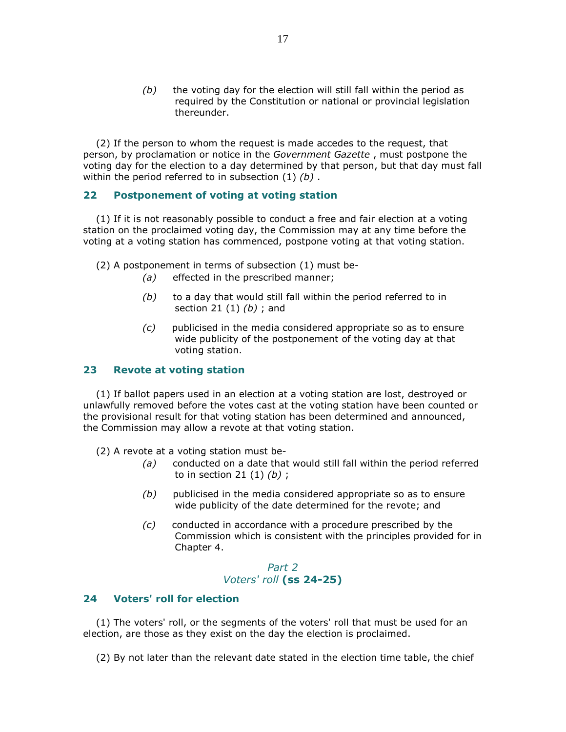$(b)$  the voting day for the election will still fall within the period as required by the Constitution or national or provincial legislation thereunder.

 (2) If the person to whom the request is made accedes to the request, that person, by proclamation or notice in the Government Gazette , must postpone the voting day for the election to a day determined by that person, but that day must fall within the period referred to in subsection  $(1)$   $(b)$ .

## 22 Postponement of voting at voting station

 (1) If it is not reasonably possible to conduct a free and fair election at a voting station on the proclaimed voting day, the Commission may at any time before the voting at a voting station has commenced, postpone voting at that voting station.

(2) A postponement in terms of subsection (1) must be-

- (a) effected in the prescribed manner;
- $(b)$  to a day that would still fall within the period referred to in section 21  $(1)$   $(b)$ ; and
- (c) publicised in the media considered appropriate so as to ensure wide publicity of the postponement of the voting day at that voting station.

## 23 Revote at voting station

 (1) If ballot papers used in an election at a voting station are lost, destroyed or unlawfully removed before the votes cast at the voting station have been counted or the provisional result for that voting station has been determined and announced, the Commission may allow a revote at that voting station.

(2) A revote at a voting station must be-

- (a) conducted on a date that would still fall within the period referred to in section 21  $(1)$   $(b)$ ;
- $(b)$  publicised in the media considered appropriate so as to ensure wide publicity of the date determined for the revote; and
- (c) conducted in accordance with a procedure prescribed by the Commission which is consistent with the principles provided for in Chapter 4.

## Part 2 Voters' roll (ss 24-25)

## 24 Voters' roll for election

 (1) The voters' roll, or the segments of the voters' roll that must be used for an election, are those as they exist on the day the election is proclaimed.

(2) By not later than the relevant date stated in the election time table, the chief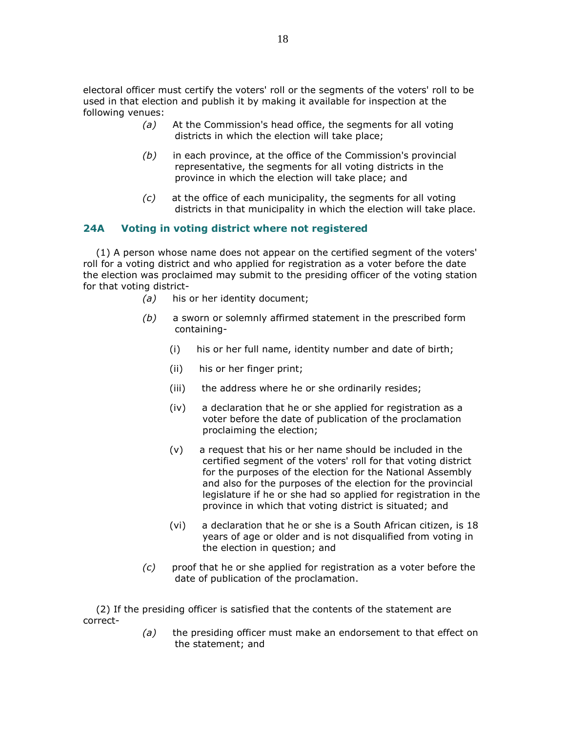electoral officer must certify the voters' roll or the segments of the voters' roll to be used in that election and publish it by making it available for inspection at the following venues:

- (a) At the Commission's head office, the segments for all voting districts in which the election will take place;
- $(b)$  in each province, at the office of the Commission's provincial representative, the segments for all voting districts in the province in which the election will take place; and
- (c) at the office of each municipality, the segments for all voting districts in that municipality in which the election will take place.

## 24A Voting in voting district where not registered

 (1) A person whose name does not appear on the certified segment of the voters' roll for a voting district and who applied for registration as a voter before the date the election was proclaimed may submit to the presiding officer of the voting station for that voting district-

- (a) his or her identity document;
- $(b)$  a sworn or solemnly affirmed statement in the prescribed form containing-
	- (i) his or her full name, identity number and date of birth;
	- (ii) his or her finger print;
	- (iii) the address where he or she ordinarily resides;
	- (iv) a declaration that he or she applied for registration as a voter before the date of publication of the proclamation proclaiming the election;
	- (v) a request that his or her name should be included in the certified segment of the voters' roll for that voting district for the purposes of the election for the National Assembly and also for the purposes of the election for the provincial legislature if he or she had so applied for registration in the province in which that voting district is situated; and
	- (vi) a declaration that he or she is a South African citizen, is 18 years of age or older and is not disqualified from voting in the election in question; and
- $(c)$  proof that he or she applied for registration as a voter before the date of publication of the proclamation.

 (2) If the presiding officer is satisfied that the contents of the statement are correct-

> $(a)$  the presiding officer must make an endorsement to that effect on the statement; and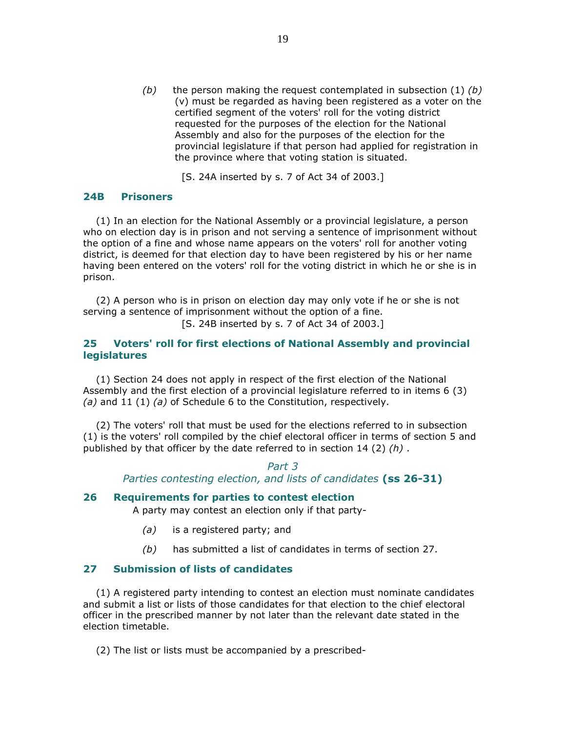(b) the person making the request contemplated in subsection  $(1)$  (b) (v) must be regarded as having been registered as a voter on the certified segment of the voters' roll for the voting district requested for the purposes of the election for the National Assembly and also for the purposes of the election for the provincial legislature if that person had applied for registration in the province where that voting station is situated.

[S. 24A inserted by s. 7 of Act 34 of 2003.]

## 24B Prisoners

 (1) In an election for the National Assembly or a provincial legislature, a person who on election day is in prison and not serving a sentence of imprisonment without the option of a fine and whose name appears on the voters' roll for another voting district, is deemed for that election day to have been registered by his or her name having been entered on the voters' roll for the voting district in which he or she is in prison.

 (2) A person who is in prison on election day may only vote if he or she is not serving a sentence of imprisonment without the option of a fine.

[S. 24B inserted by s. 7 of Act 34 of 2003.]

## 25 Voters' roll for first elections of National Assembly and provincial legislatures

 (1) Section 24 does not apply in respect of the first election of the National Assembly and the first election of a provincial legislature referred to in items 6 (3) (a) and 11 (1) (a) of Schedule 6 to the Constitution, respectively.

 (2) The voters' roll that must be used for the elections referred to in subsection (1) is the voters' roll compiled by the chief electoral officer in terms of section 5 and published by that officer by the date referred to in section 14 (2)  $(h)$ .

## Part 3 Parties contesting election, and lists of candidates (ss 26-31)

## 26 Requirements for parties to contest election

A party may contest an election only if that party-

- (a) is a registered party; and
- $(b)$  has submitted a list of candidates in terms of section 27.

## 27 Submission of lists of candidates

 (1) A registered party intending to contest an election must nominate candidates and submit a list or lists of those candidates for that election to the chief electoral officer in the prescribed manner by not later than the relevant date stated in the election timetable.

(2) The list or lists must be accompanied by a prescribed-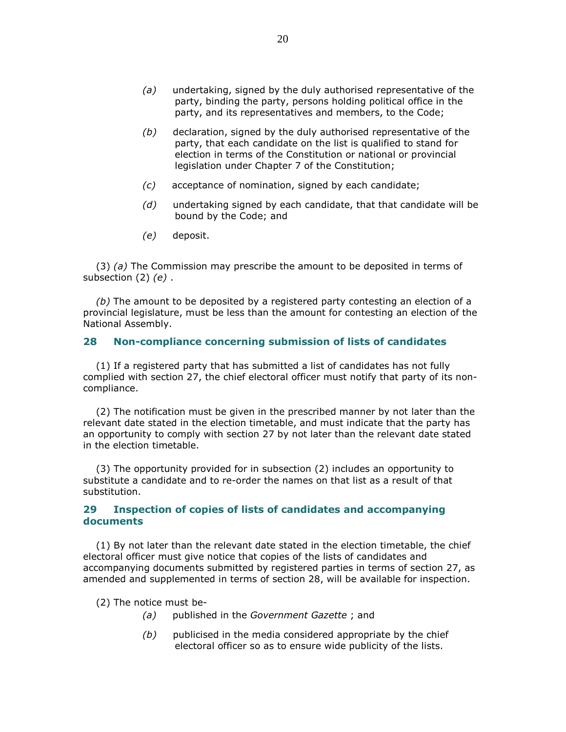- (a) undertaking, signed by the duly authorised representative of the party, binding the party, persons holding political office in the party, and its representatives and members, to the Code;
- $(b)$  declaration, signed by the duly authorised representative of the party, that each candidate on the list is qualified to stand for election in terms of the Constitution or national or provincial legislation under Chapter 7 of the Constitution;
- (c) acceptance of nomination, signed by each candidate;
- $(d)$  undertaking signed by each candidate, that that candidate will be bound by the Code; and
- (e) deposit.

(3) (a) The Commission may prescribe the amount to be deposited in terms of subsection  $(2)$   $(e)$ .

 $(b)$  The amount to be deposited by a registered party contesting an election of a provincial legislature, must be less than the amount for contesting an election of the National Assembly.

### 28 Non-compliance concerning submission of lists of candidates

 (1) If a registered party that has submitted a list of candidates has not fully complied with section 27, the chief electoral officer must notify that party of its noncompliance.

 (2) The notification must be given in the prescribed manner by not later than the relevant date stated in the election timetable, and must indicate that the party has an opportunity to comply with section 27 by not later than the relevant date stated in the election timetable.

 (3) The opportunity provided for in subsection (2) includes an opportunity to substitute a candidate and to re-order the names on that list as a result of that substitution.

## 29 Inspection of copies of lists of candidates and accompanying documents

 (1) By not later than the relevant date stated in the election timetable, the chief electoral officer must give notice that copies of the lists of candidates and accompanying documents submitted by registered parties in terms of section 27, as amended and supplemented in terms of section 28, will be available for inspection.

(2) The notice must be-

- (a) published in the Government Gazette; and
- $(b)$  publicised in the media considered appropriate by the chief electoral officer so as to ensure wide publicity of the lists.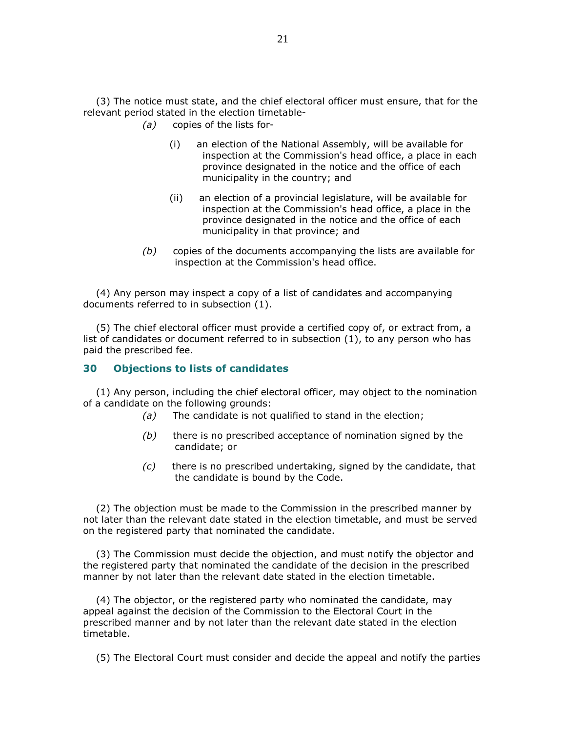(3) The notice must state, and the chief electoral officer must ensure, that for the relevant period stated in the election timetable-

- (a) copies of the lists for-
	- (i) an election of the National Assembly, will be available for inspection at the Commission's head office, a place in each province designated in the notice and the office of each municipality in the country; and
	- (ii) an election of a provincial legislature, will be available for inspection at the Commission's head office, a place in the province designated in the notice and the office of each municipality in that province; and
- $(b)$  copies of the documents accompanying the lists are available for inspection at the Commission's head office.

 (4) Any person may inspect a copy of a list of candidates and accompanying documents referred to in subsection (1).

 (5) The chief electoral officer must provide a certified copy of, or extract from, a list of candidates or document referred to in subsection (1), to any person who has paid the prescribed fee.

### 30 Objections to lists of candidates

 (1) Any person, including the chief electoral officer, may object to the nomination of a candidate on the following grounds:

- (a) The candidate is not qualified to stand in the election;
- $(b)$  there is no prescribed acceptance of nomination signed by the candidate; or
- $(c)$  there is no prescribed undertaking, signed by the candidate, that the candidate is bound by the Code.

 (2) The objection must be made to the Commission in the prescribed manner by not later than the relevant date stated in the election timetable, and must be served on the registered party that nominated the candidate.

 (3) The Commission must decide the objection, and must notify the objector and the registered party that nominated the candidate of the decision in the prescribed manner by not later than the relevant date stated in the election timetable.

 (4) The objector, or the registered party who nominated the candidate, may appeal against the decision of the Commission to the Electoral Court in the prescribed manner and by not later than the relevant date stated in the election timetable.

(5) The Electoral Court must consider and decide the appeal and notify the parties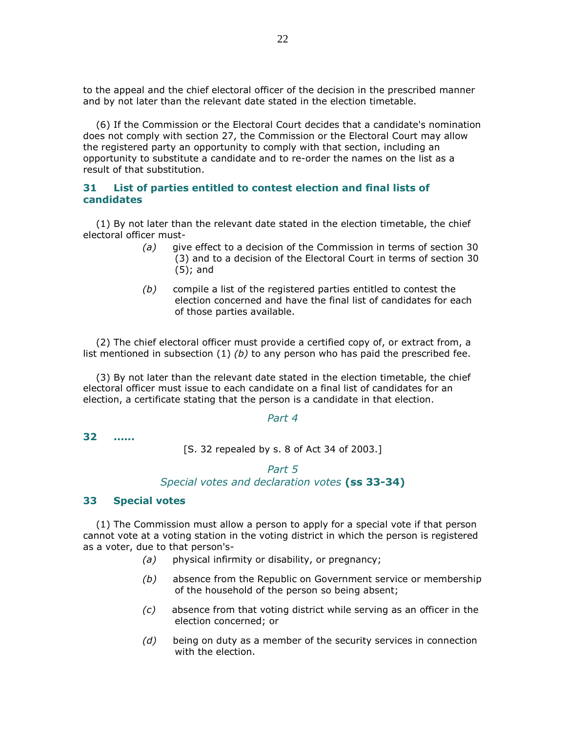to the appeal and the chief electoral officer of the decision in the prescribed manner and by not later than the relevant date stated in the election timetable.

 (6) If the Commission or the Electoral Court decides that a candidate's nomination does not comply with section 27, the Commission or the Electoral Court may allow the registered party an opportunity to comply with that section, including an opportunity to substitute a candidate and to re-order the names on the list as a result of that substitution.

## 31 List of parties entitled to contest election and final lists of candidates

 (1) By not later than the relevant date stated in the election timetable, the chief electoral officer must-

- (a) give effect to a decision of the Commission in terms of section 30 (3) and to a decision of the Electoral Court in terms of section 30 (5); and
- $(b)$  compile a list of the registered parties entitled to contest the election concerned and have the final list of candidates for each of those parties available.

 (2) The chief electoral officer must provide a certified copy of, or extract from, a list mentioned in subsection  $(1)$  (b) to any person who has paid the prescribed fee.

 (3) By not later than the relevant date stated in the election timetable, the chief electoral officer must issue to each candidate on a final list of candidates for an election, a certificate stating that the person is a candidate in that election.

### Part 4

32 ......

[S. 32 repealed by s. 8 of Act 34 of 2003.]

## Part 5 Special votes and declaration votes (ss 33-34)

## 33 Special votes

 (1) The Commission must allow a person to apply for a special vote if that person cannot vote at a voting station in the voting district in which the person is registered as a voter, due to that person's-

- (a) physical infirmity or disability, or pregnancy;
- (b) absence from the Republic on Government service or membership of the household of the person so being absent;
- (c) absence from that voting district while serving as an officer in the election concerned; or
- $(d)$  being on duty as a member of the security services in connection with the election.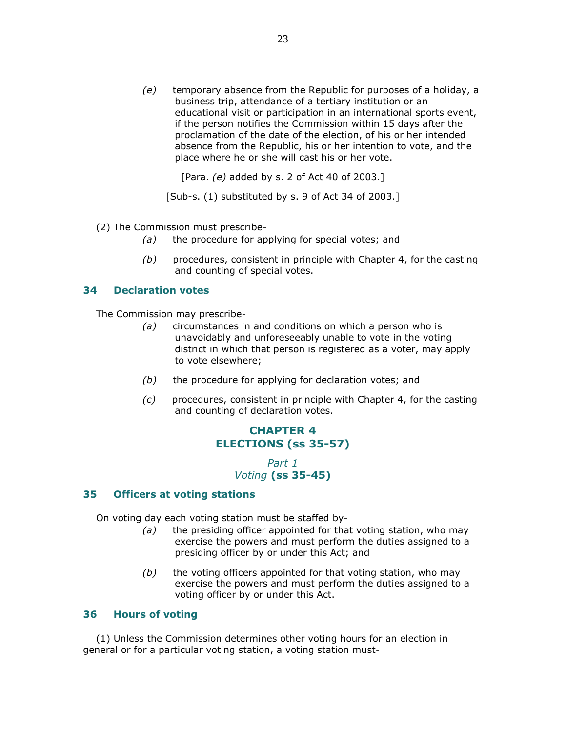$(e)$  temporary absence from the Republic for purposes of a holiday, a business trip, attendance of a tertiary institution or an educational visit or participation in an international sports event, if the person notifies the Commission within 15 days after the proclamation of the date of the election, of his or her intended absence from the Republic, his or her intention to vote, and the place where he or she will cast his or her vote.

[Para. (e) added by s. 2 of Act 40 of 2003.]

[Sub-s. (1) substituted by s. 9 of Act 34 of 2003.]

- (2) The Commission must prescribe-
	- $(a)$  the procedure for applying for special votes; and
	- $(b)$  procedures, consistent in principle with Chapter 4, for the casting and counting of special votes.

## 34 Declaration votes

The Commission may prescribe-

- (a) circumstances in and conditions on which a person who is unavoidably and unforeseeably unable to vote in the voting district in which that person is registered as a voter, may apply to vote elsewhere;
- $(b)$  the procedure for applying for declaration votes; and
- $(c)$  procedures, consistent in principle with Chapter 4, for the casting and counting of declaration votes.

# CHAPTER 4 ELECTIONS (ss 35-57)

Part 1 Voting (ss 35-45)

### 35 Officers at voting stations

On voting day each voting station must be staffed by-

- $(a)$  the presiding officer appointed for that voting station, who may exercise the powers and must perform the duties assigned to a presiding officer by or under this Act; and
- $(b)$  the voting officers appointed for that voting station, who may exercise the powers and must perform the duties assigned to a voting officer by or under this Act.

### 36 Hours of voting

 (1) Unless the Commission determines other voting hours for an election in general or for a particular voting station, a voting station must-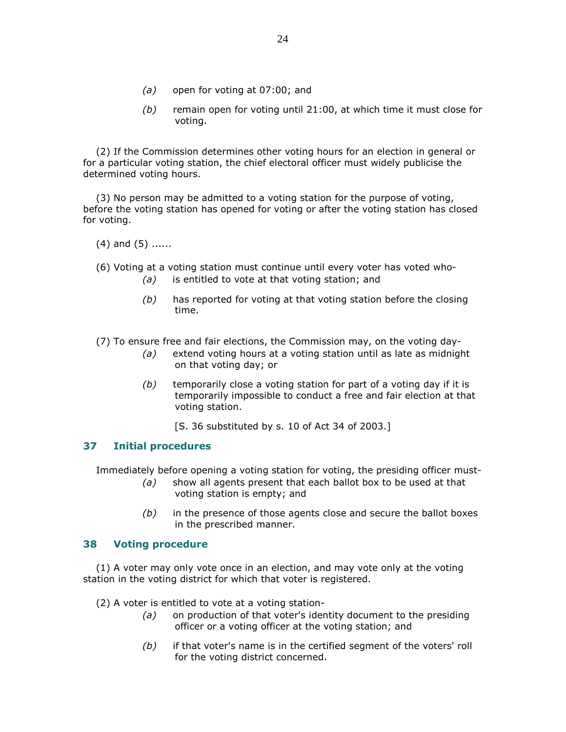- (a) open for voting at 07:00; and
- $(b)$  remain open for voting until 21:00, at which time it must close for voting.

 (2) If the Commission determines other voting hours for an election in general or for a particular voting station, the chief electoral officer must widely publicise the determined voting hours.

 (3) No person may be admitted to a voting station for the purpose of voting, before the voting station has opened for voting or after the voting station has closed for voting.

 $(4)$  and  $(5)$  ......

(6) Voting at a voting station must continue until every voter has voted who-

- $(a)$  is entitled to vote at that voting station; and
- $(b)$  has reported for voting at that voting station before the closing time.

(7) To ensure free and fair elections, the Commission may, on the voting day-

- $(a)$  extend voting hours at a voting station until as late as midnight on that voting day; or
- $(b)$  temporarily close a voting station for part of a voting day if it is temporarily impossible to conduct a free and fair election at that voting station.
	- [S. 36 substituted by s. 10 of Act 34 of 2003.]

## 37 Initial procedures

Immediately before opening a voting station for voting, the presiding officer must-

- $(a)$  show all agents present that each ballot box to be used at that voting station is empty; and
- $(b)$  in the presence of those agents close and secure the ballot boxes in the prescribed manner.

## 38 Voting procedure

 (1) A voter may only vote once in an election, and may vote only at the voting station in the voting district for which that voter is registered.

(2) A voter is entitled to vote at a voting station-

- (a) on production of that voter's identity document to the presiding officer or a voting officer at the voting station; and
- (b) if that voter's name is in the certified segment of the voters' roll for the voting district concerned.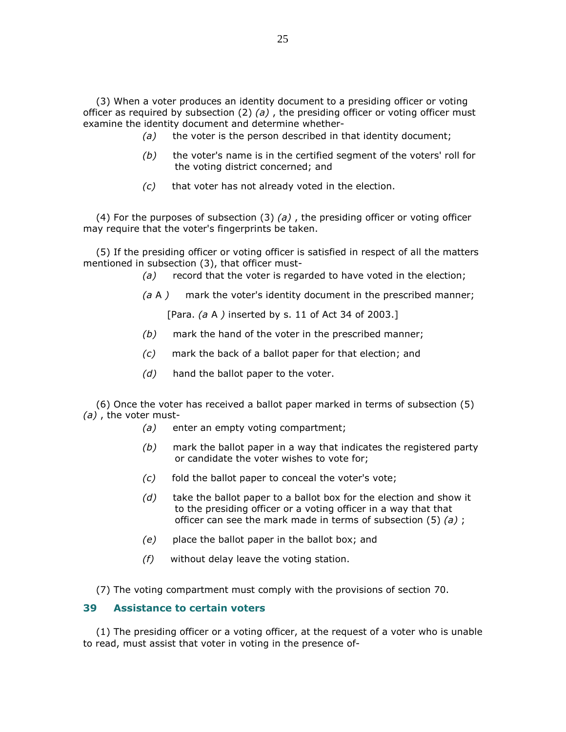(3) When a voter produces an identity document to a presiding officer or voting officer as required by subsection (2) (a), the presiding officer or voting officer must examine the identity document and determine whether-

- $(a)$  the voter is the person described in that identity document;
- $(b)$  the voter's name is in the certified segment of the voters' roll for the voting district concerned; and
- $(c)$  that voter has not already voted in the election.

(4) For the purposes of subsection (3) (a), the presiding officer or voting officer may require that the voter's fingerprints be taken.

 (5) If the presiding officer or voting officer is satisfied in respect of all the matters mentioned in subsection (3), that officer must-

- (a) record that the voter is regarded to have voted in the election;
- $(a A)$  mark the voter's identity document in the prescribed manner;

[Para. (a A ) inserted by s. 11 of Act 34 of 2003.]

- $(b)$  mark the hand of the voter in the prescribed manner;
- (c) mark the back of a ballot paper for that election; and
- $(d)$  hand the ballot paper to the voter.

 (6) Once the voter has received a ballot paper marked in terms of subsection (5) (a) , the voter must-

- (a) enter an empty voting compartment;
- $(b)$  mark the ballot paper in a way that indicates the registered party or candidate the voter wishes to vote for;
- $(c)$  fold the ballot paper to conceal the voter's vote;
- $(d)$  take the ballot paper to a ballot box for the election and show it to the presiding officer or a voting officer in a way that that officer can see the mark made in terms of subsection  $(5)$   $(a)$ ;
- (e) place the ballot paper in the ballot box; and
- $(f)$  without delay leave the voting station.

(7) The voting compartment must comply with the provisions of section 70.

## 39 Assistance to certain voters

 (1) The presiding officer or a voting officer, at the request of a voter who is unable to read, must assist that voter in voting in the presence of-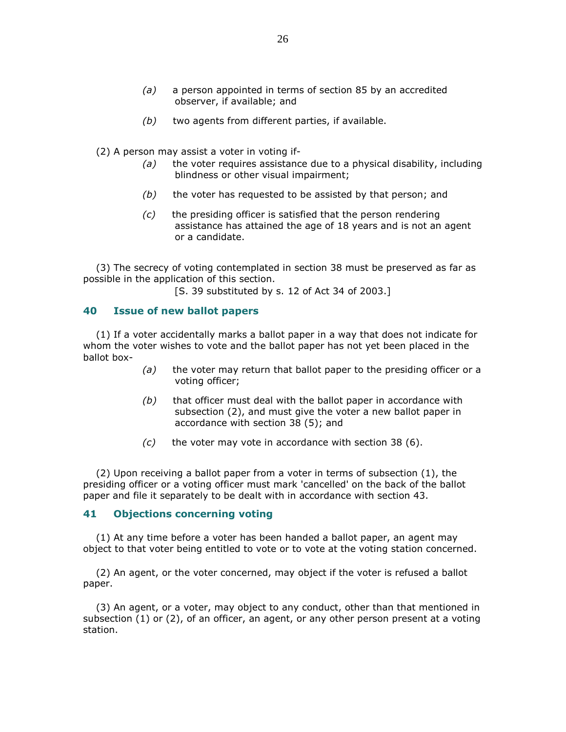- (a) a person appointed in terms of section 85 by an accredited observer, if available; and
- $(b)$  two agents from different parties, if available.
- (2) A person may assist a voter in voting if-
	- $(a)$  the voter requires assistance due to a physical disability, including blindness or other visual impairment;
	- $(b)$  the voter has requested to be assisted by that person; and
	- $(c)$  the presiding officer is satisfied that the person rendering assistance has attained the age of 18 years and is not an agent or a candidate.

 (3) The secrecy of voting contemplated in section 38 must be preserved as far as possible in the application of this section.

[S. 39 substituted by s. 12 of Act 34 of 2003.]

## 40 Issue of new ballot papers

 (1) If a voter accidentally marks a ballot paper in a way that does not indicate for whom the voter wishes to vote and the ballot paper has not yet been placed in the ballot box-

- $(a)$  the voter may return that ballot paper to the presiding officer or a voting officer;
- $(b)$  that officer must deal with the ballot paper in accordance with subsection (2), and must give the voter a new ballot paper in accordance with section 38 (5); and
- $(c)$  the voter may vote in accordance with section 38 (6).

 (2) Upon receiving a ballot paper from a voter in terms of subsection (1), the presiding officer or a voting officer must mark 'cancelled' on the back of the ballot paper and file it separately to be dealt with in accordance with section 43.

### 41 Objections concerning voting

 (1) At any time before a voter has been handed a ballot paper, an agent may object to that voter being entitled to vote or to vote at the voting station concerned.

 (2) An agent, or the voter concerned, may object if the voter is refused a ballot paper.

 (3) An agent, or a voter, may object to any conduct, other than that mentioned in subsection (1) or (2), of an officer, an agent, or any other person present at a voting station.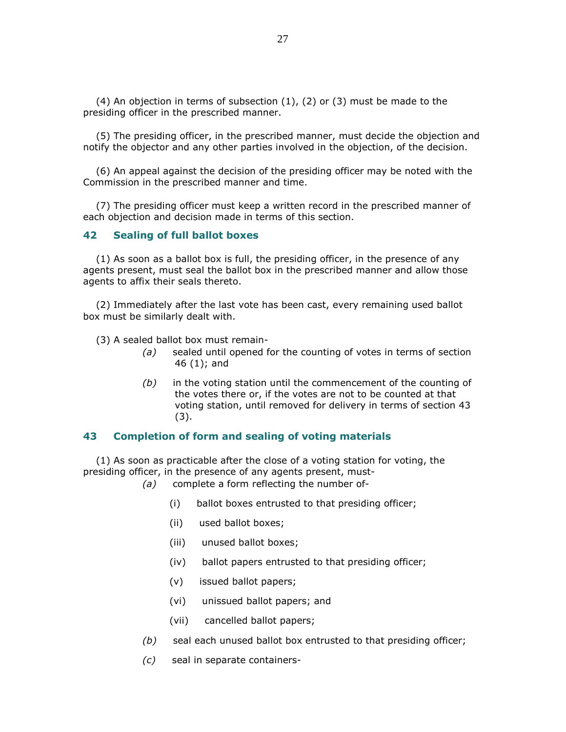(4) An objection in terms of subsection  $(1)$ ,  $(2)$  or  $(3)$  must be made to the presiding officer in the prescribed manner.

 (5) The presiding officer, in the prescribed manner, must decide the objection and notify the objector and any other parties involved in the objection, of the decision.

 (6) An appeal against the decision of the presiding officer may be noted with the Commission in the prescribed manner and time.

 (7) The presiding officer must keep a written record in the prescribed manner of each objection and decision made in terms of this section.

### 42 Sealing of full ballot boxes

 (1) As soon as a ballot box is full, the presiding officer, in the presence of any agents present, must seal the ballot box in the prescribed manner and allow those agents to affix their seals thereto.

 (2) Immediately after the last vote has been cast, every remaining used ballot box must be similarly dealt with.

(3) A sealed ballot box must remain-

- (a) sealed until opened for the counting of votes in terms of section 46 (1); and
- $(b)$  in the voting station until the commencement of the counting of the votes there or, if the votes are not to be counted at that voting station, until removed for delivery in terms of section 43 (3).

### 43 Completion of form and sealing of voting materials

 (1) As soon as practicable after the close of a voting station for voting, the presiding officer, in the presence of any agents present, must-

- (a) complete a form reflecting the number of-
	- (i) ballot boxes entrusted to that presiding officer;
	- (ii) used ballot boxes;
	- (iii) unused ballot boxes;
	- (iv) ballot papers entrusted to that presiding officer;
	- (v) issued ballot papers;
	- (vi) unissued ballot papers; and
	- (vii) cancelled ballot papers;
- $(b)$  seal each unused ballot box entrusted to that presiding officer;
- (c) seal in separate containers-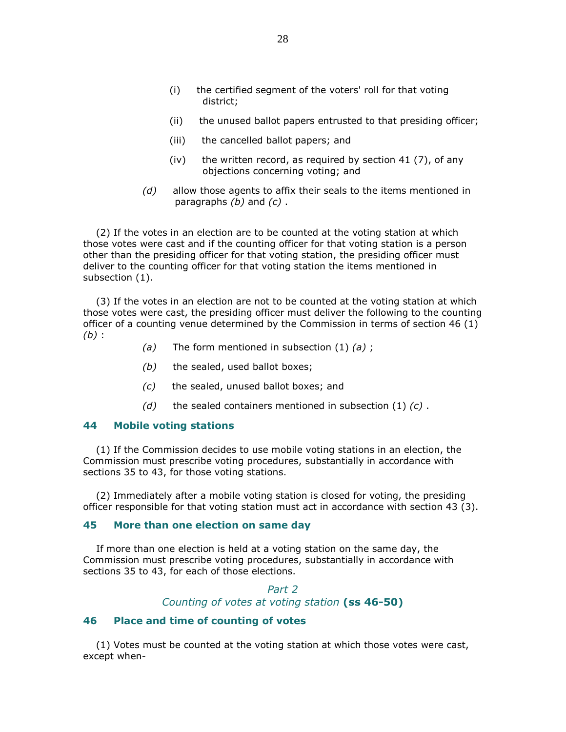- (i) the certified segment of the voters' roll for that voting district;
- (ii) the unused ballot papers entrusted to that presiding officer;
- (iii) the cancelled ballot papers; and
- (iv) the written record, as required by section  $41$  (7), of any objections concerning voting; and
- $(d)$  allow those agents to affix their seals to the items mentioned in paragraphs  $(b)$  and  $(c)$ .

 (2) If the votes in an election are to be counted at the voting station at which those votes were cast and if the counting officer for that voting station is a person other than the presiding officer for that voting station, the presiding officer must deliver to the counting officer for that voting station the items mentioned in subsection (1).

 (3) If the votes in an election are not to be counted at the voting station at which those votes were cast, the presiding officer must deliver the following to the counting officer of a counting venue determined by the Commission in terms of section 46 (1)  $(b)$ :

- (a) The form mentioned in subsection  $(1)$  (a);
- $(b)$  the sealed, used ballot boxes;
- (c) the sealed, unused ballot boxes; and
- (d) the sealed containers mentioned in subsection  $(1)$   $(c)$ .

## 44 Mobile voting stations

 (1) If the Commission decides to use mobile voting stations in an election, the Commission must prescribe voting procedures, substantially in accordance with sections 35 to 43, for those voting stations.

 (2) Immediately after a mobile voting station is closed for voting, the presiding officer responsible for that voting station must act in accordance with section 43 (3).

#### 45 More than one election on same day

 If more than one election is held at a voting station on the same day, the Commission must prescribe voting procedures, substantially in accordance with sections 35 to 43, for each of those elections.

> Part 2 Counting of votes at voting station (ss 46-50)

## 46 Place and time of counting of votes

 (1) Votes must be counted at the voting station at which those votes were cast, except when-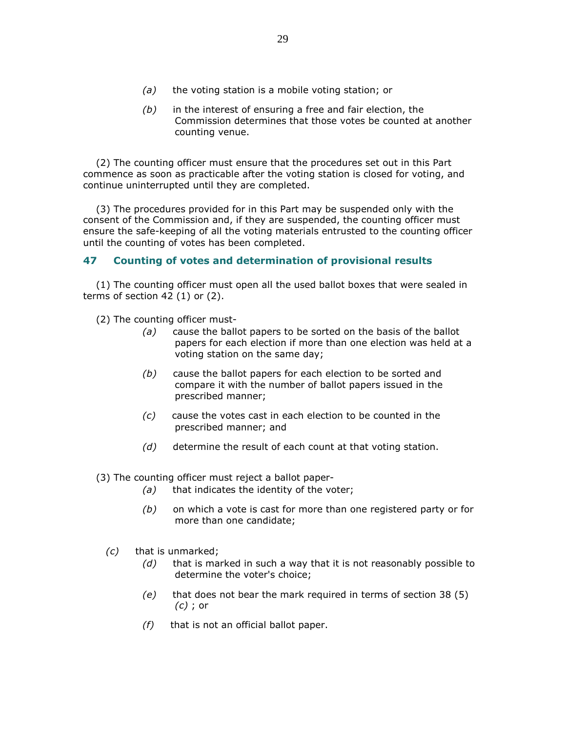- $(a)$  the voting station is a mobile voting station; or
- $(b)$  in the interest of ensuring a free and fair election, the Commission determines that those votes be counted at another counting venue.

 (2) The counting officer must ensure that the procedures set out in this Part commence as soon as practicable after the voting station is closed for voting, and continue uninterrupted until they are completed.

 (3) The procedures provided for in this Part may be suspended only with the consent of the Commission and, if they are suspended, the counting officer must ensure the safe-keeping of all the voting materials entrusted to the counting officer until the counting of votes has been completed.

## 47 Counting of votes and determination of provisional results

 (1) The counting officer must open all the used ballot boxes that were sealed in terms of section 42 (1) or (2).

- (2) The counting officer must-
	- $(a)$  cause the ballot papers to be sorted on the basis of the ballot papers for each election if more than one election was held at a voting station on the same day;
	- (b) cause the ballot papers for each election to be sorted and compare it with the number of ballot papers issued in the prescribed manner;
	- (c) cause the votes cast in each election to be counted in the prescribed manner; and
	- $(d)$  determine the result of each count at that voting station.

(3) The counting officer must reject a ballot paper-

- $(a)$  that indicates the identity of the voter;
- $(b)$  on which a vote is cast for more than one registered party or for more than one candidate;
- (c) that is unmarked;
	- $(d)$  that is marked in such a way that it is not reasonably possible to determine the voter's choice;
	- $(e)$  that does not bear the mark required in terms of section 38 (5) (c) ; or
	- $(f)$  that is not an official ballot paper.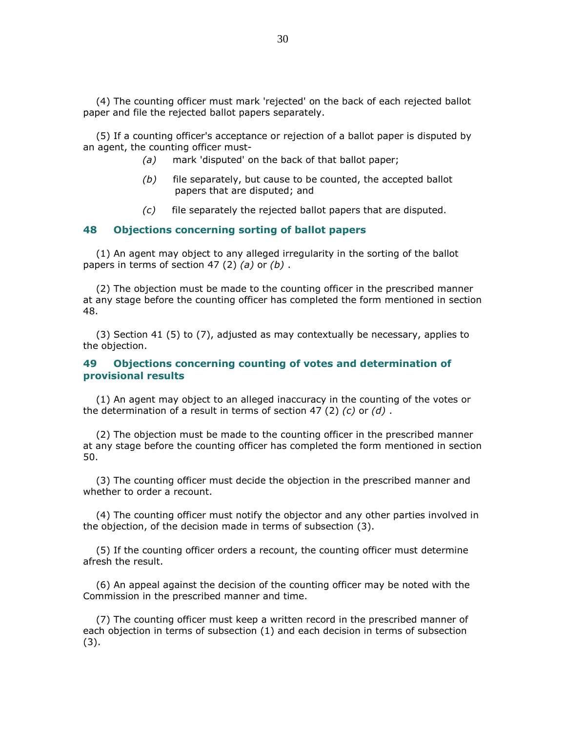(4) The counting officer must mark 'rejected' on the back of each rejected ballot paper and file the rejected ballot papers separately.

 (5) If a counting officer's acceptance or rejection of a ballot paper is disputed by an agent, the counting officer must-

- (a) mark 'disputed' on the back of that ballot paper;
- $(b)$  file separately, but cause to be counted, the accepted ballot papers that are disputed; and
- $(c)$  file separately the rejected ballot papers that are disputed.

### 48 Objections concerning sorting of ballot papers

 (1) An agent may object to any alleged irregularity in the sorting of the ballot papers in terms of section 47 (2) (a) or  $(b)$ .

 (2) The objection must be made to the counting officer in the prescribed manner at any stage before the counting officer has completed the form mentioned in section 48.

 (3) Section 41 (5) to (7), adjusted as may contextually be necessary, applies to the objection.

### 49 Objections concerning counting of votes and determination of provisional results

 (1) An agent may object to an alleged inaccuracy in the counting of the votes or the determination of a result in terms of section 47 (2)  $(c)$  or  $(d)$ .

 (2) The objection must be made to the counting officer in the prescribed manner at any stage before the counting officer has completed the form mentioned in section 50.

 (3) The counting officer must decide the objection in the prescribed manner and whether to order a recount.

 (4) The counting officer must notify the objector and any other parties involved in the objection, of the decision made in terms of subsection (3).

 (5) If the counting officer orders a recount, the counting officer must determine afresh the result.

 (6) An appeal against the decision of the counting officer may be noted with the Commission in the prescribed manner and time.

 (7) The counting officer must keep a written record in the prescribed manner of each objection in terms of subsection (1) and each decision in terms of subsection (3).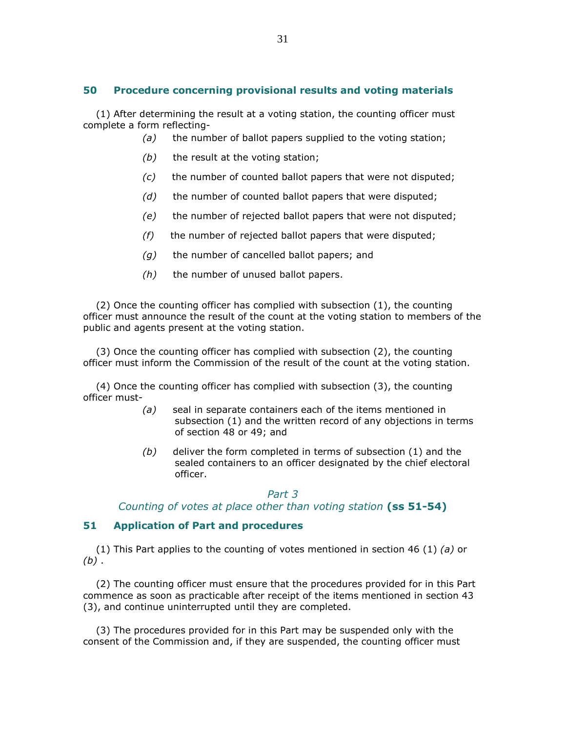## 50 Procedure concerning provisional results and voting materials

 (1) After determining the result at a voting station, the counting officer must complete a form reflecting-

- $(a)$  the number of ballot papers supplied to the voting station;
- $(b)$  the result at the voting station;
- (c) the number of counted ballot papers that were not disputed;
- $(d)$  the number of counted ballot papers that were disputed;
- (e) the number of rejected ballot papers that were not disputed;
- $(f)$  the number of rejected ballot papers that were disputed;
- $(q)$  the number of cancelled ballot papers; and
- $(h)$  the number of unused ballot papers.

 (2) Once the counting officer has complied with subsection (1), the counting officer must announce the result of the count at the voting station to members of the public and agents present at the voting station.

 (3) Once the counting officer has complied with subsection (2), the counting officer must inform the Commission of the result of the count at the voting station.

 (4) Once the counting officer has complied with subsection (3), the counting officer must-

- (a) seal in separate containers each of the items mentioned in subsection (1) and the written record of any objections in terms of section 48 or 49; and
- $(b)$  deliver the form completed in terms of subsection  $(1)$  and the sealed containers to an officer designated by the chief electoral officer.

## Part 3

Counting of votes at place other than voting station (ss 51-54)

## 51 Application of Part and procedures

(1) This Part applies to the counting of votes mentioned in section 46 (1) (a) or  $(b)$ .

 (2) The counting officer must ensure that the procedures provided for in this Part commence as soon as practicable after receipt of the items mentioned in section 43 (3), and continue uninterrupted until they are completed.

 (3) The procedures provided for in this Part may be suspended only with the consent of the Commission and, if they are suspended, the counting officer must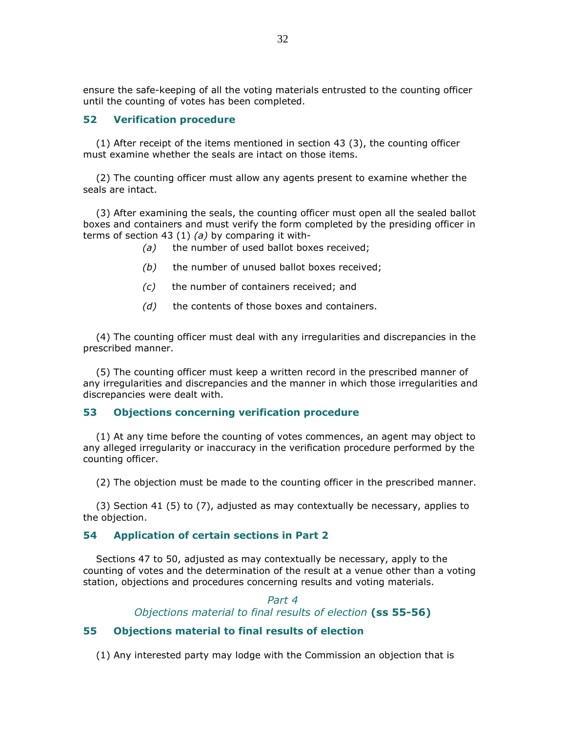ensure the safe-keeping of all the voting materials entrusted to the counting officer until the counting of votes has been completed.

## 52 Verification procedure

 (1) After receipt of the items mentioned in section 43 (3), the counting officer must examine whether the seals are intact on those items.

 (2) The counting officer must allow any agents present to examine whether the seals are intact.

 (3) After examining the seals, the counting officer must open all the sealed ballot boxes and containers and must verify the form completed by the presiding officer in terms of section 43 (1) (a) by comparing it with-

- (a) the number of used ballot boxes received;
- $(b)$  the number of unused ballot boxes received;
- (c) the number of containers received; and
- $(d)$  the contents of those boxes and containers.

 (4) The counting officer must deal with any irregularities and discrepancies in the prescribed manner.

 (5) The counting officer must keep a written record in the prescribed manner of any irregularities and discrepancies and the manner in which those irregularities and discrepancies were dealt with.

### 53 Objections concerning verification procedure

 (1) At any time before the counting of votes commences, an agent may object to any alleged irregularity or inaccuracy in the verification procedure performed by the counting officer.

(2) The objection must be made to the counting officer in the prescribed manner.

 (3) Section 41 (5) to (7), adjusted as may contextually be necessary, applies to the objection.

### 54 Application of certain sections in Part 2

 Sections 47 to 50, adjusted as may contextually be necessary, apply to the counting of votes and the determination of the result at a venue other than a voting station, objections and procedures concerning results and voting materials.

> Part 4 Objections material to final results of election (ss 55-56)

## 55 Objections material to final results of election

(1) Any interested party may lodge with the Commission an objection that is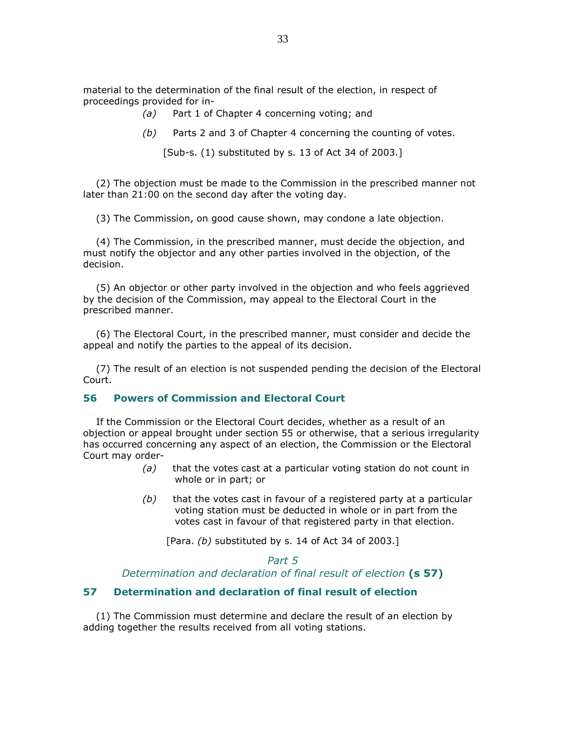material to the determination of the final result of the election, in respect of proceedings provided for in-

- (a) Part 1 of Chapter 4 concerning voting; and
- (b) Parts 2 and 3 of Chapter 4 concerning the counting of votes.

[Sub-s. (1) substituted by s. 13 of Act 34 of 2003.]

 (2) The objection must be made to the Commission in the prescribed manner not later than 21:00 on the second day after the voting day.

(3) The Commission, on good cause shown, may condone a late objection.

 (4) The Commission, in the prescribed manner, must decide the objection, and must notify the objector and any other parties involved in the objection, of the decision.

 (5) An objector or other party involved in the objection and who feels aggrieved by the decision of the Commission, may appeal to the Electoral Court in the prescribed manner.

 (6) The Electoral Court, in the prescribed manner, must consider and decide the appeal and notify the parties to the appeal of its decision.

 (7) The result of an election is not suspended pending the decision of the Electoral Court.

### 56 Powers of Commission and Electoral Court

 If the Commission or the Electoral Court decides, whether as a result of an objection or appeal brought under section 55 or otherwise, that a serious irregularity has occurred concerning any aspect of an election, the Commission or the Electoral Court may order-

- $(a)$  that the votes cast at a particular voting station do not count in whole or in part; or
- $(b)$  that the votes cast in favour of a registered party at a particular voting station must be deducted in whole or in part from the votes cast in favour of that registered party in that election.

[Para.  $(b)$  substituted by s. 14 of Act 34 of 2003.]

### Part 5

Determination and declaration of final result of election  $(s 57)$ 

## 57 Determination and declaration of final result of election

 (1) The Commission must determine and declare the result of an election by adding together the results received from all voting stations.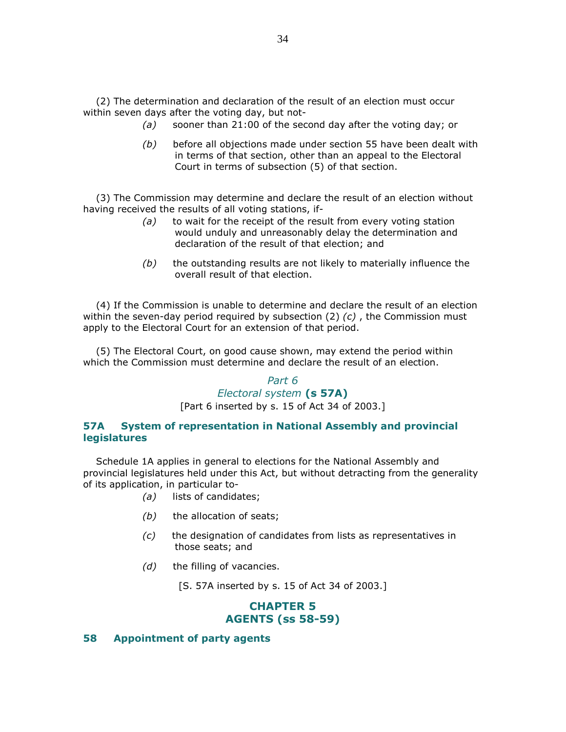(2) The determination and declaration of the result of an election must occur within seven days after the voting day, but not-

- (a) sooner than 21:00 of the second day after the voting day; or
- $(b)$  before all objections made under section 55 have been dealt with in terms of that section, other than an appeal to the Electoral Court in terms of subsection (5) of that section.

 (3) The Commission may determine and declare the result of an election without having received the results of all voting stations, if-

- $(a)$  to wait for the receipt of the result from every voting station would unduly and unreasonably delay the determination and declaration of the result of that election; and
- $(b)$  the outstanding results are not likely to materially influence the overall result of that election.

 (4) If the Commission is unable to determine and declare the result of an election within the seven-day period required by subsection  $(2)$   $(c)$ , the Commission must apply to the Electoral Court for an extension of that period.

 (5) The Electoral Court, on good cause shown, may extend the period within which the Commission must determine and declare the result of an election.

## Part 6 Electoral system (s 57A)

[Part 6 inserted by s. 15 of Act 34 of 2003.]

## 57A System of representation in National Assembly and provincial legislatures

 Schedule 1A applies in general to elections for the National Assembly and provincial legislatures held under this Act, but without detracting from the generality of its application, in particular to-

- (a) lists of candidates;
- $(b)$  the allocation of seats;
- $(c)$  the designation of candidates from lists as representatives in those seats; and
- $(d)$  the filling of vacancies.

[S. 57A inserted by s. 15 of Act 34 of 2003.]

# CHAPTER 5 AGENTS (ss 58-59)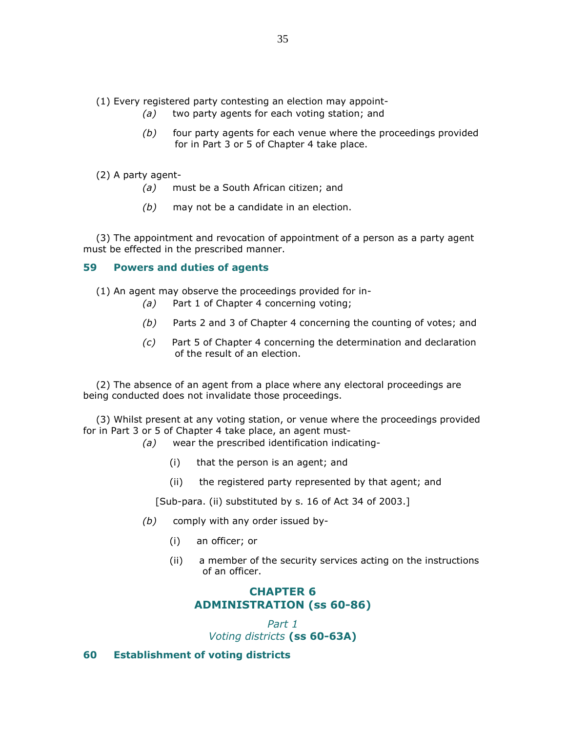- (1) Every registered party contesting an election may appoint-
	- (a) two party agents for each voting station; and
	- $(b)$  four party agents for each venue where the proceedings provided for in Part 3 or 5 of Chapter 4 take place.

(2) A party agent-

- (a) must be a South African citizen; and
- $(b)$  may not be a candidate in an election.

 (3) The appointment and revocation of appointment of a person as a party agent must be effected in the prescribed manner.

## 59 Powers and duties of agents

(1) An agent may observe the proceedings provided for in-

- (a) Part 1 of Chapter 4 concerning voting;
- (b) Parts 2 and 3 of Chapter 4 concerning the counting of votes; and
- (c) Part 5 of Chapter 4 concerning the determination and declaration of the result of an election.

 (2) The absence of an agent from a place where any electoral proceedings are being conducted does not invalidate those proceedings.

 (3) Whilst present at any voting station, or venue where the proceedings provided for in Part 3 or 5 of Chapter 4 take place, an agent must-

- (a) wear the prescribed identification indicating-
	- (i) that the person is an agent; and
	- (ii) the registered party represented by that agent; and

[Sub-para. (ii) substituted by s. 16 of Act 34 of 2003.]

- (b) comply with any order issued by-
	- (i) an officer; or
	- (ii) a member of the security services acting on the instructions of an officer.

# CHAPTER 6 ADMINISTRATION (ss 60-86)

Part 1 Voting districts (ss 60-63A)

## 60 Establishment of voting districts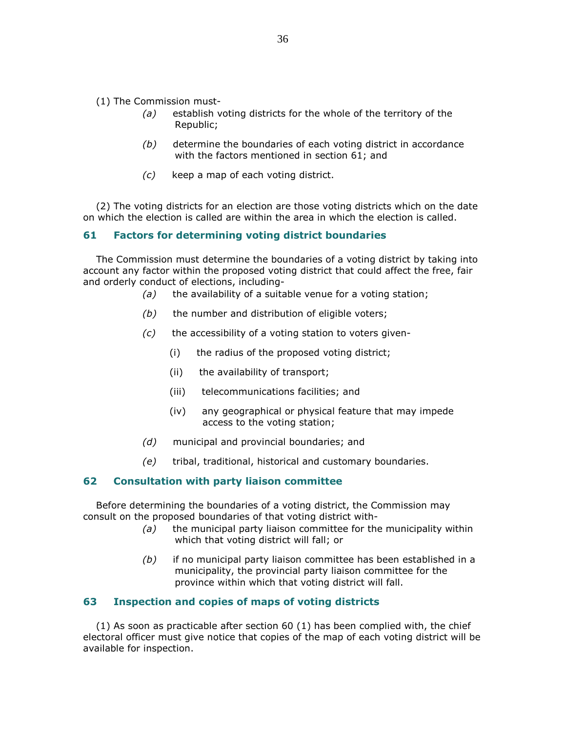- (1) The Commission must-
	- (a) establish voting districts for the whole of the territory of the Republic;
	- (b) determine the boundaries of each voting district in accordance with the factors mentioned in section 61; and
	- (c) keep a map of each voting district.

 (2) The voting districts for an election are those voting districts which on the date on which the election is called are within the area in which the election is called.

### 61 Factors for determining voting district boundaries

 The Commission must determine the boundaries of a voting district by taking into account any factor within the proposed voting district that could affect the free, fair and orderly conduct of elections, including-

- $(a)$  the availability of a suitable venue for a voting station;
- $(b)$  the number and distribution of eligible voters;
- $(c)$  the accessibility of a voting station to voters given-
	- (i) the radius of the proposed voting district;
	- (ii) the availability of transport;
	- (iii) telecommunications facilities; and
	- (iv) any geographical or physical feature that may impede access to the voting station;
- (d) municipal and provincial boundaries; and
- (e) tribal, traditional, historical and customary boundaries.

### 62 Consultation with party liaison committee

 Before determining the boundaries of a voting district, the Commission may consult on the proposed boundaries of that voting district with-

- $(a)$  the municipal party liaison committee for the municipality within which that voting district will fall; or
- $(b)$  if no municipal party liaison committee has been established in a municipality, the provincial party liaison committee for the province within which that voting district will fall.

### 63 Inspection and copies of maps of voting districts

 (1) As soon as practicable after section 60 (1) has been complied with, the chief electoral officer must give notice that copies of the map of each voting district will be available for inspection.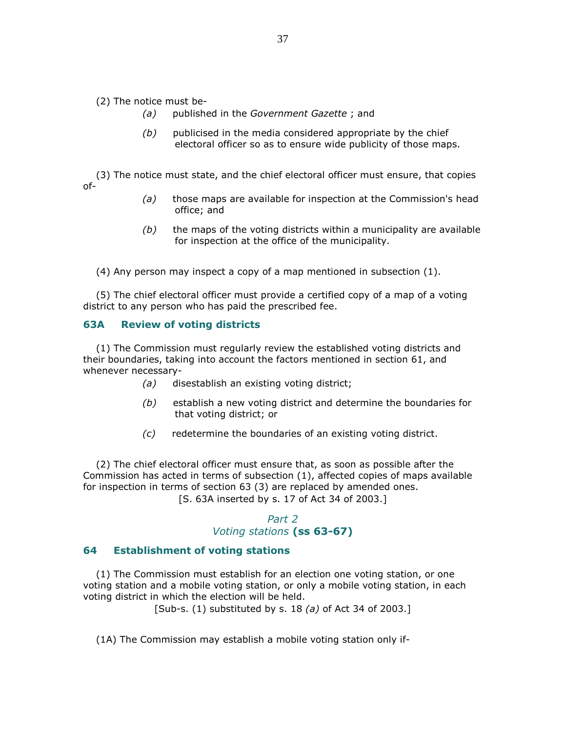(2) The notice must be-

- (a) published in the Government Gazette; and
- $(b)$  publicised in the media considered appropriate by the chief electoral officer so as to ensure wide publicity of those maps.

 (3) The notice must state, and the chief electoral officer must ensure, that copies of-

- $(a)$  those maps are available for inspection at the Commission's head office; and
- $(b)$  the maps of the voting districts within a municipality are available for inspection at the office of the municipality.

(4) Any person may inspect a copy of a map mentioned in subsection (1).

 (5) The chief electoral officer must provide a certified copy of a map of a voting district to any person who has paid the prescribed fee.

### 63A Review of voting districts

 (1) The Commission must regularly review the established voting districts and their boundaries, taking into account the factors mentioned in section 61, and whenever necessary-

- (a) disestablish an existing voting district;
- $(b)$  establish a new voting district and determine the boundaries for that voting district; or
- (c) redetermine the boundaries of an existing voting district.

 (2) The chief electoral officer must ensure that, as soon as possible after the Commission has acted in terms of subsection (1), affected copies of maps available for inspection in terms of section 63 (3) are replaced by amended ones. [S. 63A inserted by s. 17 of Act 34 of 2003.]

# Part 2 Voting stations (ss 63-67)

#### 64 Establishment of voting stations

 (1) The Commission must establish for an election one voting station, or one voting station and a mobile voting station, or only a mobile voting station, in each voting district in which the election will be held.

[Sub-s.  $(1)$  substituted by s. 18  $(a)$  of Act 34 of 2003.]

(1A) The Commission may establish a mobile voting station only if-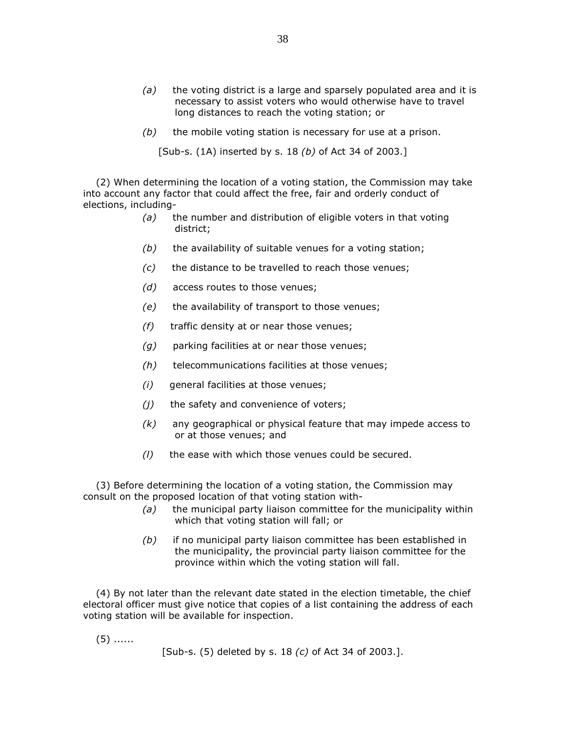- $(a)$  the voting district is a large and sparsely populated area and it is necessary to assist voters who would otherwise have to travel long distances to reach the voting station; or
- $(b)$  the mobile voting station is necessary for use at a prison.

[Sub-s. (1A) inserted by s. 18 (b) of Act 34 of 2003.]

 (2) When determining the location of a voting station, the Commission may take into account any factor that could affect the free, fair and orderly conduct of elections, including-

- $(a)$  the number and distribution of eligible voters in that voting district;
- $(b)$  the availability of suitable venues for a voting station;
- $(c)$  the distance to be travelled to reach those venues;
- (d) access routes to those venues;
- $(e)$  the availability of transport to those venues;
- $(f)$  traffic density at or near those venues;
- $(g)$  parking facilities at or near those venues;
- (h) telecommunications facilities at those venues;
- (i) general facilities at those venues;
- $(i)$  the safety and convenience of voters;
- $(k)$  any geographical or physical feature that may impede access to or at those venues; and
- $(l)$  the ease with which those venues could be secured.

 (3) Before determining the location of a voting station, the Commission may consult on the proposed location of that voting station with-

- $(a)$  the municipal party liaison committee for the municipality within which that voting station will fall; or
- $(b)$  if no municipal party liaison committee has been established in the municipality, the provincial party liaison committee for the province within which the voting station will fall.

 (4) By not later than the relevant date stated in the election timetable, the chief electoral officer must give notice that copies of a list containing the address of each voting station will be available for inspection.

(5) ......

[Sub-s. (5) deleted by s. 18 (c) of Act 34 of 2003.].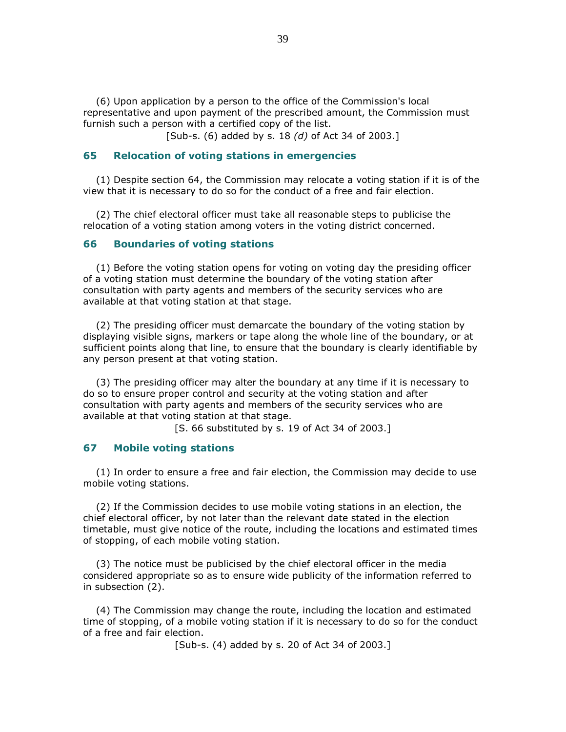(6) Upon application by a person to the office of the Commission's local representative and upon payment of the prescribed amount, the Commission must furnish such a person with a certified copy of the list.

[Sub-s. (6) added by s. 18 (d) of Act 34 of 2003.]

### 65 Relocation of voting stations in emergencies

 (1) Despite section 64, the Commission may relocate a voting station if it is of the view that it is necessary to do so for the conduct of a free and fair election.

 (2) The chief electoral officer must take all reasonable steps to publicise the relocation of a voting station among voters in the voting district concerned.

### 66 Boundaries of voting stations

 (1) Before the voting station opens for voting on voting day the presiding officer of a voting station must determine the boundary of the voting station after consultation with party agents and members of the security services who are available at that voting station at that stage.

 (2) The presiding officer must demarcate the boundary of the voting station by displaying visible signs, markers or tape along the whole line of the boundary, or at sufficient points along that line, to ensure that the boundary is clearly identifiable by any person present at that voting station.

 (3) The presiding officer may alter the boundary at any time if it is necessary to do so to ensure proper control and security at the voting station and after consultation with party agents and members of the security services who are available at that voting station at that stage.

[S. 66 substituted by s. 19 of Act 34 of 2003.]

### 67 Mobile voting stations

 (1) In order to ensure a free and fair election, the Commission may decide to use mobile voting stations.

 (2) If the Commission decides to use mobile voting stations in an election, the chief electoral officer, by not later than the relevant date stated in the election timetable, must give notice of the route, including the locations and estimated times of stopping, of each mobile voting station.

 (3) The notice must be publicised by the chief electoral officer in the media considered appropriate so as to ensure wide publicity of the information referred to in subsection (2).

 (4) The Commission may change the route, including the location and estimated time of stopping, of a mobile voting station if it is necessary to do so for the conduct of a free and fair election.

[Sub-s. (4) added by s. 20 of Act 34 of 2003.]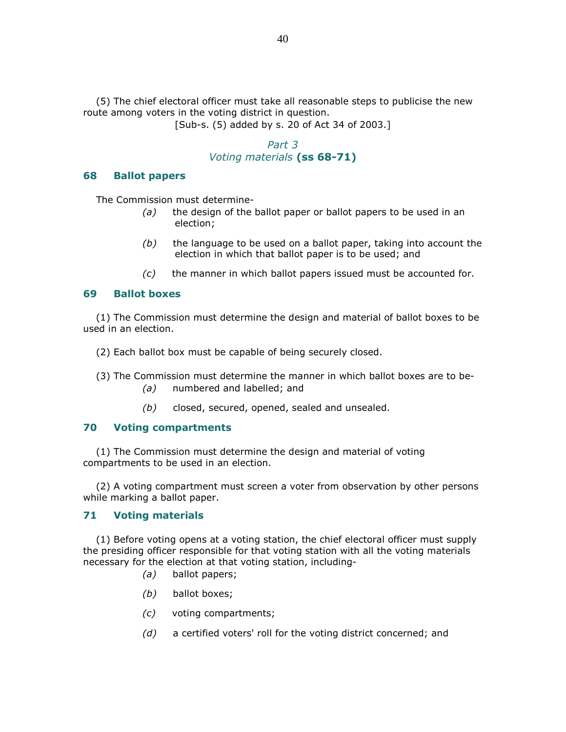(5) The chief electoral officer must take all reasonable steps to publicise the new route among voters in the voting district in question.

[Sub-s. (5) added by s. 20 of Act 34 of 2003.]

# Part 3 Voting materials (ss 68-71)

### 68 Ballot papers

The Commission must determine-

- $(a)$  the design of the ballot paper or ballot papers to be used in an election;
- $(b)$  the language to be used on a ballot paper, taking into account the election in which that ballot paper is to be used; and
- (c) the manner in which ballot papers issued must be accounted for.

### 69 Ballot boxes

 (1) The Commission must determine the design and material of ballot boxes to be used in an election.

(2) Each ballot box must be capable of being securely closed.

- (3) The Commission must determine the manner in which ballot boxes are to be-
	- (a) numbered and labelled; and
	- $(b)$  closed, secured, opened, sealed and unsealed.

### 70 Voting compartments

 (1) The Commission must determine the design and material of voting compartments to be used in an election.

 (2) A voting compartment must screen a voter from observation by other persons while marking a ballot paper.

### 71 Voting materials

 (1) Before voting opens at a voting station, the chief electoral officer must supply the presiding officer responsible for that voting station with all the voting materials necessary for the election at that voting station, including-

- (a) ballot papers;
- (b) ballot boxes;
- (c) voting compartments;
- (d) a certified voters' roll for the voting district concerned; and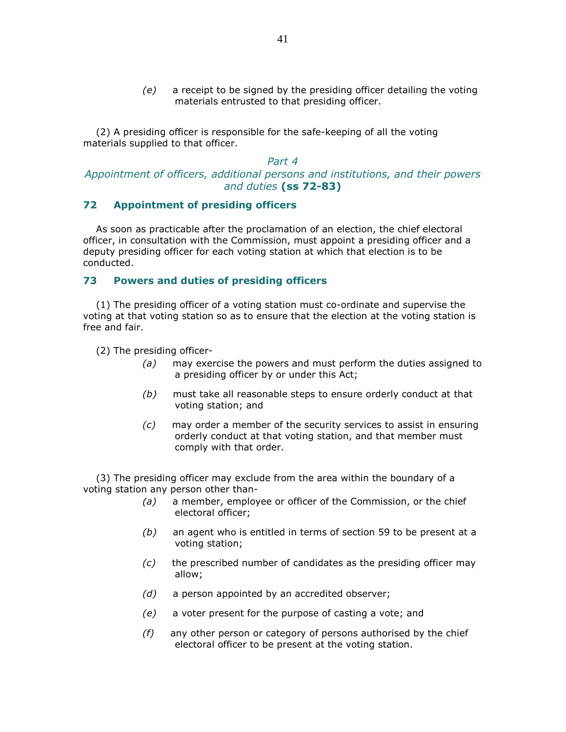$(e)$  a receipt to be signed by the presiding officer detailing the voting materials entrusted to that presiding officer.

 (2) A presiding officer is responsible for the safe-keeping of all the voting materials supplied to that officer.

### Part 4 Appointment of officers, additional persons and institutions, and their powers and duties (ss 72-83)

### 72 Appointment of presiding officers

 As soon as practicable after the proclamation of an election, the chief electoral officer, in consultation with the Commission, must appoint a presiding officer and a deputy presiding officer for each voting station at which that election is to be conducted.

### 73 Powers and duties of presiding officers

 (1) The presiding officer of a voting station must co-ordinate and supervise the voting at that voting station so as to ensure that the election at the voting station is free and fair.

- (2) The presiding officer-
	- $(a)$  may exercise the powers and must perform the duties assigned to a presiding officer by or under this Act;
	- $(b)$  must take all reasonable steps to ensure orderly conduct at that voting station; and
	- (c) may order a member of the security services to assist in ensuring orderly conduct at that voting station, and that member must comply with that order.

 (3) The presiding officer may exclude from the area within the boundary of a voting station any person other than-

- (a) a member, employee or officer of the Commission, or the chief electoral officer;
- $(b)$  an agent who is entitled in terms of section 59 to be present at a voting station;
- $(c)$  the prescribed number of candidates as the presiding officer may allow;
- $(d)$  a person appointed by an accredited observer;
- (e) a voter present for the purpose of casting a vote; and
- $(f)$  any other person or category of persons authorised by the chief electoral officer to be present at the voting station.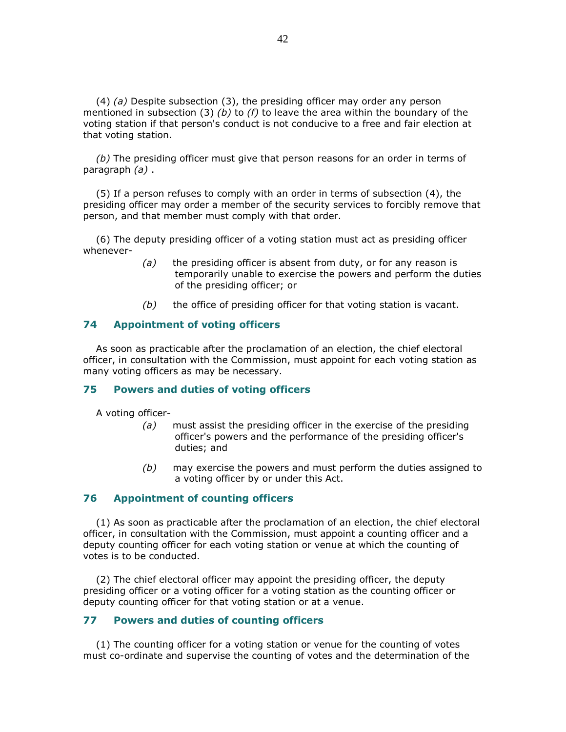(4) (a) Despite subsection (3), the presiding officer may order any person mentioned in subsection (3) (b) to (f) to leave the area within the boundary of the voting station if that person's conduct is not conducive to a free and fair election at that voting station.

(b) The presiding officer must give that person reasons for an order in terms of paragraph (a) .

 (5) If a person refuses to comply with an order in terms of subsection (4), the presiding officer may order a member of the security services to forcibly remove that person, and that member must comply with that order.

 (6) The deputy presiding officer of a voting station must act as presiding officer whenever-

- (a) the presiding officer is absent from duty, or for any reason is temporarily unable to exercise the powers and perform the duties of the presiding officer; or
- $(b)$  the office of presiding officer for that voting station is vacant.

#### 74 Appointment of voting officers

 As soon as practicable after the proclamation of an election, the chief electoral officer, in consultation with the Commission, must appoint for each voting station as many voting officers as may be necessary.

#### 75 Powers and duties of voting officers

A voting officer-

- $(a)$  must assist the presiding officer in the exercise of the presiding officer's powers and the performance of the presiding officer's duties; and
- (b) may exercise the powers and must perform the duties assigned to a voting officer by or under this Act.

### 76 Appointment of counting officers

 (1) As soon as practicable after the proclamation of an election, the chief electoral officer, in consultation with the Commission, must appoint a counting officer and a deputy counting officer for each voting station or venue at which the counting of votes is to be conducted.

 (2) The chief electoral officer may appoint the presiding officer, the deputy presiding officer or a voting officer for a voting station as the counting officer or deputy counting officer for that voting station or at a venue.

### 77 Powers and duties of counting officers

 (1) The counting officer for a voting station or venue for the counting of votes must co-ordinate and supervise the counting of votes and the determination of the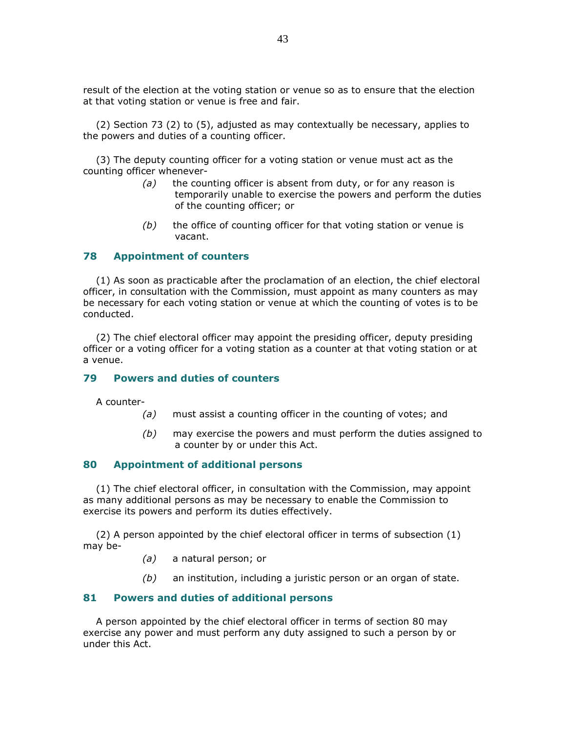result of the election at the voting station or venue so as to ensure that the election at that voting station or venue is free and fair.

 (2) Section 73 (2) to (5), adjusted as may contextually be necessary, applies to the powers and duties of a counting officer.

 (3) The deputy counting officer for a voting station or venue must act as the counting officer whenever-

- $(a)$  the counting officer is absent from duty, or for any reason is temporarily unable to exercise the powers and perform the duties of the counting officer; or
- $(b)$  the office of counting officer for that voting station or venue is vacant.

### 78 Appointment of counters

 (1) As soon as practicable after the proclamation of an election, the chief electoral officer, in consultation with the Commission, must appoint as many counters as may be necessary for each voting station or venue at which the counting of votes is to be conducted.

 (2) The chief electoral officer may appoint the presiding officer, deputy presiding officer or a voting officer for a voting station as a counter at that voting station or at a venue.

# 79 Powers and duties of counters

A counter-

- $(a)$  must assist a counting officer in the counting of votes; and
- $(b)$  may exercise the powers and must perform the duties assigned to a counter by or under this Act.

### 80 Appointment of additional persons

 (1) The chief electoral officer, in consultation with the Commission, may appoint as many additional persons as may be necessary to enable the Commission to exercise its powers and perform its duties effectively.

 (2) A person appointed by the chief electoral officer in terms of subsection (1) may be-

- (a) a natural person; or
- $(b)$  an institution, including a juristic person or an organ of state.

#### 81 Powers and duties of additional persons

 A person appointed by the chief electoral officer in terms of section 80 may exercise any power and must perform any duty assigned to such a person by or under this Act.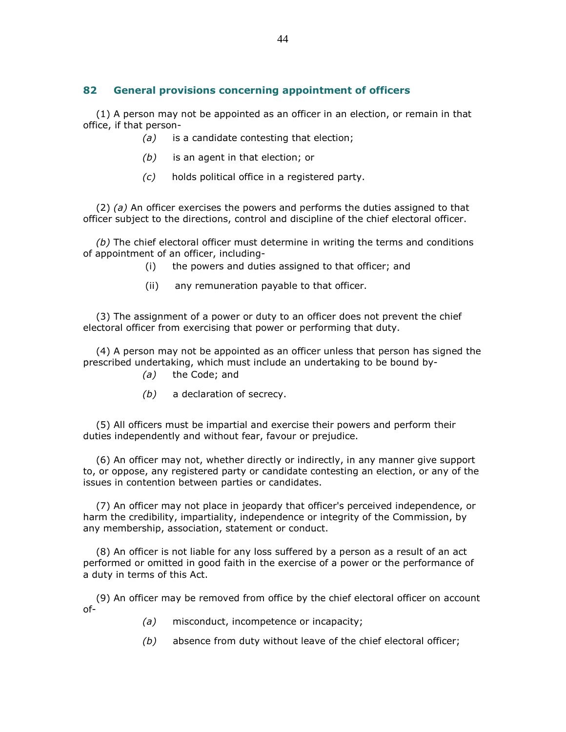# 82 General provisions concerning appointment of officers

 (1) A person may not be appointed as an officer in an election, or remain in that office, if that person-

- (a) is a candidate contesting that election;
- $(b)$  is an agent in that election; or
- (c) holds political office in a registered party.

(2) (a) An officer exercises the powers and performs the duties assigned to that officer subject to the directions, control and discipline of the chief electoral officer.

(b) The chief electoral officer must determine in writing the terms and conditions of appointment of an officer, including-

- (i) the powers and duties assigned to that officer; and
- (ii) any remuneration payable to that officer.

 (3) The assignment of a power or duty to an officer does not prevent the chief electoral officer from exercising that power or performing that duty.

 (4) A person may not be appointed as an officer unless that person has signed the prescribed undertaking, which must include an undertaking to be bound by-

- (a) the Code; and
- (b) a declaration of secrecy.

 (5) All officers must be impartial and exercise their powers and perform their duties independently and without fear, favour or prejudice.

 (6) An officer may not, whether directly or indirectly, in any manner give support to, or oppose, any registered party or candidate contesting an election, or any of the issues in contention between parties or candidates.

 (7) An officer may not place in jeopardy that officer's perceived independence, or harm the credibility, impartiality, independence or integrity of the Commission, by any membership, association, statement or conduct.

 (8) An officer is not liable for any loss suffered by a person as a result of an act performed or omitted in good faith in the exercise of a power or the performance of a duty in terms of this Act.

 (9) An officer may be removed from office by the chief electoral officer on account of-

- (a) misconduct, incompetence or incapacity;
- $(b)$  absence from duty without leave of the chief electoral officer;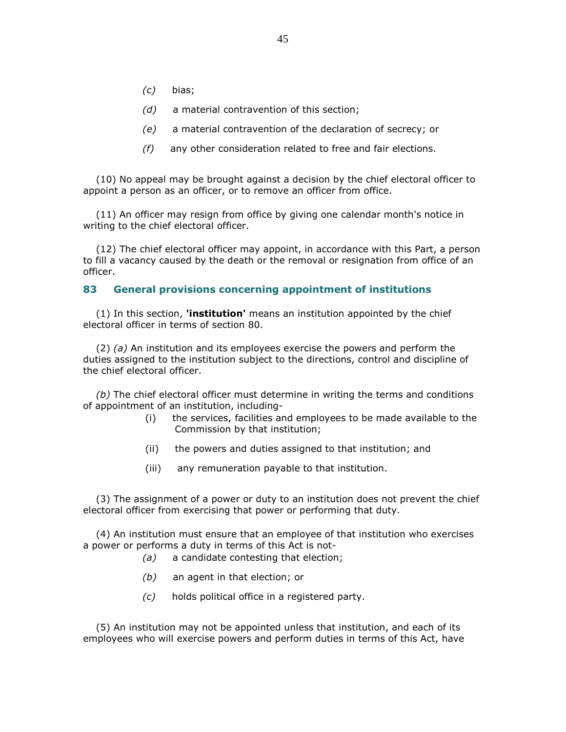- (c) bias;
- (d) a material contravention of this section;
- (e) a material contravention of the declaration of secrecy; or
- $(f)$  any other consideration related to free and fair elections.

 (10) No appeal may be brought against a decision by the chief electoral officer to appoint a person as an officer, or to remove an officer from office.

 (11) An officer may resign from office by giving one calendar month's notice in writing to the chief electoral officer.

 (12) The chief electoral officer may appoint, in accordance with this Part, a person to fill a vacancy caused by the death or the removal or resignation from office of an officer.

### 83 General provisions concerning appointment of institutions

 $(1)$  In this section, **'institution'** means an institution appointed by the chief electoral officer in terms of section 80.

 $(2)$  (a) An institution and its employees exercise the powers and perform the duties assigned to the institution subject to the directions, control and discipline of the chief electoral officer.

 $(b)$  The chief electoral officer must determine in writing the terms and conditions of appointment of an institution, including-

- (i) the services, facilities and employees to be made available to the Commission by that institution;
- (ii) the powers and duties assigned to that institution; and
- (iii) any remuneration payable to that institution.

 (3) The assignment of a power or duty to an institution does not prevent the chief electoral officer from exercising that power or performing that duty.

 (4) An institution must ensure that an employee of that institution who exercises a power or performs a duty in terms of this Act is not-

- (a) a candidate contesting that election;
- (b) an agent in that election; or
- (c) holds political office in a registered party.

 (5) An institution may not be appointed unless that institution, and each of its employees who will exercise powers and perform duties in terms of this Act, have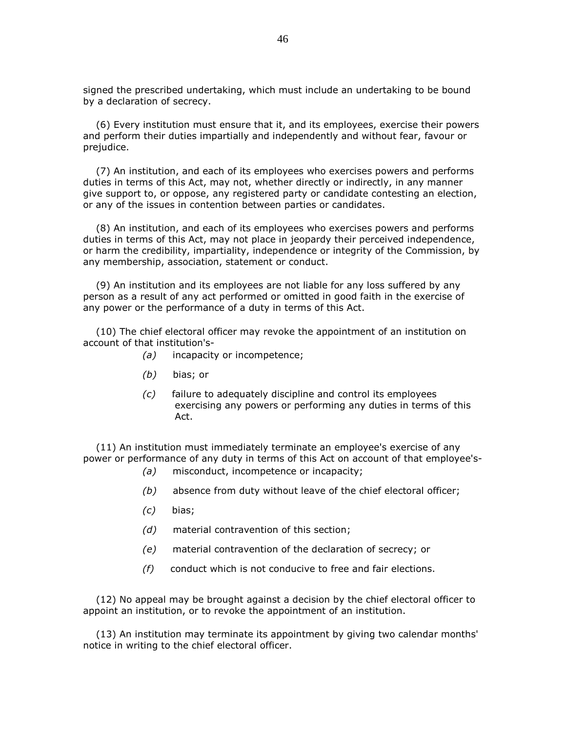signed the prescribed undertaking, which must include an undertaking to be bound by a declaration of secrecy.

 (6) Every institution must ensure that it, and its employees, exercise their powers and perform their duties impartially and independently and without fear, favour or prejudice.

 (7) An institution, and each of its employees who exercises powers and performs duties in terms of this Act, may not, whether directly or indirectly, in any manner give support to, or oppose, any registered party or candidate contesting an election, or any of the issues in contention between parties or candidates.

 (8) An institution, and each of its employees who exercises powers and performs duties in terms of this Act, may not place in jeopardy their perceived independence, or harm the credibility, impartiality, independence or integrity of the Commission, by any membership, association, statement or conduct.

 (9) An institution and its employees are not liable for any loss suffered by any person as a result of any act performed or omitted in good faith in the exercise of any power or the performance of a duty in terms of this Act.

 (10) The chief electoral officer may revoke the appointment of an institution on account of that institution's-

- (a) incapacity or incompetence;
- (b) bias; or
- (c) failure to adequately discipline and control its employees exercising any powers or performing any duties in terms of this Act.

 (11) An institution must immediately terminate an employee's exercise of any power or performance of any duty in terms of this Act on account of that employee's-

- (a) misconduct, incompetence or incapacity;
- $(b)$  absence from duty without leave of the chief electoral officer;
- (c) bias;
- (d) material contravention of this section;
- (e) material contravention of the declaration of secrecy; or
- $(f)$  conduct which is not conducive to free and fair elections.

 (12) No appeal may be brought against a decision by the chief electoral officer to appoint an institution, or to revoke the appointment of an institution.

 (13) An institution may terminate its appointment by giving two calendar months' notice in writing to the chief electoral officer.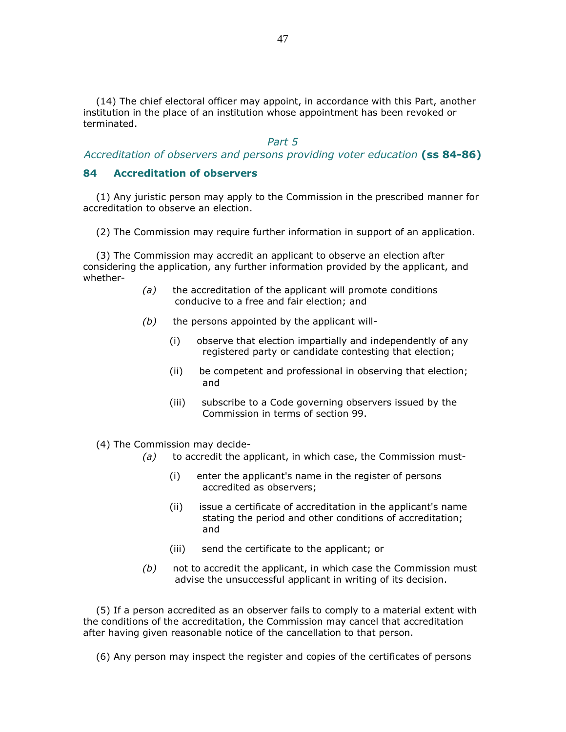(14) The chief electoral officer may appoint, in accordance with this Part, another institution in the place of an institution whose appointment has been revoked or terminated.

#### Part 5

#### Accreditation of observers and persons providing voter education (ss 84-86)

### 84 Accreditation of observers

 (1) Any juristic person may apply to the Commission in the prescribed manner for accreditation to observe an election.

(2) The Commission may require further information in support of an application.

 (3) The Commission may accredit an applicant to observe an election after considering the application, any further information provided by the applicant, and whether-

- $(a)$  the accreditation of the applicant will promote conditions conducive to a free and fair election; and
- $(b)$  the persons appointed by the applicant will-
	- (i) observe that election impartially and independently of any registered party or candidate contesting that election;
	- (ii) be competent and professional in observing that election; and
	- (iii) subscribe to a Code governing observers issued by the Commission in terms of section 99.
- (4) The Commission may decide-
	- $(a)$  to accredit the applicant, in which case, the Commission must-
		- (i) enter the applicant's name in the register of persons accredited as observers;
		- (ii) issue a certificate of accreditation in the applicant's name stating the period and other conditions of accreditation; and
		- (iii) send the certificate to the applicant; or
	- $(b)$  not to accredit the applicant, in which case the Commission must advise the unsuccessful applicant in writing of its decision.

 (5) If a person accredited as an observer fails to comply to a material extent with the conditions of the accreditation, the Commission may cancel that accreditation after having given reasonable notice of the cancellation to that person.

(6) Any person may inspect the register and copies of the certificates of persons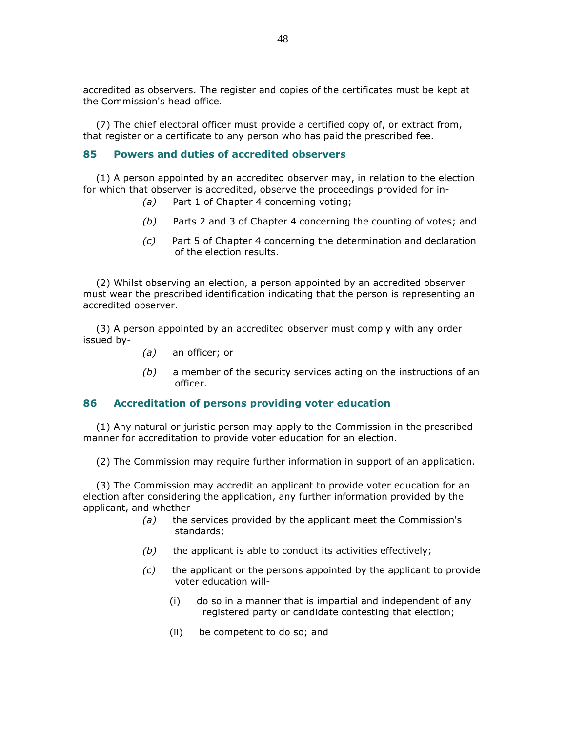accredited as observers. The register and copies of the certificates must be kept at the Commission's head office.

 (7) The chief electoral officer must provide a certified copy of, or extract from, that register or a certificate to any person who has paid the prescribed fee.

### 85 Powers and duties of accredited observers

 (1) A person appointed by an accredited observer may, in relation to the election for which that observer is accredited, observe the proceedings provided for in-

- (a) Part 1 of Chapter 4 concerning voting;
- (b) Parts 2 and 3 of Chapter 4 concerning the counting of votes; and
- (c) Part 5 of Chapter 4 concerning the determination and declaration of the election results.

 (2) Whilst observing an election, a person appointed by an accredited observer must wear the prescribed identification indicating that the person is representing an accredited observer.

 (3) A person appointed by an accredited observer must comply with any order issued by-

- (a) an officer; or
- $(b)$  a member of the security services acting on the instructions of an officer.

### 86 Accreditation of persons providing voter education

 (1) Any natural or juristic person may apply to the Commission in the prescribed manner for accreditation to provide voter education for an election.

(2) The Commission may require further information in support of an application.

 (3) The Commission may accredit an applicant to provide voter education for an election after considering the application, any further information provided by the applicant, and whether-

- $(a)$  the services provided by the applicant meet the Commission's standards;
- $(b)$  the applicant is able to conduct its activities effectively;
- $(c)$  the applicant or the persons appointed by the applicant to provide voter education will-
	- (i) do so in a manner that is impartial and independent of any registered party or candidate contesting that election;
	- (ii) be competent to do so; and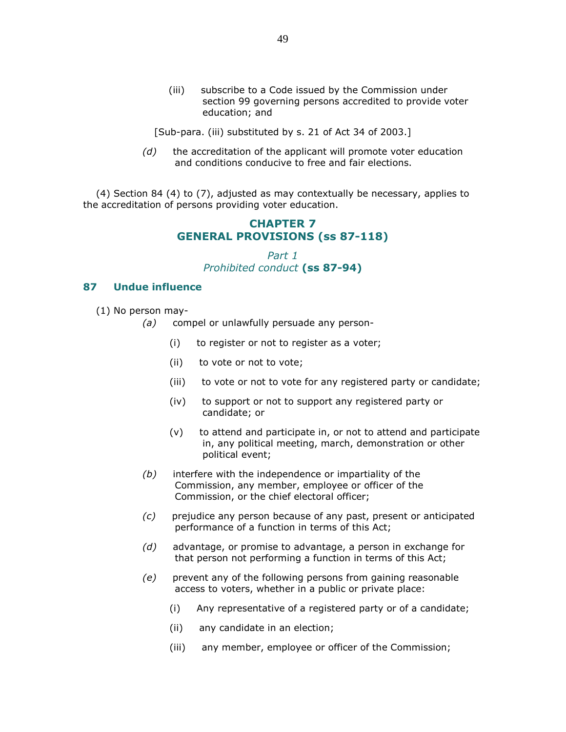(iii) subscribe to a Code issued by the Commission under section 99 governing persons accredited to provide voter education; and

[Sub-para. (iii) substituted by s. 21 of Act 34 of 2003.]

 $(d)$  the accreditation of the applicant will promote voter education and conditions conducive to free and fair elections.

 (4) Section 84 (4) to (7), adjusted as may contextually be necessary, applies to the accreditation of persons providing voter education.

# CHAPTER 7 GENERAL PROVISIONS (ss 87-118)

Part 1 Prohibited conduct (ss 87-94)

### 87 Undue influence

(1) No person may-

- (a) compel or unlawfully persuade any person-
	- (i) to register or not to register as a voter;
	- (ii) to vote or not to vote;
	- (iii) to vote or not to vote for any registered party or candidate;
	- (iv) to support or not to support any registered party or candidate; or
	- (v) to attend and participate in, or not to attend and participate in, any political meeting, march, demonstration or other political event;
- $(b)$  interfere with the independence or impartiality of the Commission, any member, employee or officer of the Commission, or the chief electoral officer;
- (c) prejudice any person because of any past, present or anticipated performance of a function in terms of this Act;
- (d) advantage, or promise to advantage, a person in exchange for that person not performing a function in terms of this Act;
- (e) prevent any of the following persons from gaining reasonable access to voters, whether in a public or private place:
	- (i) Any representative of a registered party or of a candidate;
	- (ii) any candidate in an election;
	- (iii) any member, employee or officer of the Commission;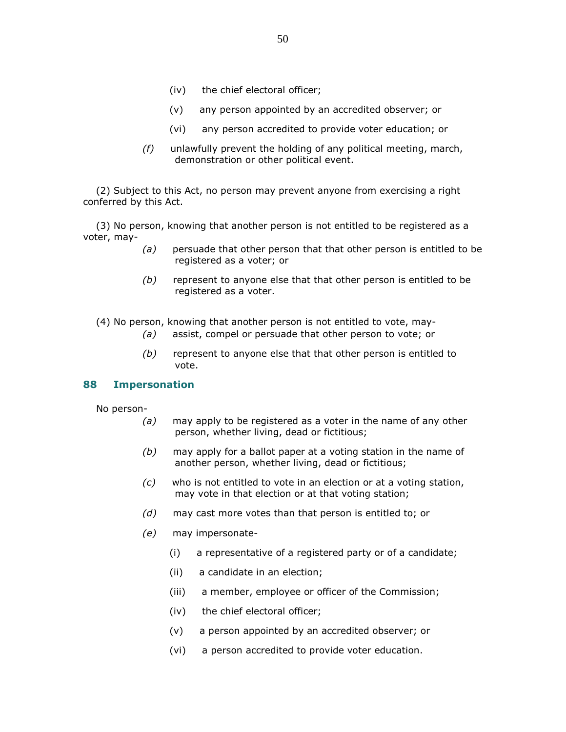- (iv) the chief electoral officer;
- (v) any person appointed by an accredited observer; or
- (vi) any person accredited to provide voter education; or
- $(f)$  unlawfully prevent the holding of any political meeting, march, demonstration or other political event.

 (2) Subject to this Act, no person may prevent anyone from exercising a right conferred by this Act.

 (3) No person, knowing that another person is not entitled to be registered as a voter, may-

- $(a)$  persuade that other person that that other person is entitled to be registered as a voter; or
- $(b)$  represent to anyone else that that other person is entitled to be registered as a voter.

(4) No person, knowing that another person is not entitled to vote, may-

- (a) assist, compel or persuade that other person to vote; or
- $(b)$  represent to anyone else that that other person is entitled to vote.

#### 88 Impersonation

No person-

- $(a)$  may apply to be registered as a voter in the name of any other person, whether living, dead or fictitious;
- $(b)$  may apply for a ballot paper at a voting station in the name of another person, whether living, dead or fictitious;
- (c) who is not entitled to vote in an election or at a voting station, may vote in that election or at that voting station;
- (d) may cast more votes than that person is entitled to; or
- (e) may impersonate-
	- (i) a representative of a registered party or of a candidate;
	- (ii) a candidate in an election;
	- (iii) a member, employee or officer of the Commission;
	- (iv) the chief electoral officer;
	- (v) a person appointed by an accredited observer; or
	- (vi) a person accredited to provide voter education.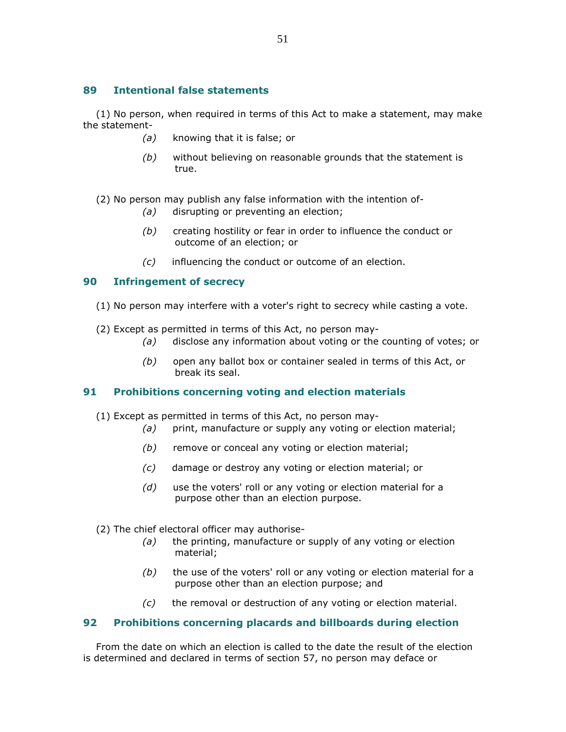# 89 Intentional false statements

 (1) No person, when required in terms of this Act to make a statement, may make the statement-

- (a) knowing that it is false; or
- (b) without believing on reasonable grounds that the statement is true.

(2) No person may publish any false information with the intention of-

- (a) disrupting or preventing an election;
- $(b)$  creating hostility or fear in order to influence the conduct or outcome of an election; or
- (c) influencing the conduct or outcome of an election.

# 90 Infringement of secrecy

- (1) No person may interfere with a voter's right to secrecy while casting a vote.
- (2) Except as permitted in terms of this Act, no person may-
	- (a) disclose any information about voting or the counting of votes; or
	- $(b)$  open any ballot box or container sealed in terms of this Act, or break its seal.

# 91 Prohibitions concerning voting and election materials

- (1) Except as permitted in terms of this Act, no person may-
	- (a) print, manufacture or supply any voting or election material;
	- (b) remove or conceal any voting or election material;
	- (c) damage or destroy any voting or election material; or
	- $(d)$  use the voters' roll or any voting or election material for a purpose other than an election purpose.
- (2) The chief electoral officer may authorise-
	- $(a)$  the printing, manufacture or supply of any voting or election material;
	- $(b)$  the use of the voters' roll or any voting or election material for a purpose other than an election purpose; and
	- $(c)$  the removal or destruction of any voting or election material.

# 92 Prohibitions concerning placards and billboards during election

 From the date on which an election is called to the date the result of the election is determined and declared in terms of section 57, no person may deface or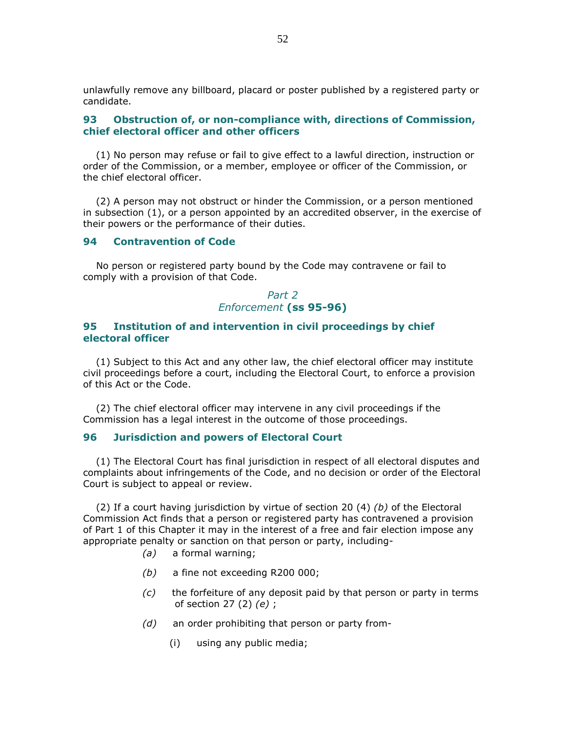unlawfully remove any billboard, placard or poster published by a registered party or candidate.

### 93 Obstruction of, or non-compliance with, directions of Commission, chief electoral officer and other officers

 (1) No person may refuse or fail to give effect to a lawful direction, instruction or order of the Commission, or a member, employee or officer of the Commission, or the chief electoral officer.

 (2) A person may not obstruct or hinder the Commission, or a person mentioned in subsection (1), or a person appointed by an accredited observer, in the exercise of their powers or the performance of their duties.

#### 94 Contravention of Code

 No person or registered party bound by the Code may contravene or fail to comply with a provision of that Code.

> Part 2 Enforcement (ss 95-96)

### 95 Institution of and intervention in civil proceedings by chief electoral officer

 (1) Subject to this Act and any other law, the chief electoral officer may institute civil proceedings before a court, including the Electoral Court, to enforce a provision of this Act or the Code.

 (2) The chief electoral officer may intervene in any civil proceedings if the Commission has a legal interest in the outcome of those proceedings.

### 96 Jurisdiction and powers of Electoral Court

 (1) The Electoral Court has final jurisdiction in respect of all electoral disputes and complaints about infringements of the Code, and no decision or order of the Electoral Court is subject to appeal or review.

(2) If a court having jurisdiction by virtue of section 20  $(4)$  (b) of the Electoral Commission Act finds that a person or registered party has contravened a provision of Part 1 of this Chapter it may in the interest of a free and fair election impose any appropriate penalty or sanction on that person or party, including-

- (a) a formal warning;
- (b) a fine not exceeding R200 000;
- $(c)$  the forfeiture of any deposit paid by that person or party in terms of section 27 (2) (e) ;
- $(d)$  an order prohibiting that person or party from-
	- (i) using any public media;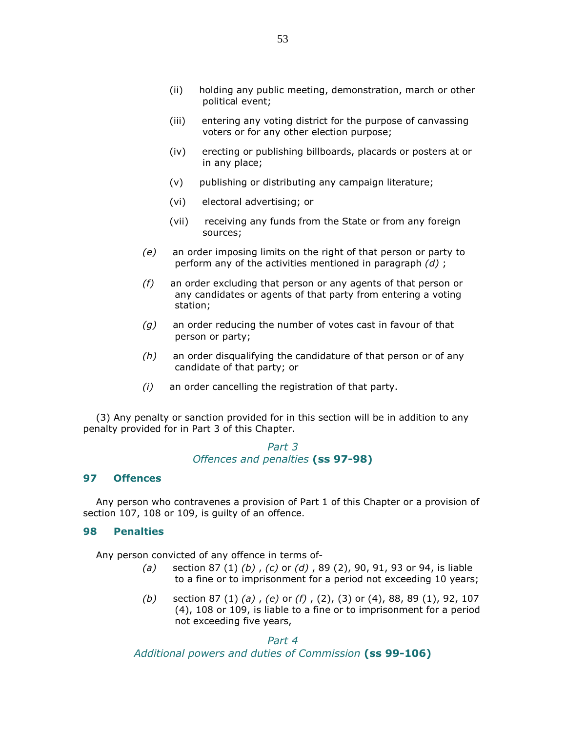- (ii) holding any public meeting, demonstration, march or other political event;
- (iii) entering any voting district for the purpose of canvassing voters or for any other election purpose;
- (iv) erecting or publishing billboards, placards or posters at or in any place;
- (v) publishing or distributing any campaign literature;
- (vi) electoral advertising; or
- (vii) receiving any funds from the State or from any foreign sources;
- (e) an order imposing limits on the right of that person or party to perform any of the activities mentioned in paragraph  $(d)$ ;
- $(f)$  an order excluding that person or any agents of that person or any candidates or agents of that party from entering a voting station;
- $(g)$  an order reducing the number of votes cast in favour of that person or party;
- $(h)$  an order disqualifying the candidature of that person or of any candidate of that party; or
- (i) an order cancelling the registration of that party.

 (3) Any penalty or sanction provided for in this section will be in addition to any penalty provided for in Part 3 of this Chapter.

### Part 3 Offences and penalties (ss 97-98)

### 97 Offences

 Any person who contravenes a provision of Part 1 of this Chapter or a provision of section 107, 108 or 109, is guilty of an offence.

#### 98 Penalties

Any person convicted of any offence in terms of-

- (a) section 87 (1) (b), (c) or (d), 89 (2), 90, 91, 93 or 94, is liable to a fine or to imprisonment for a period not exceeding 10 years;
- (b) section 87 (1) (a), (e) or (f), (2), (3) or (4), 88, 89 (1), 92, 107 (4), 108 or 109, is liable to a fine or to imprisonment for a period not exceeding five years,

Part 4 Additional powers and duties of Commission (ss 99-106)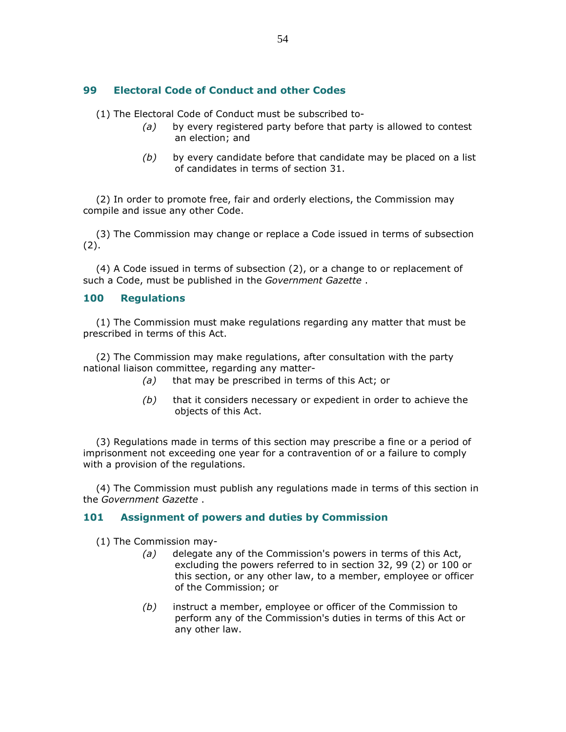# 99 Electoral Code of Conduct and other Codes

(1) The Electoral Code of Conduct must be subscribed to-

- $(a)$  by every registered party before that party is allowed to contest an election; and
- $(b)$  by every candidate before that candidate may be placed on a list of candidates in terms of section 31.

 (2) In order to promote free, fair and orderly elections, the Commission may compile and issue any other Code.

 (3) The Commission may change or replace a Code issued in terms of subsection (2).

 (4) A Code issued in terms of subsection (2), or a change to or replacement of such a Code, must be published in the Government Gazette.

### 100 Regulations

 (1) The Commission must make regulations regarding any matter that must be prescribed in terms of this Act.

 (2) The Commission may make regulations, after consultation with the party national liaison committee, regarding any matter-

- (a) that may be prescribed in terms of this Act; or
- $(b)$  that it considers necessary or expedient in order to achieve the objects of this Act.

 (3) Regulations made in terms of this section may prescribe a fine or a period of imprisonment not exceeding one year for a contravention of or a failure to comply with a provision of the regulations.

 (4) The Commission must publish any regulations made in terms of this section in the Government Gazette .

### 101 Assignment of powers and duties by Commission

(1) The Commission may-

- (a) delegate any of the Commission's powers in terms of this Act, excluding the powers referred to in section 32, 99 (2) or 100 or this section, or any other law, to a member, employee or officer of the Commission; or
- $(b)$  instruct a member, employee or officer of the Commission to perform any of the Commission's duties in terms of this Act or any other law.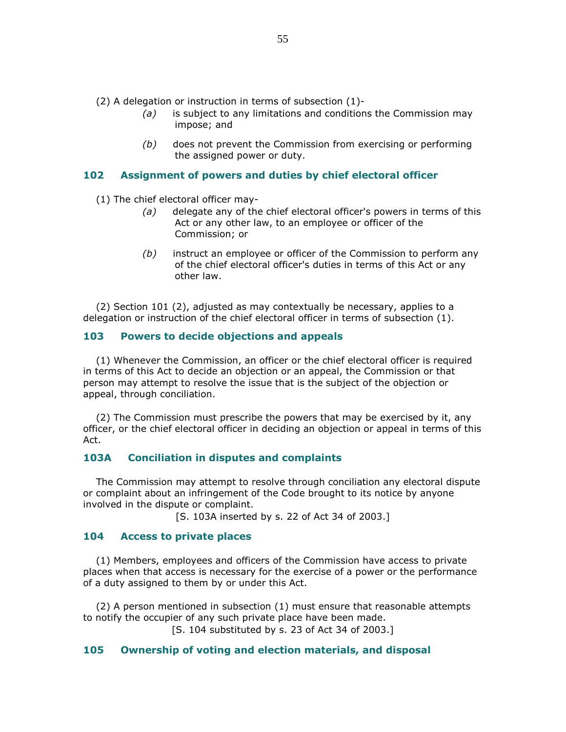(2) A delegation or instruction in terms of subsection (1)-

- $(a)$  is subject to any limitations and conditions the Commission may impose; and
- (b) does not prevent the Commission from exercising or performing the assigned power or duty.

### 102 Assignment of powers and duties by chief electoral officer

(1) The chief electoral officer may-

- (a) delegate any of the chief electoral officer's powers in terms of this Act or any other law, to an employee or officer of the Commission; or
- $(b)$  instruct an employee or officer of the Commission to perform any of the chief electoral officer's duties in terms of this Act or any other law.

 (2) Section 101 (2), adjusted as may contextually be necessary, applies to a delegation or instruction of the chief electoral officer in terms of subsection (1).

### 103 Powers to decide objections and appeals

 (1) Whenever the Commission, an officer or the chief electoral officer is required in terms of this Act to decide an objection or an appeal, the Commission or that person may attempt to resolve the issue that is the subject of the objection or appeal, through conciliation.

 (2) The Commission must prescribe the powers that may be exercised by it, any officer, or the chief electoral officer in deciding an objection or appeal in terms of this Act.

### 103A Conciliation in disputes and complaints

 The Commission may attempt to resolve through conciliation any electoral dispute or complaint about an infringement of the Code brought to its notice by anyone involved in the dispute or complaint.

[S. 103A inserted by s. 22 of Act 34 of 2003.]

### 104 Access to private places

 (1) Members, employees and officers of the Commission have access to private places when that access is necessary for the exercise of a power or the performance of a duty assigned to them by or under this Act.

 (2) A person mentioned in subsection (1) must ensure that reasonable attempts to notify the occupier of any such private place have been made. [S. 104 substituted by s. 23 of Act 34 of 2003.]

### 105 Ownership of voting and election materials, and disposal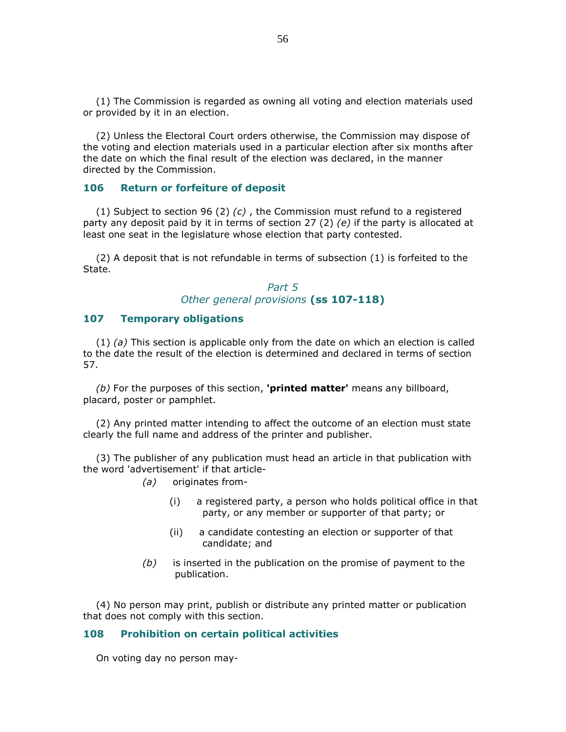(1) The Commission is regarded as owning all voting and election materials used or provided by it in an election.

 (2) Unless the Electoral Court orders otherwise, the Commission may dispose of the voting and election materials used in a particular election after six months after the date on which the final result of the election was declared, in the manner directed by the Commission.

#### 106 Return or forfeiture of deposit

(1) Subject to section 96 (2)  $(c)$ , the Commission must refund to a registered party any deposit paid by it in terms of section 27 (2) (e) if the party is allocated at least one seat in the legislature whose election that party contested.

 (2) A deposit that is not refundable in terms of subsection (1) is forfeited to the State.

> Part 5 Other general provisions (ss 107-118)

### 107 Temporary obligations

 $(1)$  (a) This section is applicable only from the date on which an election is called to the date the result of the election is determined and declared in terms of section 57.

 $(b)$  For the purposes of this section, **'printed matter'** means any billboard, placard, poster or pamphlet.

 (2) Any printed matter intending to affect the outcome of an election must state clearly the full name and address of the printer and publisher.

 (3) The publisher of any publication must head an article in that publication with the word 'advertisement' if that article-

- (a) originates from-
	- (i) a registered party, a person who holds political office in that party, or any member or supporter of that party; or
	- (ii) a candidate contesting an election or supporter of that candidate; and
- $(b)$  is inserted in the publication on the promise of payment to the publication.

 (4) No person may print, publish or distribute any printed matter or publication that does not comply with this section.

#### 108 Prohibition on certain political activities

On voting day no person may-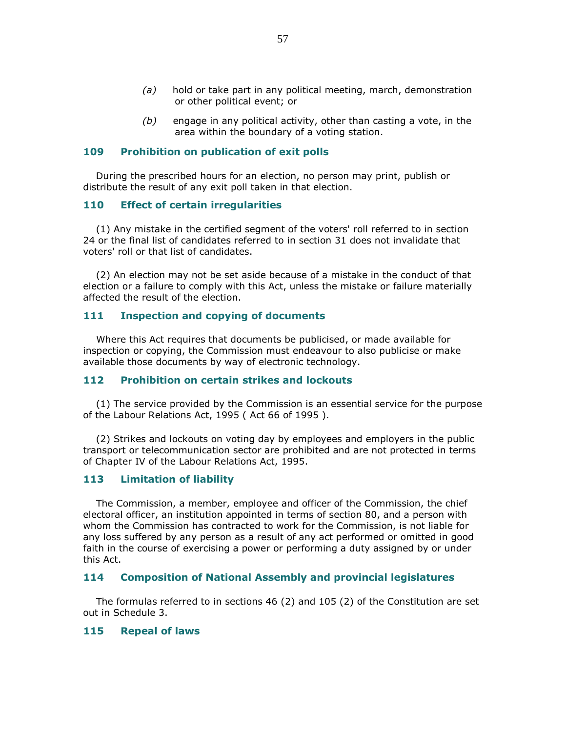- $(a)$  hold or take part in any political meeting, march, demonstration or other political event; or
- $(b)$  engage in any political activity, other than casting a vote, in the area within the boundary of a voting station.

### 109 Prohibition on publication of exit polls

 During the prescribed hours for an election, no person may print, publish or distribute the result of any exit poll taken in that election.

### 110 Effect of certain irregularities

 (1) Any mistake in the certified segment of the voters' roll referred to in section 24 or the final list of candidates referred to in section 31 does not invalidate that voters' roll or that list of candidates.

 (2) An election may not be set aside because of a mistake in the conduct of that election or a failure to comply with this Act, unless the mistake or failure materially affected the result of the election.

### 111 Inspection and copying of documents

 Where this Act requires that documents be publicised, or made available for inspection or copying, the Commission must endeavour to also publicise or make available those documents by way of electronic technology.

### 112 Prohibition on certain strikes and lockouts

 (1) The service provided by the Commission is an essential service for the purpose of the Labour Relations Act, 1995 ( Act 66 of 1995 ).

 (2) Strikes and lockouts on voting day by employees and employers in the public transport or telecommunication sector are prohibited and are not protected in terms of Chapter IV of the Labour Relations Act, 1995.

### 113 Limitation of liability

 The Commission, a member, employee and officer of the Commission, the chief electoral officer, an institution appointed in terms of section 80, and a person with whom the Commission has contracted to work for the Commission, is not liable for any loss suffered by any person as a result of any act performed or omitted in good faith in the course of exercising a power or performing a duty assigned by or under this Act.

### 114 Composition of National Assembly and provincial legislatures

 The formulas referred to in sections 46 (2) and 105 (2) of the Constitution are set out in Schedule 3.

### 115 Repeal of laws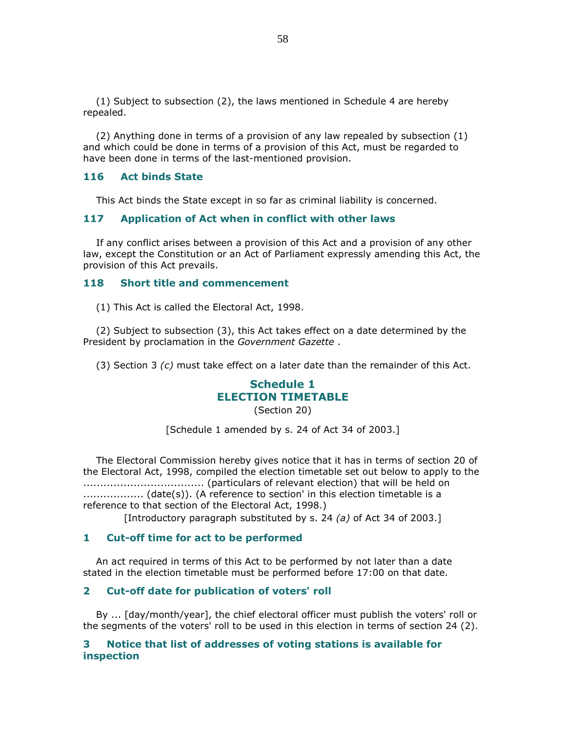(1) Subject to subsection (2), the laws mentioned in Schedule 4 are hereby repealed.

 (2) Anything done in terms of a provision of any law repealed by subsection (1) and which could be done in terms of a provision of this Act, must be regarded to have been done in terms of the last-mentioned provision.

### 116 Act binds State

This Act binds the State except in so far as criminal liability is concerned.

### 117 Application of Act when in conflict with other laws

 If any conflict arises between a provision of this Act and a provision of any other law, except the Constitution or an Act of Parliament expressly amending this Act, the provision of this Act prevails.

#### 118 Short title and commencement

(1) This Act is called the Electoral Act, 1998.

 (2) Subject to subsection (3), this Act takes effect on a date determined by the President by proclamation in the Government Gazette .

(3) Section 3  $(c)$  must take effect on a later date than the remainder of this Act.

# Schedule 1 ELECTION TIMETABLE

(Section 20)

[Schedule 1 amended by s. 24 of Act 34 of 2003.]

 The Electoral Commission hereby gives notice that it has in terms of section 20 of the Electoral Act, 1998, compiled the election timetable set out below to apply to the .................................... (particulars of relevant election) that will be held on .................. (date(s)). (A reference to section' in this election timetable is a reference to that section of the Electoral Act, 1998.)

[Introductory paragraph substituted by s. 24 (a) of Act 34 of 2003.]

#### 1 Cut-off time for act to be performed

 An act required in terms of this Act to be performed by not later than a date stated in the election timetable must be performed before 17:00 on that date.

### 2 Cut-off date for publication of voters' roll

 By ... [day/month/year], the chief electoral officer must publish the voters' roll or the segments of the voters' roll to be used in this election in terms of section 24 (2).

### 3 Notice that list of addresses of voting stations is available for inspection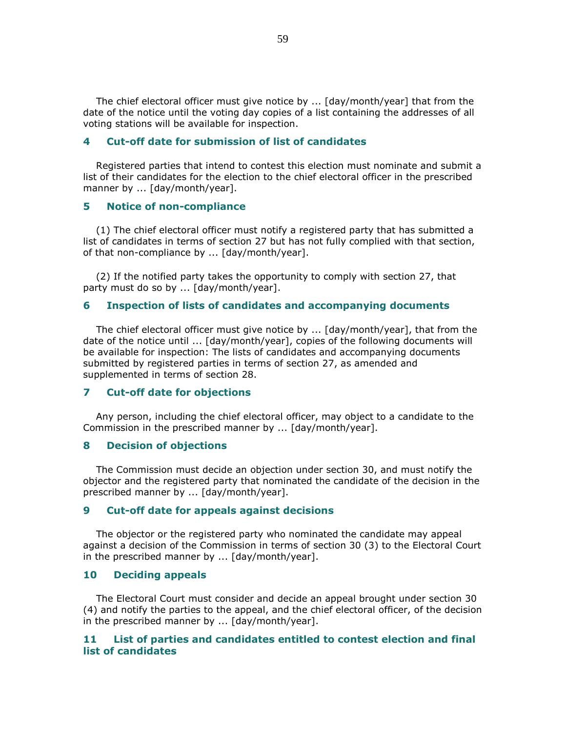The chief electoral officer must give notice by ... [day/month/year] that from the date of the notice until the voting day copies of a list containing the addresses of all voting stations will be available for inspection.

### 4 Cut-off date for submission of list of candidates

 Registered parties that intend to contest this election must nominate and submit a list of their candidates for the election to the chief electoral officer in the prescribed manner by ... [day/month/year].

#### 5 Notice of non-compliance

 (1) The chief electoral officer must notify a registered party that has submitted a list of candidates in terms of section 27 but has not fully complied with that section, of that non-compliance by ... [day/month/year].

 (2) If the notified party takes the opportunity to comply with section 27, that party must do so by ... [day/month/year].

### 6 Inspection of lists of candidates and accompanying documents

 The chief electoral officer must give notice by ... [day/month/year], that from the date of the notice until ... [day/month/year], copies of the following documents will be available for inspection: The lists of candidates and accompanying documents submitted by registered parties in terms of section 27, as amended and supplemented in terms of section 28.

#### 7 Cut-off date for objections

 Any person, including the chief electoral officer, may object to a candidate to the Commission in the prescribed manner by ... [day/month/year].

#### 8 Decision of objections

 The Commission must decide an objection under section 30, and must notify the objector and the registered party that nominated the candidate of the decision in the prescribed manner by ... [day/month/year].

#### 9 Cut-off date for appeals against decisions

 The objector or the registered party who nominated the candidate may appeal against a decision of the Commission in terms of section 30 (3) to the Electoral Court in the prescribed manner by ... [day/month/year].

### 10 Deciding appeals

 The Electoral Court must consider and decide an appeal brought under section 30 (4) and notify the parties to the appeal, and the chief electoral officer, of the decision in the prescribed manner by ... [day/month/year].

### 11 List of parties and candidates entitled to contest election and final list of candidates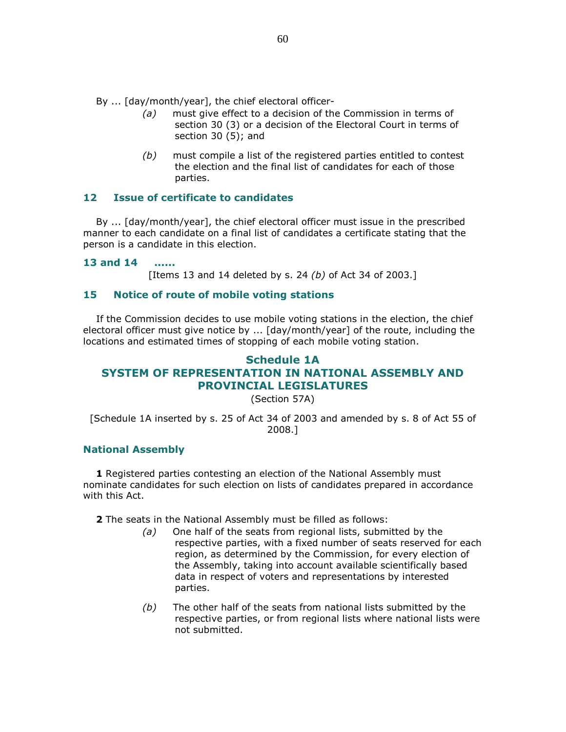By ... [day/month/year], the chief electoral officer-

- (a) must give effect to a decision of the Commission in terms of section 30 (3) or a decision of the Electoral Court in terms of section 30 (5); and
- $(b)$  must compile a list of the registered parties entitled to contest the election and the final list of candidates for each of those parties.

### 12 Issue of certificate to candidates

 By ... [day/month/year], the chief electoral officer must issue in the prescribed manner to each candidate on a final list of candidates a certificate stating that the person is a candidate in this election.

### 13 and 14 ......

[Items 13 and 14 deleted by s. 24  $(b)$  of Act 34 of 2003.]

### 15 Notice of route of mobile voting stations

 If the Commission decides to use mobile voting stations in the election, the chief electoral officer must give notice by ... [day/month/year] of the route, including the locations and estimated times of stopping of each mobile voting station.

# Schedule 1A SYSTEM OF REPRESENTATION IN NATIONAL ASSEMBLY AND PROVINCIAL LEGISLATURES

(Section 57A)

[Schedule 1A inserted by s. 25 of Act 34 of 2003 and amended by s. 8 of Act 55 of 2008.]

### National Assembly

1 Registered parties contesting an election of the National Assembly must nominate candidates for such election on lists of candidates prepared in accordance with this Act.

2 The seats in the National Assembly must be filled as follows:

- (a) One half of the seats from regional lists, submitted by the respective parties, with a fixed number of seats reserved for each region, as determined by the Commission, for every election of the Assembly, taking into account available scientifically based data in respect of voters and representations by interested parties.
- $(b)$  The other half of the seats from national lists submitted by the respective parties, or from regional lists where national lists were not submitted.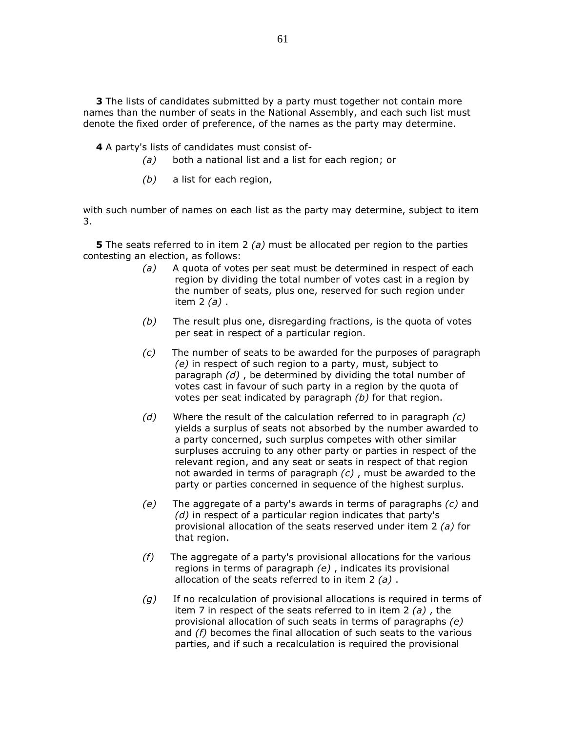3 The lists of candidates submitted by a party must together not contain more names than the number of seats in the National Assembly, and each such list must denote the fixed order of preference, of the names as the party may determine.

4 A party's lists of candidates must consist of-

- (a) both a national list and a list for each region; or
- (b) a list for each region,

with such number of names on each list as the party may determine, subject to item 3.

**5** The seats referred to in item 2 (a) must be allocated per region to the parties contesting an election, as follows:

- $(a)$  A quota of votes per seat must be determined in respect of each region by dividing the total number of votes cast in a region by the number of seats, plus one, reserved for such region under item  $2(a)$ .
- $(b)$  The result plus one, disregarding fractions, is the quota of votes per seat in respect of a particular region.
- $(c)$  The number of seats to be awarded for the purposes of paragraph (e) in respect of such region to a party, must, subject to paragraph  $(d)$ , be determined by dividing the total number of votes cast in favour of such party in a region by the quota of votes per seat indicated by paragraph (b) for that region.
- (d) Where the result of the calculation referred to in paragraph  $(c)$ yields a surplus of seats not absorbed by the number awarded to a party concerned, such surplus competes with other similar surpluses accruing to any other party or parties in respect of the relevant region, and any seat or seats in respect of that region not awarded in terms of paragraph  $(c)$ , must be awarded to the party or parties concerned in sequence of the highest surplus.
- (e) The aggregate of a party's awards in terms of paragraphs  $(c)$  and (d) in respect of a particular region indicates that party's provisional allocation of the seats reserved under item 2 (a) for that region.
- $(f)$  The aggregate of a party's provisional allocations for the various regions in terms of paragraph  $(e)$ , indicates its provisional allocation of the seats referred to in item  $2(a)$ .
- $(g)$  If no recalculation of provisional allocations is required in terms of item 7 in respect of the seats referred to in item 2  $(a)$ , the provisional allocation of such seats in terms of paragraphs (e) and (f) becomes the final allocation of such seats to the various parties, and if such a recalculation is required the provisional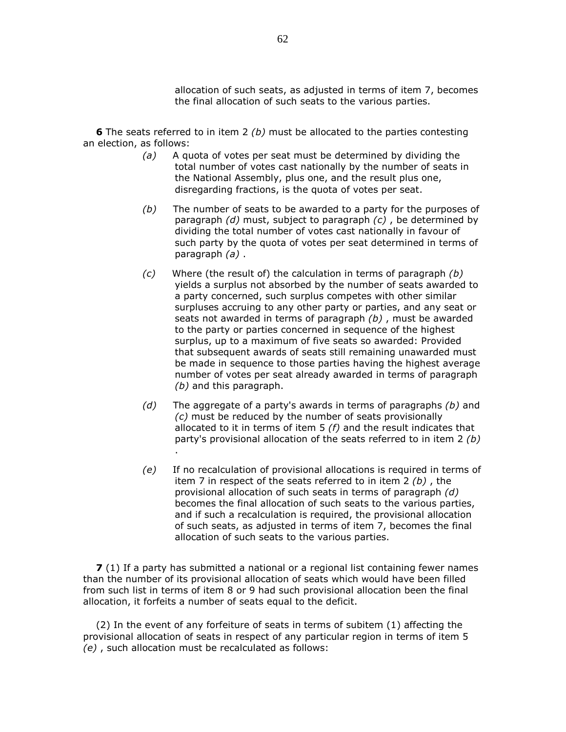allocation of such seats, as adjusted in terms of item 7, becomes the final allocation of such seats to the various parties.

6 The seats referred to in item 2 (b) must be allocated to the parties contesting an election, as follows:

- $(a)$  A quota of votes per seat must be determined by dividing the total number of votes cast nationally by the number of seats in the National Assembly, plus one, and the result plus one, disregarding fractions, is the quota of votes per seat.
- $(b)$  The number of seats to be awarded to a party for the purposes of paragraph  $(d)$  must, subject to paragraph  $(c)$ , be determined by dividing the total number of votes cast nationally in favour of such party by the quota of votes per seat determined in terms of paragraph  $(a)$ .
- $(c)$  Where (the result of) the calculation in terms of paragraph  $(b)$ yields a surplus not absorbed by the number of seats awarded to a party concerned, such surplus competes with other similar surpluses accruing to any other party or parties, and any seat or seats not awarded in terms of paragraph  $(b)$ , must be awarded to the party or parties concerned in sequence of the highest surplus, up to a maximum of five seats so awarded: Provided that subsequent awards of seats still remaining unawarded must be made in sequence to those parties having the highest average number of votes per seat already awarded in terms of paragraph (b) and this paragraph.
- (d) The aggregate of a party's awards in terms of paragraphs  $(b)$  and (c) must be reduced by the number of seats provisionally allocated to it in terms of item  $5(f)$  and the result indicates that party's provisional allocation of the seats referred to in item 2 (b) .
- (e) If no recalculation of provisional allocations is required in terms of item 7 in respect of the seats referred to in item 2  $(b)$ , the provisional allocation of such seats in terms of paragraph (d) becomes the final allocation of such seats to the various parties, and if such a recalculation is required, the provisional allocation of such seats, as adjusted in terms of item 7, becomes the final allocation of such seats to the various parties.

**7** (1) If a party has submitted a national or a regional list containing fewer names than the number of its provisional allocation of seats which would have been filled from such list in terms of item 8 or 9 had such provisional allocation been the final allocation, it forfeits a number of seats equal to the deficit.

 (2) In the event of any forfeiture of seats in terms of subitem (1) affecting the provisional allocation of seats in respect of any particular region in terms of item 5 (e) , such allocation must be recalculated as follows: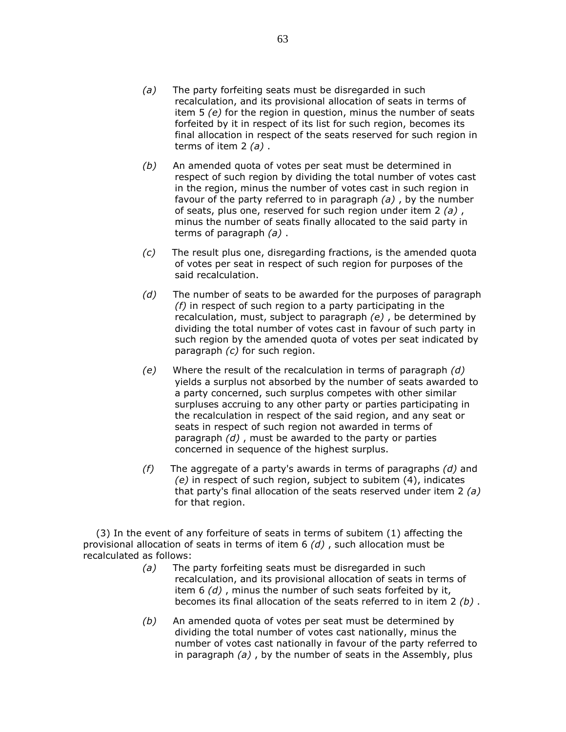- (a) The party forfeiting seats must be disregarded in such recalculation, and its provisional allocation of seats in terms of item 5 (e) for the region in question, minus the number of seats forfeited by it in respect of its list for such region, becomes its final allocation in respect of the seats reserved for such region in terms of item  $2(a)$ .
- (b) An amended quota of votes per seat must be determined in respect of such region by dividing the total number of votes cast in the region, minus the number of votes cast in such region in favour of the party referred to in paragraph (a) , by the number of seats, plus one, reserved for such region under item 2  $(a)$ , minus the number of seats finally allocated to the said party in terms of paragraph  $(a)$ .
- (c) The result plus one, disregarding fractions, is the amended quota of votes per seat in respect of such region for purposes of the said recalculation.
- $(d)$  The number of seats to be awarded for the purposes of paragraph  $(f)$  in respect of such region to a party participating in the recalculation, must, subject to paragraph (e) , be determined by dividing the total number of votes cast in favour of such party in such region by the amended quota of votes per seat indicated by paragraph (c) for such region.
- (e) Where the result of the recalculation in terms of paragraph  $(d)$ yields a surplus not absorbed by the number of seats awarded to a party concerned, such surplus competes with other similar surpluses accruing to any other party or parties participating in the recalculation in respect of the said region, and any seat or seats in respect of such region not awarded in terms of paragraph  $(d)$ , must be awarded to the party or parties concerned in sequence of the highest surplus.
- (f) The aggregate of a party's awards in terms of paragraphs  $(d)$  and (e) in respect of such region, subject to subitem (4), indicates that party's final allocation of the seats reserved under item 2  $(a)$ for that region.

 (3) In the event of any forfeiture of seats in terms of subitem (1) affecting the provisional allocation of seats in terms of item  $6$  (d), such allocation must be recalculated as follows:

- (a) The party forfeiting seats must be disregarded in such recalculation, and its provisional allocation of seats in terms of item  $6$  (d), minus the number of such seats forfeited by it, becomes its final allocation of the seats referred to in item  $2$  (b).
- $(b)$  An amended quota of votes per seat must be determined by dividing the total number of votes cast nationally, minus the number of votes cast nationally in favour of the party referred to in paragraph  $(a)$ , by the number of seats in the Assembly, plus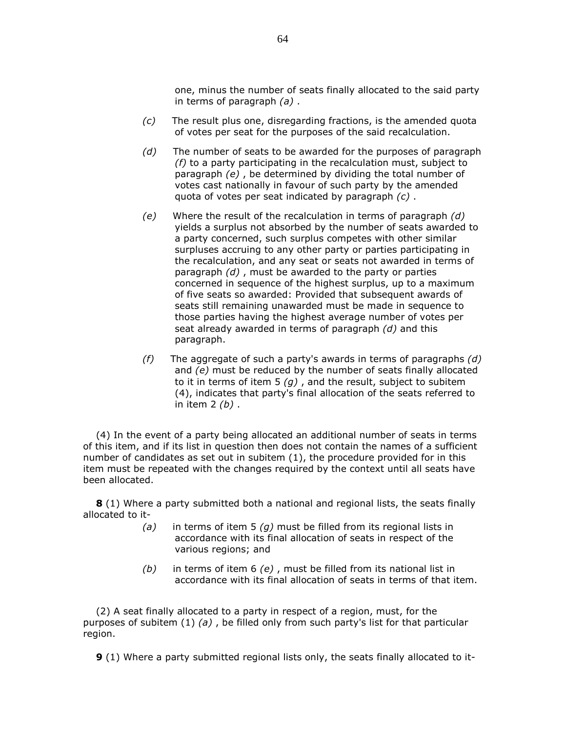one, minus the number of seats finally allocated to the said party in terms of paragraph  $(a)$ .

- $(c)$  The result plus one, disregarding fractions, is the amended quota of votes per seat for the purposes of the said recalculation.
- $(d)$  The number of seats to be awarded for the purposes of paragraph  $(f)$  to a party participating in the recalculation must, subject to paragraph (e) , be determined by dividing the total number of votes cast nationally in favour of such party by the amended quota of votes per seat indicated by paragraph (c) .
- $(e)$  Where the result of the recalculation in terms of paragraph  $(d)$ yields a surplus not absorbed by the number of seats awarded to a party concerned, such surplus competes with other similar surpluses accruing to any other party or parties participating in the recalculation, and any seat or seats not awarded in terms of paragraph  $(d)$ , must be awarded to the party or parties concerned in sequence of the highest surplus, up to a maximum of five seats so awarded: Provided that subsequent awards of seats still remaining unawarded must be made in sequence to those parties having the highest average number of votes per seat already awarded in terms of paragraph  $(d)$  and this paragraph.
- (f) The aggregate of such a party's awards in terms of paragraphs  $(d)$ and (e) must be reduced by the number of seats finally allocated to it in terms of item  $5(g)$ , and the result, subject to subitem (4), indicates that party's final allocation of the seats referred to in item  $2(b)$ .

 (4) In the event of a party being allocated an additional number of seats in terms of this item, and if its list in question then does not contain the names of a sufficient number of candidates as set out in subitem (1), the procedure provided for in this item must be repeated with the changes required by the context until all seats have been allocated.

**8** (1) Where a party submitted both a national and regional lists, the seats finally allocated to it-

- (a) in terms of item 5 (q) must be filled from its regional lists in accordance with its final allocation of seats in respect of the various regions; and
- (b) in terms of item  $6$  (e), must be filled from its national list in accordance with its final allocation of seats in terms of that item.

 (2) A seat finally allocated to a party in respect of a region, must, for the purposes of subitem  $(1)$  (a), be filled only from such party's list for that particular region.

9 (1) Where a party submitted regional lists only, the seats finally allocated to it-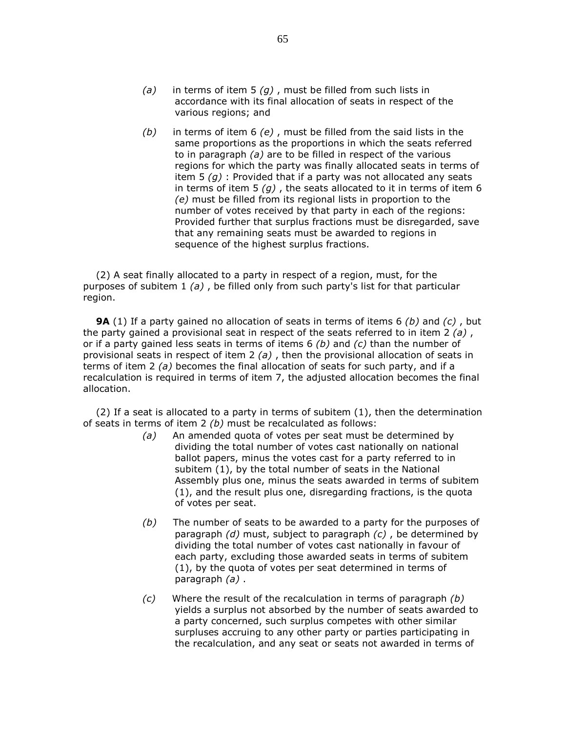- (a) in terms of item 5  $(g)$ , must be filled from such lists in accordance with its final allocation of seats in respect of the various regions; and
- $(b)$  in terms of item 6 (e), must be filled from the said lists in the same proportions as the proportions in which the seats referred to in paragraph (a) are to be filled in respect of the various regions for which the party was finally allocated seats in terms of item 5  $(g)$  : Provided that if a party was not allocated any seats in terms of item 5  $(q)$ , the seats allocated to it in terms of item 6 (e) must be filled from its regional lists in proportion to the number of votes received by that party in each of the regions: Provided further that surplus fractions must be disregarded, save that any remaining seats must be awarded to regions in sequence of the highest surplus fractions.

 (2) A seat finally allocated to a party in respect of a region, must, for the purposes of subitem  $1(a)$ , be filled only from such party's list for that particular region.

**9A** (1) If a party gained no allocation of seats in terms of items 6 (b) and (c), but the party gained a provisional seat in respect of the seats referred to in item 2  $(a)$ , or if a party gained less seats in terms of items  $6$  (b) and (c) than the number of provisional seats in respect of item 2  $(a)$ , then the provisional allocation of seats in terms of item 2 (a) becomes the final allocation of seats for such party, and if a recalculation is required in terms of item 7, the adjusted allocation becomes the final allocation.

 (2) If a seat is allocated to a party in terms of subitem (1), then the determination of seats in terms of item  $2$  (b) must be recalculated as follows:

- (a) An amended quota of votes per seat must be determined by dividing the total number of votes cast nationally on national ballot papers, minus the votes cast for a party referred to in subitem (1), by the total number of seats in the National Assembly plus one, minus the seats awarded in terms of subitem (1), and the result plus one, disregarding fractions, is the quota of votes per seat.
- $(b)$  The number of seats to be awarded to a party for the purposes of paragraph  $(d)$  must, subject to paragraph  $(c)$ , be determined by dividing the total number of votes cast nationally in favour of each party, excluding those awarded seats in terms of subitem (1), by the quota of votes per seat determined in terms of paragraph  $(a)$ .
- $(c)$  Where the result of the recalculation in terms of paragraph  $(b)$ yields a surplus not absorbed by the number of seats awarded to a party concerned, such surplus competes with other similar surpluses accruing to any other party or parties participating in the recalculation, and any seat or seats not awarded in terms of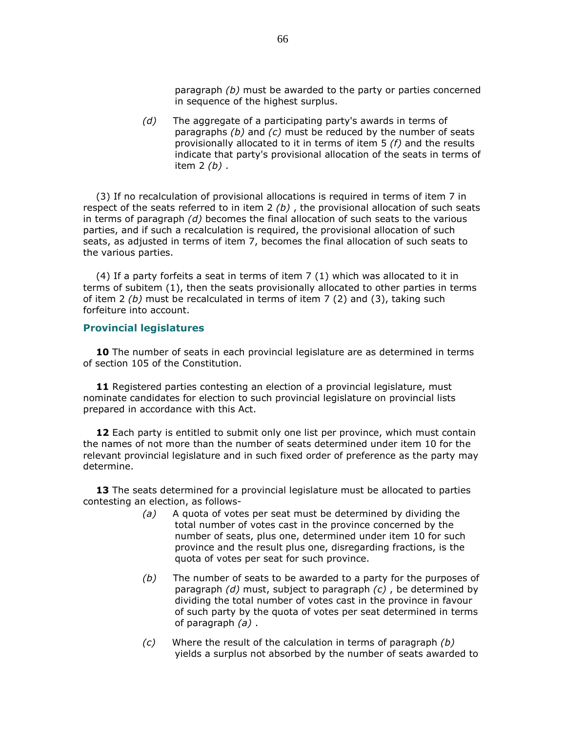paragraph (b) must be awarded to the party or parties concerned in sequence of the highest surplus.

 $(d)$  The aggregate of a participating party's awards in terms of paragraphs  $(b)$  and  $(c)$  must be reduced by the number of seats provisionally allocated to it in terms of item 5 (f) and the results indicate that party's provisional allocation of the seats in terms of item  $2(b)$ .

 (3) If no recalculation of provisional allocations is required in terms of item 7 in respect of the seats referred to in item  $2(b)$ , the provisional allocation of such seats in terms of paragraph  $(d)$  becomes the final allocation of such seats to the various parties, and if such a recalculation is required, the provisional allocation of such seats, as adjusted in terms of item 7, becomes the final allocation of such seats to the various parties.

 (4) If a party forfeits a seat in terms of item 7 (1) which was allocated to it in terms of subitem (1), then the seats provisionally allocated to other parties in terms of item 2 (b) must be recalculated in terms of item 7 (2) and (3), taking such forfeiture into account.

#### Provincial legislatures

**10** The number of seats in each provincial legislature are as determined in terms of section 105 of the Constitution.

**11** Registered parties contesting an election of a provincial legislature, must nominate candidates for election to such provincial legislature on provincial lists prepared in accordance with this Act.

12 Each party is entitled to submit only one list per province, which must contain the names of not more than the number of seats determined under item 10 for the relevant provincial legislature and in such fixed order of preference as the party may determine.

13 The seats determined for a provincial legislature must be allocated to parties contesting an election, as follows-

- (a) A quota of votes per seat must be determined by dividing the total number of votes cast in the province concerned by the number of seats, plus one, determined under item 10 for such province and the result plus one, disregarding fractions, is the quota of votes per seat for such province.
- $(b)$  The number of seats to be awarded to a party for the purposes of paragraph  $(d)$  must, subject to paragraph  $(c)$ , be determined by dividing the total number of votes cast in the province in favour of such party by the quota of votes per seat determined in terms of paragraph  $(a)$ .
- $(c)$  Where the result of the calculation in terms of paragraph  $(b)$ yields a surplus not absorbed by the number of seats awarded to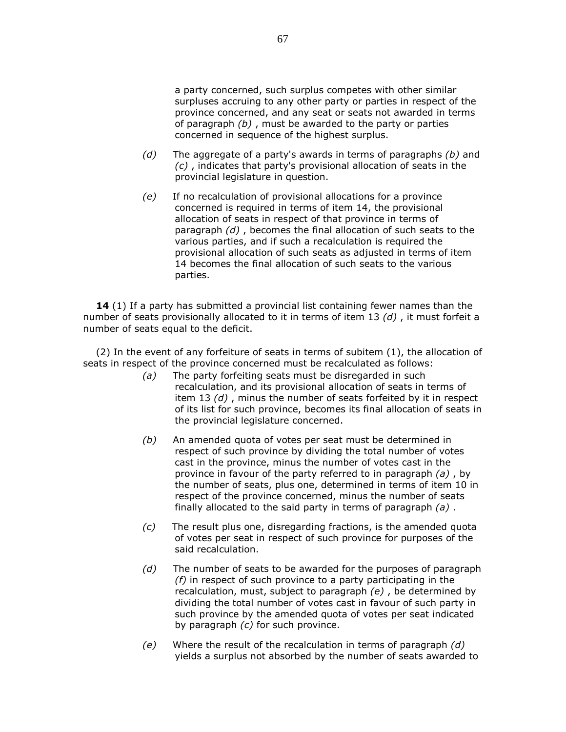a party concerned, such surplus competes with other similar surpluses accruing to any other party or parties in respect of the province concerned, and any seat or seats not awarded in terms of paragraph  $(b)$ , must be awarded to the party or parties concerned in sequence of the highest surplus.

- (d) The aggregate of a party's awards in terms of paragraphs  $(b)$  and (c) , indicates that party's provisional allocation of seats in the provincial legislature in question.
- (e) If no recalculation of provisional allocations for a province concerned is required in terms of item 14, the provisional allocation of seats in respect of that province in terms of paragraph (d) , becomes the final allocation of such seats to the various parties, and if such a recalculation is required the provisional allocation of such seats as adjusted in terms of item 14 becomes the final allocation of such seats to the various parties.

14 (1) If a party has submitted a provincial list containing fewer names than the number of seats provisionally allocated to it in terms of item 13  $(d)$ , it must forfeit a number of seats equal to the deficit.

 (2) In the event of any forfeiture of seats in terms of subitem (1), the allocation of seats in respect of the province concerned must be recalculated as follows:

- (a) The party forfeiting seats must be disregarded in such recalculation, and its provisional allocation of seats in terms of item 13 (d) , minus the number of seats forfeited by it in respect of its list for such province, becomes its final allocation of seats in the provincial legislature concerned.
- (b) An amended quota of votes per seat must be determined in respect of such province by dividing the total number of votes cast in the province, minus the number of votes cast in the province in favour of the party referred to in paragraph  $(a)$ , by the number of seats, plus one, determined in terms of item 10 in respect of the province concerned, minus the number of seats finally allocated to the said party in terms of paragraph  $(a)$ .
- $(c)$  The result plus one, disregarding fractions, is the amended quota of votes per seat in respect of such province for purposes of the said recalculation.
- $(d)$  The number of seats to be awarded for the purposes of paragraph  $(f)$  in respect of such province to a party participating in the recalculation, must, subject to paragraph (e) , be determined by dividing the total number of votes cast in favour of such party in such province by the amended quota of votes per seat indicated by paragraph  $(c)$  for such province.
- $(e)$  Where the result of the recalculation in terms of paragraph  $(d)$ yields a surplus not absorbed by the number of seats awarded to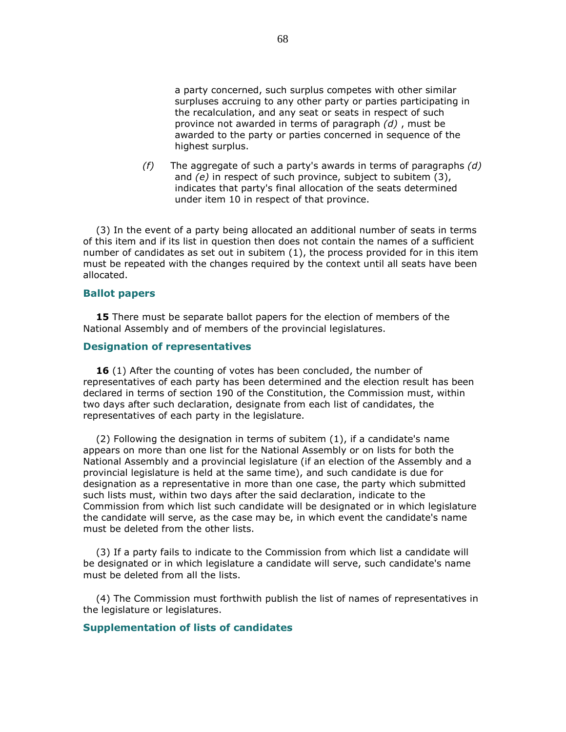a party concerned, such surplus competes with other similar surpluses accruing to any other party or parties participating in the recalculation, and any seat or seats in respect of such province not awarded in terms of paragraph (d) , must be awarded to the party or parties concerned in sequence of the highest surplus.

(f) The aggregate of such a party's awards in terms of paragraphs  $(d)$ and (e) in respect of such province, subject to subitem (3), indicates that party's final allocation of the seats determined under item 10 in respect of that province.

 (3) In the event of a party being allocated an additional number of seats in terms of this item and if its list in question then does not contain the names of a sufficient number of candidates as set out in subitem (1), the process provided for in this item must be repeated with the changes required by the context until all seats have been allocated.

#### Ballot papers

**15** There must be separate ballot papers for the election of members of the National Assembly and of members of the provincial legislatures.

#### Designation of representatives

**16** (1) After the counting of votes has been concluded, the number of representatives of each party has been determined and the election result has been declared in terms of section 190 of the Constitution, the Commission must, within two days after such declaration, designate from each list of candidates, the representatives of each party in the legislature.

 (2) Following the designation in terms of subitem (1), if a candidate's name appears on more than one list for the National Assembly or on lists for both the National Assembly and a provincial legislature (if an election of the Assembly and a provincial legislature is held at the same time), and such candidate is due for designation as a representative in more than one case, the party which submitted such lists must, within two days after the said declaration, indicate to the Commission from which list such candidate will be designated or in which legislature the candidate will serve, as the case may be, in which event the candidate's name must be deleted from the other lists.

 (3) If a party fails to indicate to the Commission from which list a candidate will be designated or in which legislature a candidate will serve, such candidate's name must be deleted from all the lists.

 (4) The Commission must forthwith publish the list of names of representatives in the legislature or legislatures.

#### Supplementation of lists of candidates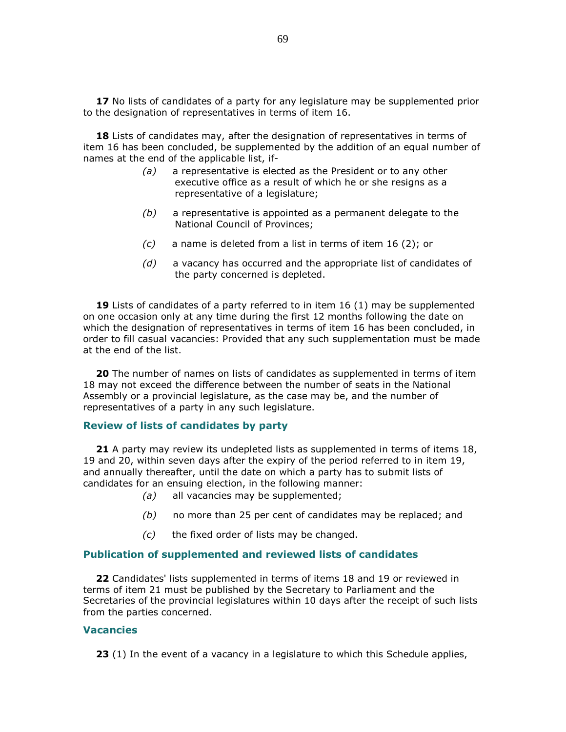17 No lists of candidates of a party for any legislature may be supplemented prior to the designation of representatives in terms of item 16.

18 Lists of candidates may, after the designation of representatives in terms of item 16 has been concluded, be supplemented by the addition of an equal number of names at the end of the applicable list, if-

- (a) a representative is elected as the President or to any other executive office as a result of which he or she resigns as a representative of a legislature;
- $(b)$  a representative is appointed as a permanent delegate to the National Council of Provinces;
- (c) a name is deleted from a list in terms of item 16 (2); or
- $(d)$  a vacancy has occurred and the appropriate list of candidates of the party concerned is depleted.

19 Lists of candidates of a party referred to in item 16 (1) may be supplemented on one occasion only at any time during the first 12 months following the date on which the designation of representatives in terms of item 16 has been concluded, in order to fill casual vacancies: Provided that any such supplementation must be made at the end of the list.

**20** The number of names on lists of candidates as supplemented in terms of item 18 may not exceed the difference between the number of seats in the National Assembly or a provincial legislature, as the case may be, and the number of representatives of a party in any such legislature.

#### Review of lists of candidates by party

21 A party may review its undepleted lists as supplemented in terms of items 18, 19 and 20, within seven days after the expiry of the period referred to in item 19, and annually thereafter, until the date on which a party has to submit lists of candidates for an ensuing election, in the following manner:

- (a) all vacancies may be supplemented;
- $(b)$  no more than 25 per cent of candidates may be replaced; and
- $(c)$  the fixed order of lists may be changed.

#### Publication of supplemented and reviewed lists of candidates

22 Candidates' lists supplemented in terms of items 18 and 19 or reviewed in terms of item 21 must be published by the Secretary to Parliament and the Secretaries of the provincial legislatures within 10 days after the receipt of such lists from the parties concerned.

#### **Vacancies**

**23** (1) In the event of a vacancy in a legislature to which this Schedule applies,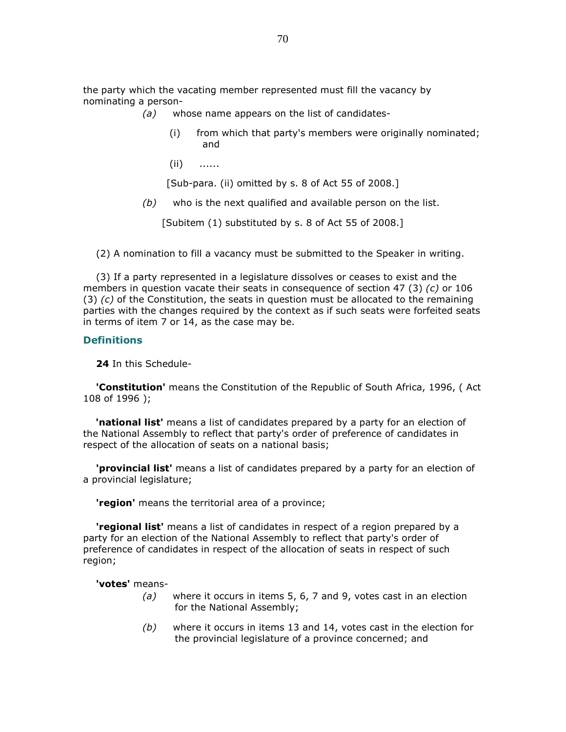the party which the vacating member represented must fill the vacancy by nominating a person-

- (a) whose name appears on the list of candidates-
	- (i) from which that party's members were originally nominated; and
	- (ii) ......

[Sub-para. (ii) omitted by s. 8 of Act 55 of 2008.]

 $(b)$  who is the next qualified and available person on the list.

[Subitem (1) substituted by s. 8 of Act 55 of 2008.]

(2) A nomination to fill a vacancy must be submitted to the Speaker in writing.

 (3) If a party represented in a legislature dissolves or ceases to exist and the members in question vacate their seats in consequence of section 47 (3)  $(c)$  or 106  $(3)$  (c) of the Constitution, the seats in question must be allocated to the remaining parties with the changes required by the context as if such seats were forfeited seats in terms of item 7 or 14, as the case may be.

#### **Definitions**

24 In this Schedule-

**'Constitution'** means the Constitution of the Republic of South Africa, 1996, (Act 108 of 1996 );

**'national list'** means a list of candidates prepared by a party for an election of the National Assembly to reflect that party's order of preference of candidates in respect of the allocation of seats on a national basis;

 'provincial list' means a list of candidates prepared by a party for an election of a provincial legislature;

**'region'** means the territorial area of a province;

**'regional list'** means a list of candidates in respect of a region prepared by a party for an election of the National Assembly to reflect that party's order of preference of candidates in respect of the allocation of seats in respect of such region;

#### 'votes' means-

- $(a)$  where it occurs in items 5, 6, 7 and 9, votes cast in an election for the National Assembly;
- $(b)$  where it occurs in items 13 and 14, votes cast in the election for the provincial legislature of a province concerned; and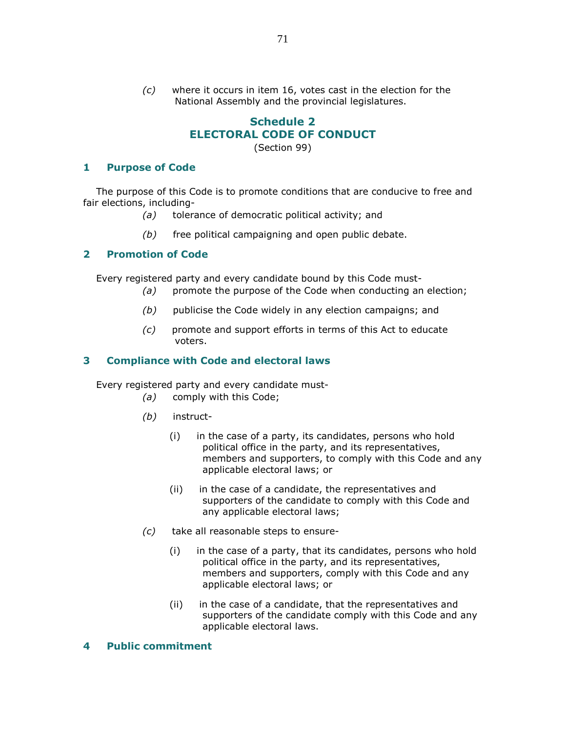(c) where it occurs in item 16, votes cast in the election for the National Assembly and the provincial legislatures.

# Schedule 2 ELECTORAL CODE OF CONDUCT

(Section 99)

### 1 Purpose of Code

 The purpose of this Code is to promote conditions that are conducive to free and fair elections, including-

- (a) tolerance of democratic political activity; and
- $(b)$  free political campaigning and open public debate.

# 2 Promotion of Code

Every registered party and every candidate bound by this Code must-

- (a) promote the purpose of the Code when conducting an election;
- (b) publicise the Code widely in any election campaigns; and
- (c) promote and support efforts in terms of this Act to educate voters.

# 3 Compliance with Code and electoral laws

Every registered party and every candidate must-

- (a) comply with this Code;
- (b) instruct-
	- (i) in the case of a party, its candidates, persons who hold political office in the party, and its representatives, members and supporters, to comply with this Code and any applicable electoral laws; or
	- (ii) in the case of a candidate, the representatives and supporters of the candidate to comply with this Code and any applicable electoral laws;
- (c) take all reasonable steps to ensure-
	- (i) in the case of a party, that its candidates, persons who hold political office in the party, and its representatives, members and supporters, comply with this Code and any applicable electoral laws; or
	- (ii) in the case of a candidate, that the representatives and supporters of the candidate comply with this Code and any applicable electoral laws.

### 4 Public commitment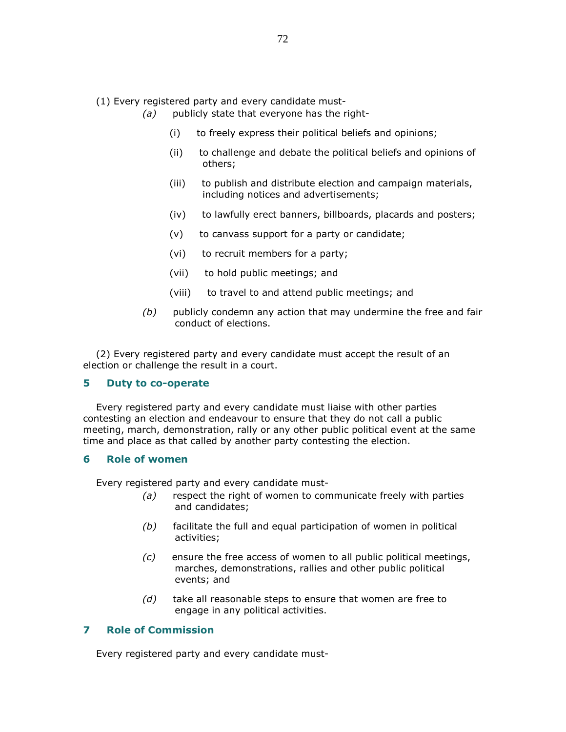(1) Every registered party and every candidate must-

- $(a)$  publicly state that everyone has the right-
	- (i) to freely express their political beliefs and opinions;
	- (ii) to challenge and debate the political beliefs and opinions of others;
	- (iii) to publish and distribute election and campaign materials, including notices and advertisements;
	- (iv) to lawfully erect banners, billboards, placards and posters;
	- (v) to canvass support for a party or candidate;
	- (vi) to recruit members for a party;
	- (vii) to hold public meetings; and
	- (viii) to travel to and attend public meetings; and
- $(b)$  publicly condemn any action that may undermine the free and fair conduct of elections.

 (2) Every registered party and every candidate must accept the result of an election or challenge the result in a court.

#### 5 Duty to co-operate

 Every registered party and every candidate must liaise with other parties contesting an election and endeavour to ensure that they do not call a public meeting, march, demonstration, rally or any other public political event at the same time and place as that called by another party contesting the election.

### 6 Role of women

Every registered party and every candidate must-

- $(a)$  respect the right of women to communicate freely with parties and candidates;
- $(b)$  facilitate the full and equal participation of women in political activities;
- $(c)$  ensure the free access of women to all public political meetings, marches, demonstrations, rallies and other public political events; and
- $(d)$  take all reasonable steps to ensure that women are free to engage in any political activities.

# 7 Role of Commission

Every registered party and every candidate must-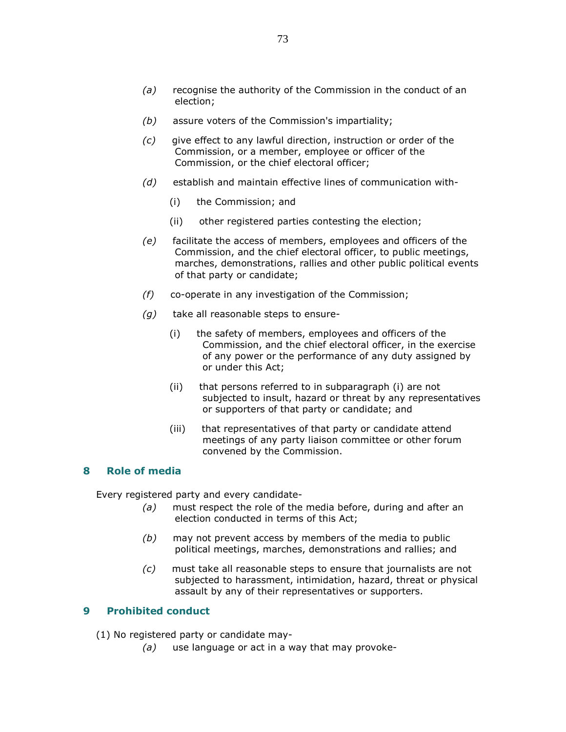- (b) assure voters of the Commission's impartiality;
- (c) give effect to any lawful direction, instruction or order of the Commission, or a member, employee or officer of the Commission, or the chief electoral officer;
- (d) establish and maintain effective lines of communication with-
	- (i) the Commission; and
	- (ii) other registered parties contesting the election;
- (e) facilitate the access of members, employees and officers of the Commission, and the chief electoral officer, to public meetings, marches, demonstrations, rallies and other public political events of that party or candidate;
- (f) co-operate in any investigation of the Commission;
- $(g)$  take all reasonable steps to ensure-
	- (i) the safety of members, employees and officers of the Commission, and the chief electoral officer, in the exercise of any power or the performance of any duty assigned by or under this Act;
	- (ii) that persons referred to in subparagraph (i) are not subjected to insult, hazard or threat by any representatives or supporters of that party or candidate; and
	- (iii) that representatives of that party or candidate attend meetings of any party liaison committee or other forum convened by the Commission.

### 8 Role of media

Every registered party and every candidate-

- $(a)$  must respect the role of the media before, during and after an election conducted in terms of this Act;
- $(b)$  may not prevent access by members of the media to public political meetings, marches, demonstrations and rallies; and
- (c) must take all reasonable steps to ensure that journalists are not subjected to harassment, intimidation, hazard, threat or physical assault by any of their representatives or supporters.

# 9 Prohibited conduct

(1) No registered party or candidate may-

 $(a)$  use language or act in a way that may provoke-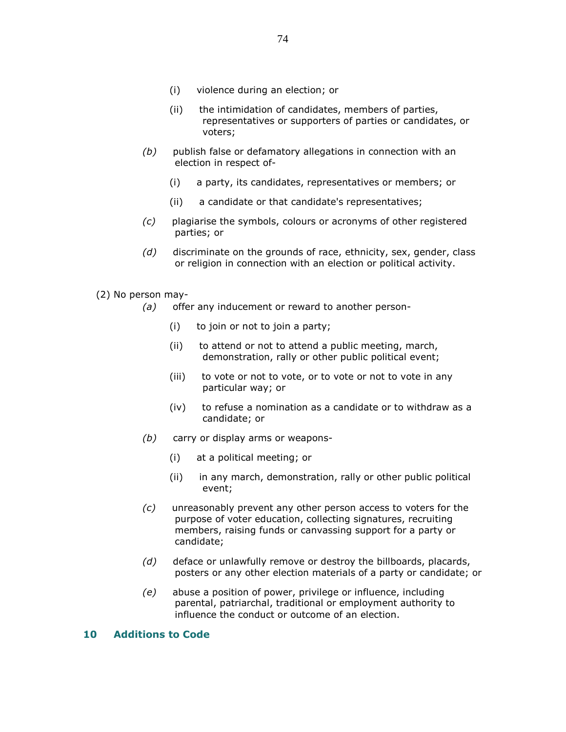- (i) violence during an election; or
- (ii) the intimidation of candidates, members of parties, representatives or supporters of parties or candidates, or voters;
- $(b)$  publish false or defamatory allegations in connection with an election in respect of-
	- (i) a party, its candidates, representatives or members; or
	- (ii) a candidate or that candidate's representatives;
- (c) plagiarise the symbols, colours or acronyms of other registered parties; or
- $(d)$  discriminate on the grounds of race, ethnicity, sex, gender, class or religion in connection with an election or political activity.
- (2) No person may-
	- (a) offer any inducement or reward to another person-
		- (i) to join or not to join a party;
		- (ii) to attend or not to attend a public meeting, march, demonstration, rally or other public political event;
		- (iii) to vote or not to vote, or to vote or not to vote in any particular way; or
		- (iv) to refuse a nomination as a candidate or to withdraw as a candidate; or
	- (b) carry or display arms or weapons-
		- (i) at a political meeting; or
		- (ii) in any march, demonstration, rally or other public political event;
	- (c) unreasonably prevent any other person access to voters for the purpose of voter education, collecting signatures, recruiting members, raising funds or canvassing support for a party or candidate;
	- $(d)$  deface or unlawfully remove or destroy the billboards, placards, posters or any other election materials of a party or candidate; or
	- (e) abuse a position of power, privilege or influence, including parental, patriarchal, traditional or employment authority to influence the conduct or outcome of an election.

#### 10 Additions to Code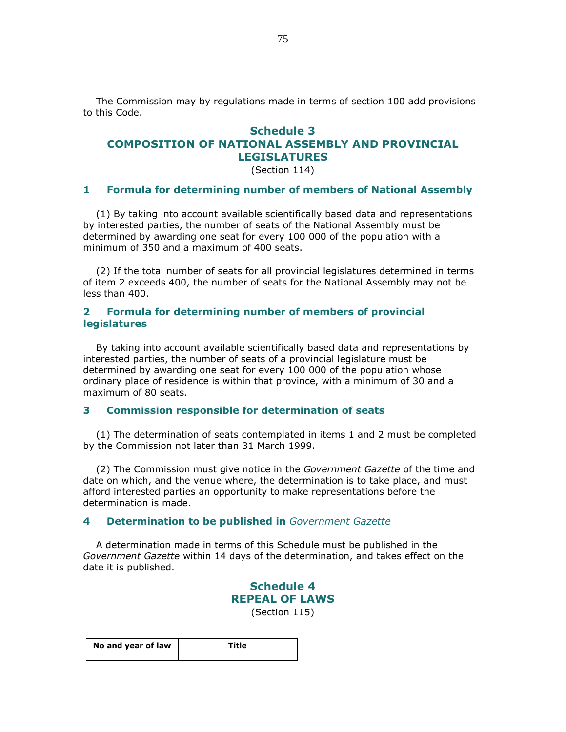The Commission may by regulations made in terms of section 100 add provisions to this Code.

# Schedule 3 COMPOSITION OF NATIONAL ASSEMBLY AND PROVINCIAL LEGISLATURES

(Section 114)

## 1 Formula for determining number of members of National Assembly

 (1) By taking into account available scientifically based data and representations by interested parties, the number of seats of the National Assembly must be determined by awarding one seat for every 100 000 of the population with a minimum of 350 and a maximum of 400 seats.

 (2) If the total number of seats for all provincial legislatures determined in terms of item 2 exceeds 400, the number of seats for the National Assembly may not be less than 400.

### 2 Formula for determining number of members of provincial legislatures

 By taking into account available scientifically based data and representations by interested parties, the number of seats of a provincial legislature must be determined by awarding one seat for every 100 000 of the population whose ordinary place of residence is within that province, with a minimum of 30 and a maximum of 80 seats.

#### 3 Commission responsible for determination of seats

 (1) The determination of seats contemplated in items 1 and 2 must be completed by the Commission not later than 31 March 1999.

 (2) The Commission must give notice in the Government Gazette of the time and date on which, and the venue where, the determination is to take place, and must afford interested parties an opportunity to make representations before the determination is made.

#### 4 Determination to be published in Government Gazette

 A determination made in terms of this Schedule must be published in the Government Gazette within 14 days of the determination, and takes effect on the date it is published.

> Schedule 4 REPEAL OF LAWS (Section 115)

| No and year of law | Title |
|--------------------|-------|
|                    |       |